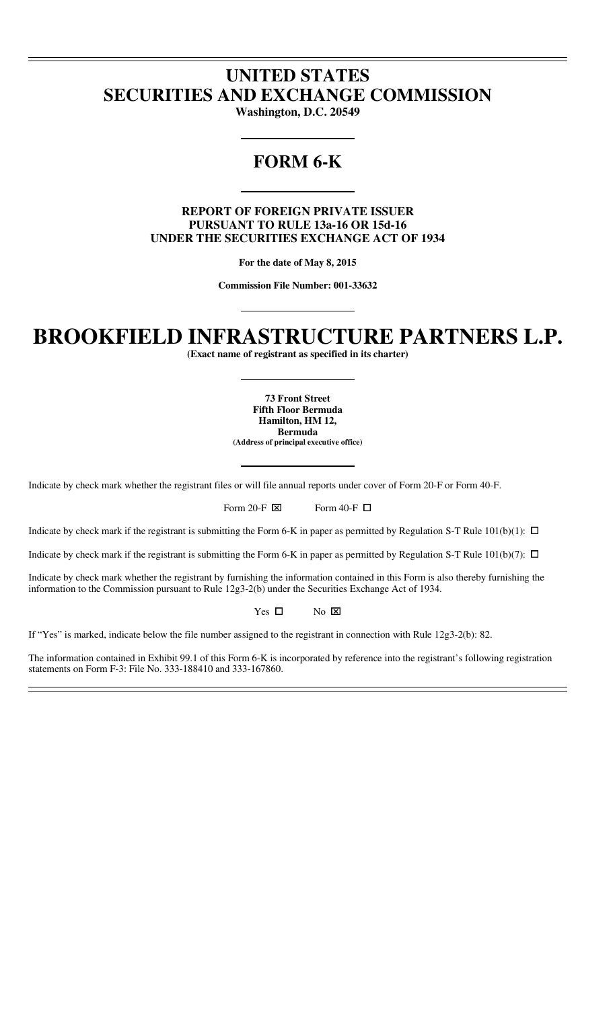# **UNITED STATES SECURITIES AND EXCHANGE COMMISSION**

**Washington, D.C. 20549** 

# **FORM 6-K**

# **REPORT OF FOREIGN PRIVATE ISSUER PURSUANT TO RULE 13a-16 OR 15d-16 UNDER THE SECURITIES EXCHANGE ACT OF 1934**

**For the date of May 8, 2015** 

**Commission File Number: 001-33632** 

# **BROOKFIELD INFRASTRUCTURE PARTNERS L.P.**

**(Exact name of registrant as specified in its charter)** 

**73 Front Street Fifth Floor Bermuda Hamilton, HM 12, Bermuda (Address of principal executive office)** 

Indicate by check mark whether the registrant files or will file annual reports under cover of Form 20-F or Form 40-F.

Form 20-F  $\boxtimes$  Form 40-F  $\Box$ 

Indicate by check mark if the registrant is submitting the Form 6-K in paper as permitted by Regulation S-T Rule  $101(b)(1)$ :  $\Box$ 

Indicate by check mark if the registrant is submitting the Form 6-K in paper as permitted by Regulation S-T Rule  $101(b)(7)$ :  $\Box$ 

Indicate by check mark whether the registrant by furnishing the information contained in this Form is also thereby furnishing the information to the Commission pursuant to Rule 12g3-2(b) under the Securities Exchange Act of 1934.

> Yes  $\Box$ No  $\boxtimes$

If "Yes" is marked, indicate below the file number assigned to the registrant in connection with Rule 12g3-2(b): 82.

The information contained in Exhibit 99.1 of this Form 6-K is incorporated by reference into the registrant's following registration statements on Form F-3: File No. 333-188410 and 333-167860.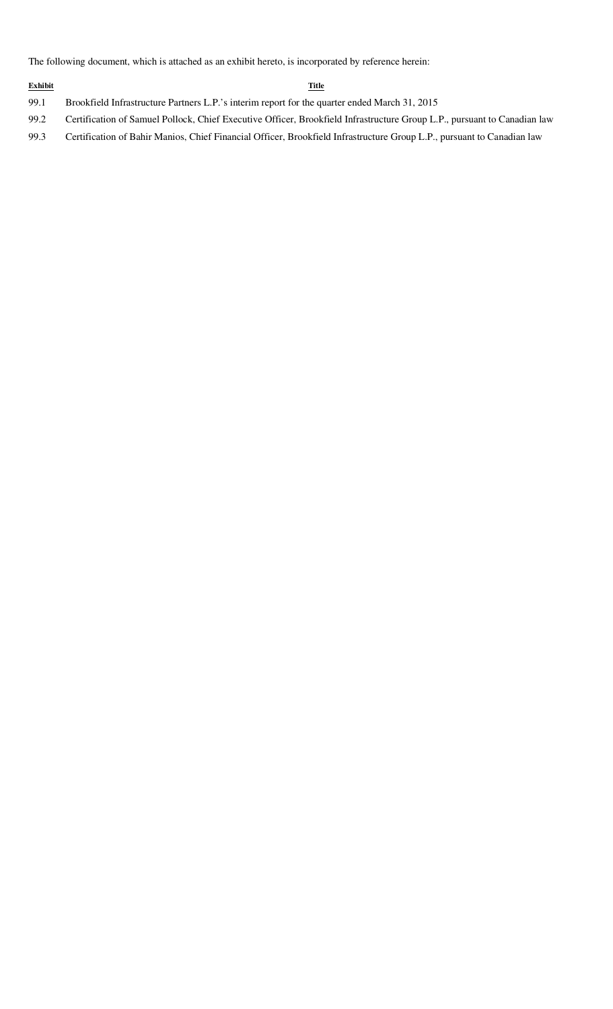The following document, which is attached as an exhibit hereto, is incorporated by reference herein:

#### **Exhibit Title**

- 99.1 Brookfield Infrastructure Partners L.P.'s interim report for the quarter ended March 31, 2015
- 99.2 Certification of Samuel Pollock, Chief Executive Officer, Brookfield Infrastructure Group L.P., pursuant to Canadian law
- 99.3 Certification of Bahir Manios, Chief Financial Officer, Brookfield Infrastructure Group L.P., pursuant to Canadian law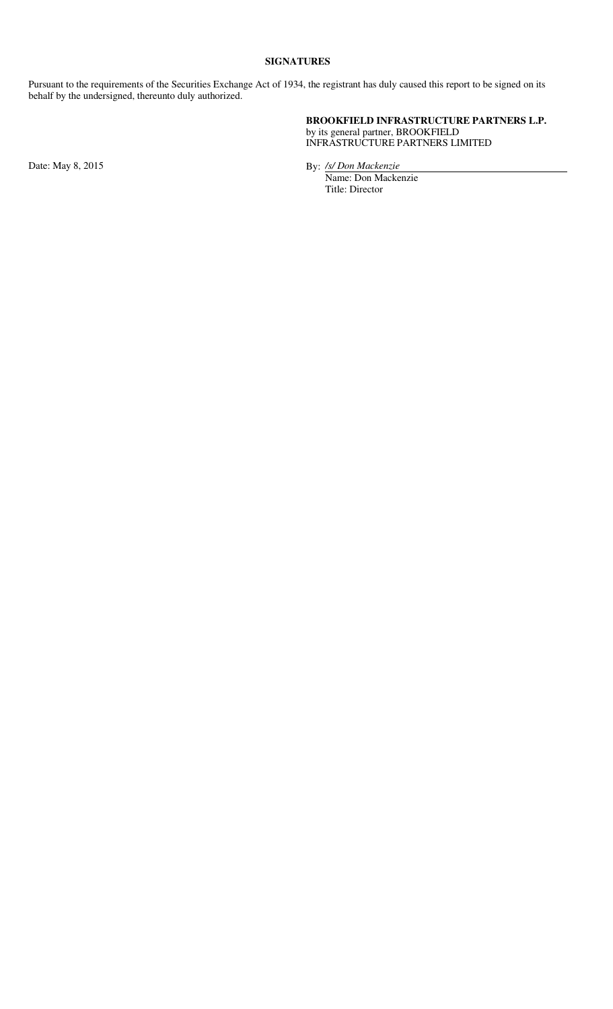# **SIGNATURES**

Pursuant to the requirements of the Securities Exchange Act of 1934, the registrant has duly caused this report to be signed on its behalf by the undersigned, thereunto duly authorized.

# **BROOKFIELD INFRASTRUCTURE PARTNERS L.P.** by its general partner, BROOKFIELD

INFRASTRUCTURE PARTNERS LIMITED

Date: May 8, 2015 By: */s/ Don Mackenzie* 

Name: Don Mackenzie Title: Director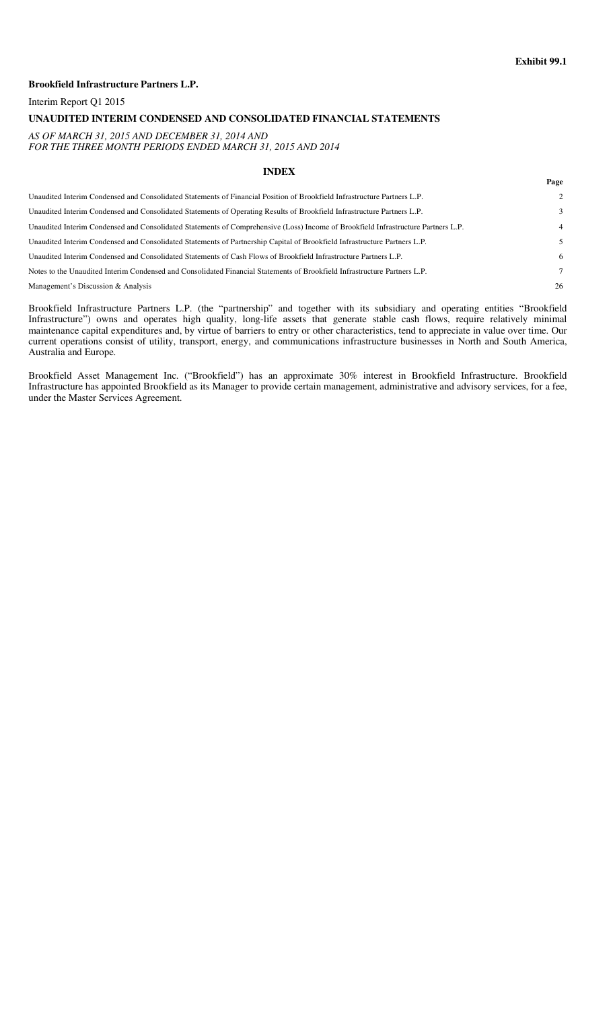#### **Exhibit 99.1**

**Page**

#### **Brookfield Infrastructure Partners L.P.**

Interim Report Q1 2015

#### **UNAUDITED INTERIM CONDENSED AND CONSOLIDATED FINANCIAL STATEMENTS**

#### *AS OF MARCH 31, 2015 AND DECEMBER 31, 2014 AND FOR THE THREE MONTH PERIODS ENDED MARCH 31, 2015 AND 2014*

#### **INDEX**

| Unaudited Interim Condensed and Consolidated Statements of Financial Position of Brookfield Infrastructure Partners L.P.          | 2  |
|-----------------------------------------------------------------------------------------------------------------------------------|----|
| Unaudited Interim Condensed and Consolidated Statements of Operating Results of Brookfield Infrastructure Partners L.P.           | 3  |
| Unaudited Interim Condensed and Consolidated Statements of Comprehensive (Loss) Income of Brookfield Infrastructure Partners L.P. | 4  |
| Unaudited Interim Condensed and Consolidated Statements of Partnership Capital of Brookfield Infrastructure Partners L.P.         |    |
| Unaudited Interim Condensed and Consolidated Statements of Cash Flows of Brookfield Infrastructure Partners L.P.                  | 6  |
| Notes to the Unaudited Interim Condensed and Consolidated Financial Statements of Brookfield Infrastructure Partners L.P.         | 7  |
| Management's Discussion & Analysis                                                                                                | 26 |

Brookfield Infrastructure Partners L.P. (the "partnership" and together with its subsidiary and operating entities "Brookfield Infrastructure") owns and operates high quality, long-life assets that generate stable cash flows, require relatively minimal maintenance capital expenditures and, by virtue of barriers to entry or other characteristics, tend to appreciate in value over time. Our current operations consist of utility, transport, energy, and communications infrastructure businesses in North and South America, Australia and Europe.

Brookfield Asset Management Inc. ("Brookfield") has an approximate 30% interest in Brookfield Infrastructure. Brookfield Infrastructure has appointed Brookfield as its Manager to provide certain management, administrative and advisory services, for a fee, under the Master Services Agreement.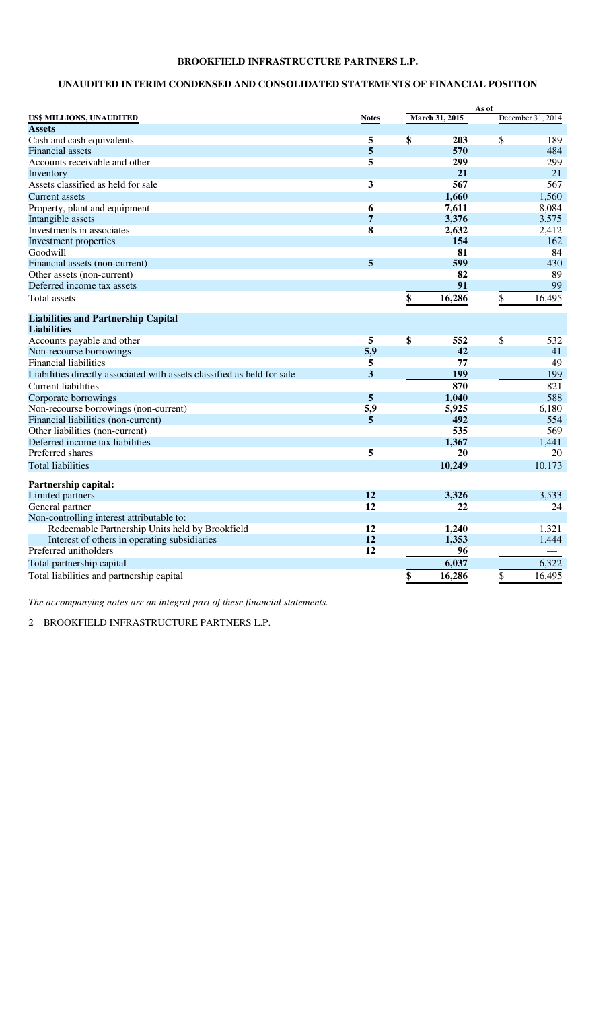# **UNAUDITED INTERIM CONDENSED AND CONSOLIDATED STATEMENTS OF FINANCIAL POSITION**

|                                                                         |                 |                | As of |                   |
|-------------------------------------------------------------------------|-----------------|----------------|-------|-------------------|
| US\$ MILLIONS, UNAUDITED                                                | <b>Notes</b>    | March 31, 2015 |       | December 31, 2014 |
| <b>Assets</b>                                                           |                 |                |       |                   |
| Cash and cash equivalents                                               | 5               | \$<br>203      | \$    | 189               |
| <b>Financial</b> assets                                                 | 5               | 570            |       | 484               |
| Accounts receivable and other                                           | 5               | 299            |       | 299               |
| Inventory                                                               |                 | 21             |       | 21                |
| Assets classified as held for sale                                      | 3               | 567            |       | 567               |
| Current assets                                                          |                 | 1,660          |       | 1,560             |
| Property, plant and equipment                                           | 6               | 7,611          |       | 8,084             |
| Intangible assets                                                       | $\overline{7}$  | 3,376          |       | 3,575             |
| Investments in associates                                               | 8               | 2,632          |       | 2,412             |
| Investment properties                                                   |                 | 154            |       | 162               |
| Goodwill                                                                |                 | 81             |       | 84                |
| Financial assets (non-current)                                          | 5               | 599            |       | 430               |
| Other assets (non-current)                                              |                 | 82             |       | 89                |
| Deferred income tax assets                                              |                 | 91             |       | 99                |
| <b>Total assets</b>                                                     |                 | \$<br>16,286   | \$    | 16,495            |
| <b>Liabilities and Partnership Capital</b>                              |                 |                |       |                   |
| <b>Liabilities</b>                                                      |                 |                |       |                   |
| Accounts payable and other                                              | 5               | \$<br>552      | \$    | 532               |
| Non-recourse borrowings                                                 | 5,9             | 42             |       | 41                |
| <b>Financial liabilities</b>                                            | 5               | 77             |       | 49                |
| Liabilities directly associated with assets classified as held for sale | 3               | 199            |       | 199               |
| <b>Current liabilities</b>                                              |                 | 870            |       | 821               |
| Corporate borrowings                                                    | 5               | 1,040          |       | 588               |
| Non-recourse borrowings (non-current)                                   | 5,9             | 5,925          |       | 6,180             |
| Financial liabilities (non-current)                                     | 5               | 492            |       | 554               |
| Other liabilities (non-current)                                         |                 | 535            |       | 569               |
| Deferred income tax liabilities                                         |                 | 1,367          |       | 1,441             |
| Preferred shares                                                        | 5               | 20             |       | 20                |
| <b>Total liabilities</b>                                                |                 | 10,249         |       | 10,173            |
| Partnership capital:                                                    |                 |                |       |                   |
| Limited partners                                                        | 12              | 3,326          |       | 3,533             |
| General partner                                                         | $\overline{12}$ | 22             |       | 24                |
| Non-controlling interest attributable to:                               |                 |                |       |                   |
| Redeemable Partnership Units held by Brookfield                         | 12              | 1,240          |       | 1,321             |
| Interest of others in operating subsidiaries                            | 12              | 1,353          |       | 1,444             |
| Preferred unitholders                                                   | 12              | 96             |       |                   |
|                                                                         |                 | 6,037          |       | 6,322             |
| Total partnership capital                                               |                 |                |       |                   |
| Total liabilities and partnership capital                               |                 | \$<br>16,286   | \$    | 16,495            |

*The accompanying notes are an integral part of these financial statements.*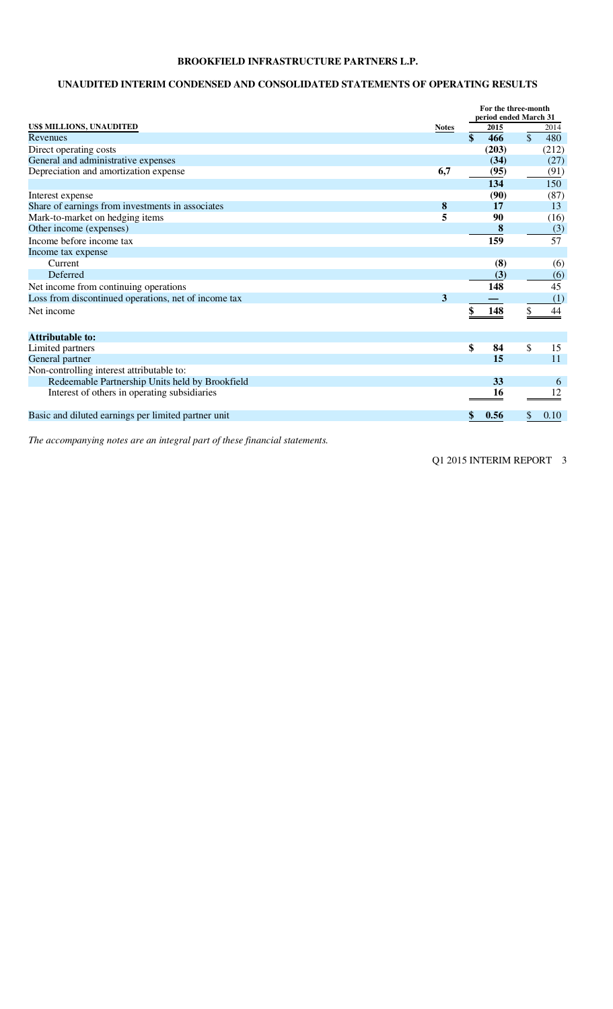# **UNAUDITED INTERIM CONDENSED AND CONSOLIDATED STATEMENTS OF OPERATING RESULTS**

|                                                      |                  | For the three-month   |               |       |  |  |
|------------------------------------------------------|------------------|-----------------------|---------------|-------|--|--|
|                                                      |                  | period ended March 31 |               |       |  |  |
| US\$ MILLIONS, UNAUDITED                             | <b>Notes</b>     | 2015                  |               | 2014  |  |  |
| Revenues                                             |                  | \$<br>466             | $\mathcal{S}$ | 480   |  |  |
| Direct operating costs                               |                  | (203)                 |               | (212) |  |  |
| General and administrative expenses                  |                  | (34)                  |               | (27)  |  |  |
| Depreciation and amortization expense                | 6,7              | (95)                  |               | (91)  |  |  |
|                                                      |                  | 134                   |               | 150   |  |  |
| Interest expense                                     |                  | (90)                  |               | (87)  |  |  |
| Share of earnings from investments in associates     | $\boldsymbol{8}$ | 17                    |               | 13    |  |  |
| Mark-to-market on hedging items                      | 5                | 90                    |               | (16)  |  |  |
| Other income (expenses)                              |                  | 8                     |               | (3)   |  |  |
| Income before income tax                             |                  | 159                   |               | 57    |  |  |
| Income tax expense                                   |                  |                       |               |       |  |  |
| Current                                              |                  | (8)                   |               | (6)   |  |  |
| Deferred                                             |                  | (3)                   |               | (6)   |  |  |
| Net income from continuing operations                |                  | 148                   |               | 45    |  |  |
| Loss from discontinued operations, net of income tax | 3                |                       |               | (1)   |  |  |
| Net income                                           |                  | 148                   |               | 44    |  |  |
|                                                      |                  |                       |               |       |  |  |
| <b>Attributable to:</b>                              |                  |                       |               |       |  |  |
| Limited partners                                     |                  | \$<br>84              | \$            | 15    |  |  |
| General partner                                      |                  | 15                    |               | 11    |  |  |
| Non-controlling interest attributable to:            |                  |                       |               |       |  |  |
| Redeemable Partnership Units held by Brookfield      |                  | 33                    |               | 6     |  |  |
| Interest of others in operating subsidiaries         |                  | 16                    |               |       |  |  |
| Basic and diluted earnings per limited partner unit  |                  | 0.56                  |               | 0.10  |  |  |

*The accompanying notes are an integral part of these financial statements.*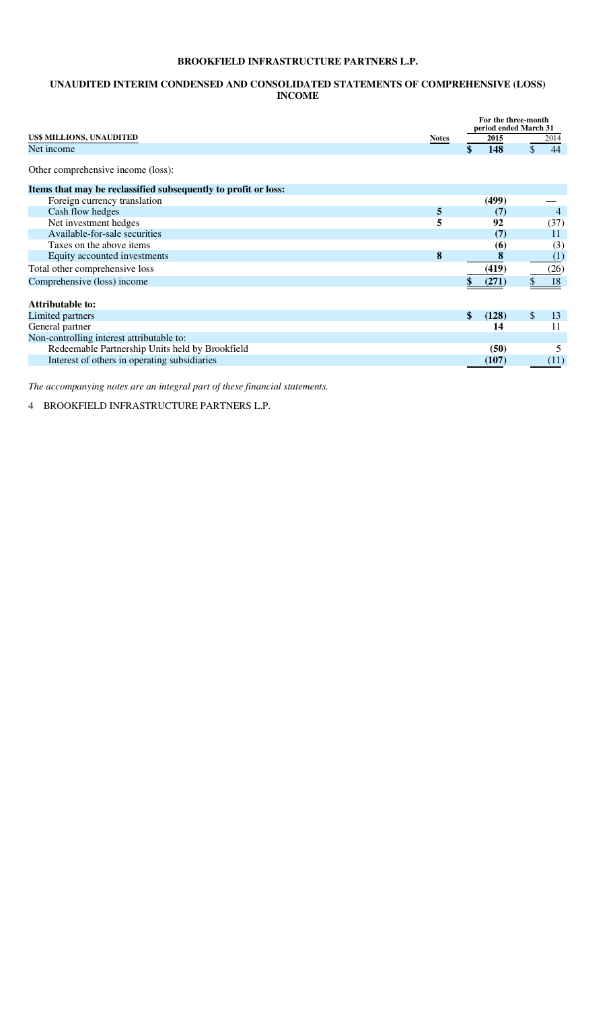# **UNAUDITED INTERIM CONDENSED AND CONSOLIDATED STATEMENTS OF COMPREHENSIVE (LOSS) INCOME**

|                                                                |              | For the three-month<br>period ended March 31 |          |
|----------------------------------------------------------------|--------------|----------------------------------------------|----------|
| US\$ MILLIONS, UNAUDITED                                       | <b>Notes</b> | 2015                                         | 2014     |
| Net income                                                     |              | 148                                          | \$<br>44 |
| Other comprehensive income (loss):                             |              |                                              |          |
| Items that may be reclassified subsequently to profit or loss: |              |                                              |          |
| Foreign currency translation                                   |              | (499)                                        |          |
| Cash flow hedges                                               | 5            | (7)                                          | 4        |
| Net investment hedges                                          | 5            | 92                                           | (37)     |
| Available-for-sale securities                                  |              | (7)                                          | 11       |
| Taxes on the above items                                       |              | <b>(6)</b>                                   | (3)      |
| Equity accounted investments                                   | 8            | 8                                            | (1)      |
| Total other comprehensive loss                                 |              | (419)                                        | (26)     |
| Comprehensive (loss) income                                    |              | (271)                                        | 18       |
|                                                                |              |                                              |          |
| Attributable to:                                               |              |                                              |          |
| Limited partners                                               |              | \$<br>(128)                                  | \$<br>13 |
| General partner                                                |              | 14                                           | 11       |
| Non-controlling interest attributable to:                      |              |                                              |          |
| Redeemable Partnership Units held by Brookfield                |              | (50)                                         | 5        |
| Interest of others in operating subsidiaries                   |              | (107)                                        | (11)     |

*The accompanying notes are an integral part of these financial statements.*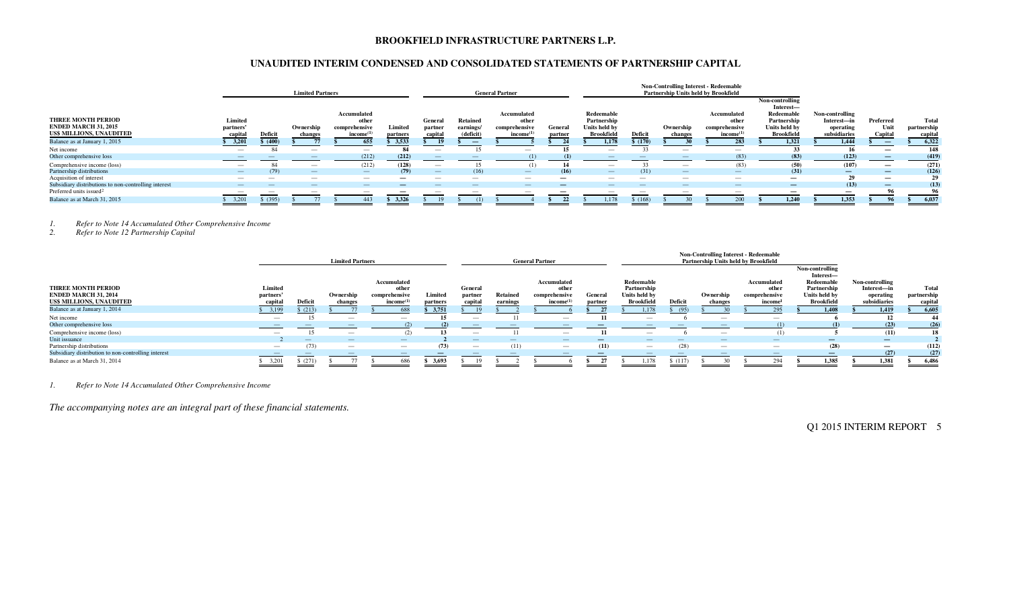# **UNAUDITED INTERIM CONDENSED AND CONSOLIDATED STATEMENTS OF PARTNERSHIP CAPITAL**

|                                                      |                          |          | <b>Limited Partners</b>  |                          |                          |                                |                          | <b>General Partner</b>   |         |                          |         | <b>Non-Controlling Interest - Redeemable</b><br><b>Partnership Units held by Brookfield</b>                                                                                                                                                                                                                                                                                                                                                                                |                          |                                            |                          |                          |             |
|------------------------------------------------------|--------------------------|----------|--------------------------|--------------------------|--------------------------|--------------------------------|--------------------------|--------------------------|---------|--------------------------|---------|----------------------------------------------------------------------------------------------------------------------------------------------------------------------------------------------------------------------------------------------------------------------------------------------------------------------------------------------------------------------------------------------------------------------------------------------------------------------------|--------------------------|--------------------------------------------|--------------------------|--------------------------|-------------|
|                                                      |                          |          |                          | Accumulated              |                          |                                |                          | Accumulated              |         | Redeemable               |         |                                                                                                                                                                                                                                                                                                                                                                                                                                                                            | Accumulated              | Non-controlling<br>Interest-<br>Redeemable | Non-controlling          |                          |             |
| <b>THREE MONTH PERIOD</b>                            | Limited                  |          |                          | other                    |                          | General                        | <b>Retained</b>          | other                    |         | Partnership              |         |                                                                                                                                                                                                                                                                                                                                                                                                                                                                            | other                    | Partnership                                | Interest-in              | Preferred                | Total       |
| <b>ENDED MARCH 31, 2015</b>                          | partners'                |          | Ownership                | comprehensive            | Limited                  | partner                        | earnings/                | comprehensive            | General | Units held by            |         | Ownership                                                                                                                                                                                                                                                                                                                                                                                                                                                                  | comprehensive            | Units held by                              | operating                | Unit                     | partnership |
| US\$ MILLIONS, UNAUDITED                             | capital                  | Deficit  | changes                  | income <sup>(1)</sup>    | partners                 | capital                        | (deficit)                | income <sup>(1)</sup>    | partner | <b>Brookfield</b>        | Deficit | changes                                                                                                                                                                                                                                                                                                                                                                                                                                                                    | $income^{(1)}$           | <b>Brookfield</b>                          | subsidiaries             | Capital                  | capita      |
| Balance as at January 1, 2015                        | 3,201                    | \$ (40°) |                          | 655                      | 3,533                    |                                |                          |                          |         | 1.178                    | 5(170)  |                                                                                                                                                                                                                                                                                                                                                                                                                                                                            | 283                      | 1.32                                       | 1.444                    |                          | 6,322       |
| Net income                                           |                          | 84       | $\overline{\phantom{m}}$ | $\overline{\phantom{a}}$ | -84                      | $\overline{\phantom{a}}$       |                          | $\overline{\phantom{m}}$ | 15      |                          |         | $\overline{\phantom{m}}$                                                                                                                                                                                                                                                                                                                                                                                                                                                   | $\sim$                   |                                            | - 16                     |                          | 148         |
| Other comprehensive loss                             |                          |          |                          | (212)                    | (212)                    |                                |                          |                          | (1)     |                          |         |                                                                                                                                                                                                                                                                                                                                                                                                                                                                            | (83)                     | (83)                                       | (123)                    |                          | (419)       |
| Comprehensive income (loss)                          | $\overline{\phantom{a}}$ |          | $\overline{\phantom{m}}$ | (212)                    | (128)                    | $\overline{\phantom{a}}$       |                          | (1)                      | 14      | $\overline{\phantom{a}}$ |         |                                                                                                                                                                                                                                                                                                                                                                                                                                                                            | (83)                     | (50)                                       | (107)                    | $\overline{\phantom{m}}$ | (271)       |
| Partnership distributions                            | $\overline{\phantom{a}}$ |          | $\overline{\phantom{a}}$ | $\sim$                   | (79)                     | $\qquad \qquad \longleftarrow$ | (16)                     | $\overline{\phantom{0}}$ | (16)    | $\overline{\phantom{0}}$ | (31)    | $\frac{1}{2} \left( \frac{1}{2} \right) \left( \frac{1}{2} \right) \left( \frac{1}{2} \right) \left( \frac{1}{2} \right) \left( \frac{1}{2} \right) \left( \frac{1}{2} \right) \left( \frac{1}{2} \right) \left( \frac{1}{2} \right) \left( \frac{1}{2} \right) \left( \frac{1}{2} \right) \left( \frac{1}{2} \right) \left( \frac{1}{2} \right) \left( \frac{1}{2} \right) \left( \frac{1}{2} \right) \left( \frac{1}{2} \right) \left( \frac{1}{2} \right) \left( \frac$ | $\sim$                   | (31)                                       |                          | $\overline{\phantom{0}}$ | (126)       |
| Acquisition of interest                              | $-$                      |          |                          | $\overline{\phantom{m}}$ | $\overline{\phantom{m}}$ |                                | $\overline{\phantom{a}}$ | $\overline{\phantom{a}}$ |         | $\overline{\phantom{a}}$ | $\sim$  |                                                                                                                                                                                                                                                                                                                                                                                                                                                                            |                          | $\overline{\phantom{0}}$                   |                          |                          | 29          |
| Subsidiary distributions to non-controlling interest | $\overline{\phantom{0}}$ |          | $\overline{\phantom{a}}$ | $\overline{\phantom{a}}$ | $\overline{\phantom{a}}$ | $\overline{\phantom{a}}$       |                          | $\overline{\phantom{a}}$ | —       |                          | $\sim$  |                                                                                                                                                                                                                                                                                                                                                                                                                                                                            | $\sim$                   |                                            | (13)                     | $\overline{\phantom{0}}$ | (13)        |
| Preferred units issued <sup>2</sup>                  |                          |          | $\overline{\phantom{a}}$ | $\overline{\phantom{m}}$ |                          |                                | $\overline{\phantom{0}}$ |                          |         |                          |         |                                                                                                                                                                                                                                                                                                                                                                                                                                                                            | $\overline{\phantom{0}}$ | $\overline{\phantom{m}}$                   | $\overline{\phantom{m}}$ | 96                       | 96          |
| Balance as at March 31, 2015                         | 3,201                    | \$(395)  |                          | 443                      | 3.326                    |                                |                          |                          |         | .178                     | \$(168) |                                                                                                                                                                                                                                                                                                                                                                                                                                                                            | 200                      | 1.240                                      | 1.353                    | $\mathbf{Q}$             | 6,037       |

*1. Refer to Note 14 Accumulated Other Comprehensive Income* 

*2. Refer to Note 12 Partnership Capital* 

|                                                                                      |                                 |                          |                          | <b>General Partner</b>                                                     |                     |                               | <b>Non-Controlling Interest - Redeemable</b><br>Partnership Units held by Brookfield |                                                               |                          |                                                                 |         |                                 |                                                 |                                                                                                 |                                                             |                                |
|--------------------------------------------------------------------------------------|---------------------------------|--------------------------|--------------------------|----------------------------------------------------------------------------|---------------------|-------------------------------|--------------------------------------------------------------------------------------|---------------------------------------------------------------|--------------------------|-----------------------------------------------------------------|---------|---------------------------------|-------------------------------------------------|-------------------------------------------------------------------------------------------------|-------------------------------------------------------------|--------------------------------|
| <b>THREE MONTH PERIOD</b><br><b>ENDED MARCH 31, 2014</b><br>US\$ MILLIONS, UNAUDITED | Limited<br>partners'<br>capital | Deficit                  | Ownership<br>changes     | Accumulated<br>othe <sup>,</sup><br>comprehensive<br>income <sup>(1)</sup> | Limited<br>partners | General<br>partner<br>capital | <b>Retained</b><br>earnings                                                          | Accumulated<br>other<br>comprehensive<br>income <sup>(1</sup> | General<br>partner       | Redeemable<br>Partnership<br>Units held by<br><b>Brookfield</b> | Deficit | Ownership<br>changes            | Accumulated<br>other<br>comprehensive<br>income | Non-controlling<br>Interest-<br>Redeemable<br>Partnership<br>Units held by<br><b>Brookfield</b> | Non-controlling<br>Interest-in<br>operating<br>subsidiaries | Total<br>partnership<br>capita |
| Balance as at January 1, 2014                                                        | 3,199                           | \$(213)                  |                          | 688                                                                        | 3,751               |                               |                                                                                      |                                                               |                          | 1,178                                                           | (95)    |                                 |                                                 | 1.408                                                                                           | 1,419                                                       | 6,605                          |
| Net income                                                                           |                                 |                          |                          |                                                                            |                     | $\overline{\phantom{m}}$      |                                                                                      |                                                               |                          | $\overline{\phantom{a}}$                                        |         | $\overline{\phantom{m}}$        | --                                              |                                                                                                 | 13                                                          | -44                            |
| Other comprehensive loss                                                             |                                 |                          |                          |                                                                            |                     |                               |                                                                                      |                                                               |                          |                                                                 |         |                                 |                                                 |                                                                                                 | (23)                                                        | (26)                           |
| Comprehensive income (loss)                                                          | $\overline{\phantom{a}}$        |                          |                          |                                                                            |                     | $\overline{\phantom{a}}$      |                                                                                      |                                                               |                          |                                                                 |         | $\overline{\phantom{m}}$        |                                                 |                                                                                                 | (11)                                                        | 18                             |
| Unit issuance                                                                        |                                 | $\overline{\phantom{0}}$ | $\overline{\phantom{a}}$ | $\overline{\phantom{m}}$                                                   |                     | $\overline{\phantom{m}}$      | $\overline{\phantom{0}}$                                                             | $\sim$                                                        | $\overline{\phantom{0}}$ | $\overline{\phantom{a}}$                                        |         | $\overline{\phantom{m}}$        | $\overline{\phantom{0}}$                        | $\qquad \qquad$                                                                                 | $\overline{\phantom{0}}$                                    |                                |
| Partnership distributions                                                            | $\overline{\phantom{a}}$        |                          | $\overline{\phantom{a}}$ | $\overline{\phantom{a}}$                                                   | (73)                | $\overline{\phantom{a}}$      | (11)                                                                                 | $\overline{\phantom{a}}$                                      | (11)                     | $\overline{\phantom{a}}$                                        | (28)    | $\hspace{0.1mm}-\hspace{0.1mm}$ | $\overline{\phantom{0}}$                        | (28)                                                                                            | $\overline{\phantom{0}}$                                    | (112)                          |
| Subsidiary distribution to non-controlling interest                                  |                                 |                          |                          |                                                                            |                     |                               |                                                                                      |                                                               |                          |                                                                 |         |                                 |                                                 |                                                                                                 | (27)                                                        | (27)                           |
| Balance as at March 31, 2014                                                         | 3,201                           | \$(271)                  |                          | 686                                                                        | 3,693               |                               |                                                                                      |                                                               |                          | 1,178                                                           | \$(117) |                                 |                                                 | 1.385                                                                                           | 1,381                                                       | 6,486                          |

*1. Refer to Note 14 Accumulated Other Comprehensive Income* 

*The accompanying notes are an integral part of these financial statements.*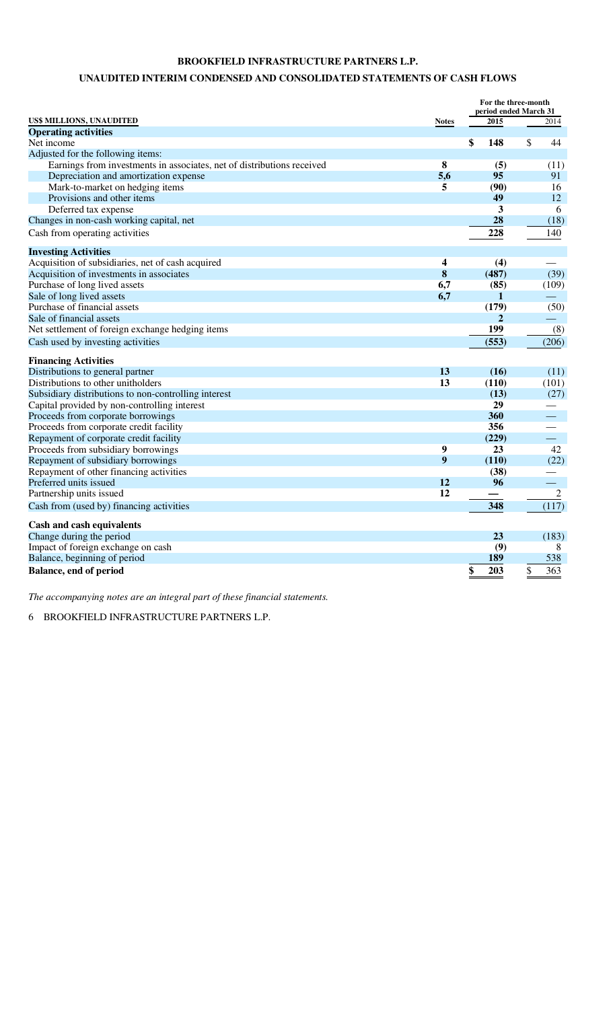# **UNAUDITED INTERIM CONDENSED AND CONSOLIDATED STATEMENTS OF CASH FLOWS**

|                                                                        |              | For the three-month<br>period ended March 31 |                          |
|------------------------------------------------------------------------|--------------|----------------------------------------------|--------------------------|
| US\$ MILLIONS, UNAUDITED                                               | <b>Notes</b> | 2015                                         | 2014                     |
| <b>Operating activities</b>                                            |              |                                              |                          |
| Net income                                                             |              | \$<br>148                                    | \$<br>44                 |
| Adjusted for the following items:                                      |              |                                              |                          |
| Earnings from investments in associates, net of distributions received | 8            | (5)                                          | (11)                     |
| Depreciation and amortization expense                                  | 5,6          | 95                                           | 91                       |
| Mark-to-market on hedging items                                        | 5            | (90)                                         | 16                       |
| Provisions and other items                                             |              | 49                                           | 12                       |
| Deferred tax expense                                                   |              | 3                                            | 6                        |
| Changes in non-cash working capital, net                               |              | 28                                           | (18)                     |
| Cash from operating activities                                         |              | 228                                          | 140                      |
|                                                                        |              |                                              |                          |
| <b>Investing Activities</b>                                            |              |                                              |                          |
| Acquisition of subsidiaries, net of cash acquired                      | 4            | (4)                                          |                          |
| Acquisition of investments in associates                               | 8            | (487)                                        | (39)                     |
| Purchase of long lived assets                                          | 6,7          | (85)                                         | (109)                    |
| Sale of long lived assets                                              | 6,7          | 1                                            |                          |
| Purchase of financial assets                                           |              | (179)                                        | (50)                     |
| Sale of financial assets                                               |              | $\mathbf{2}$                                 |                          |
| Net settlement of foreign exchange hedging items                       |              | 199                                          | (8)                      |
| Cash used by investing activities                                      |              | (553)                                        | (206)                    |
| <b>Financing Activities</b>                                            |              |                                              |                          |
| Distributions to general partner                                       | 13           | (16)                                         | (11)                     |
| Distributions to other unitholders                                     | 13           | (110)                                        | (101)                    |
| Subsidiary distributions to non-controlling interest                   |              | (13)                                         | (27)                     |
| Capital provided by non-controlling interest                           |              | 29                                           |                          |
| Proceeds from corporate borrowings                                     |              | 360                                          |                          |
| Proceeds from corporate credit facility                                |              | 356                                          |                          |
| Repayment of corporate credit facility                                 |              | (229)                                        | $\equiv$                 |
| Proceeds from subsidiary borrowings                                    | 9            | 23                                           | 42                       |
| Repayment of subsidiary borrowings                                     | 9            | (110)                                        | (22)                     |
| Repayment of other financing activities                                |              | (38)                                         |                          |
| Preferred units issued                                                 | 12           | 96                                           | $\overline{\phantom{0}}$ |
| Partnership units issued                                               | 12           |                                              | 2                        |
| Cash from (used by) financing activities                               |              | 348                                          | (117)                    |
| <b>Cash and cash equivalents</b>                                       |              |                                              |                          |
| Change during the period                                               |              | 23                                           | (183)                    |
| Impact of foreign exchange on cash                                     |              | (9)                                          | 8                        |
| Balance, beginning of period                                           |              | 189                                          | 538                      |
| Balance, end of period                                                 |              | \$<br>203                                    | \$<br>363                |

*The accompanying notes are an integral part of these financial statements.*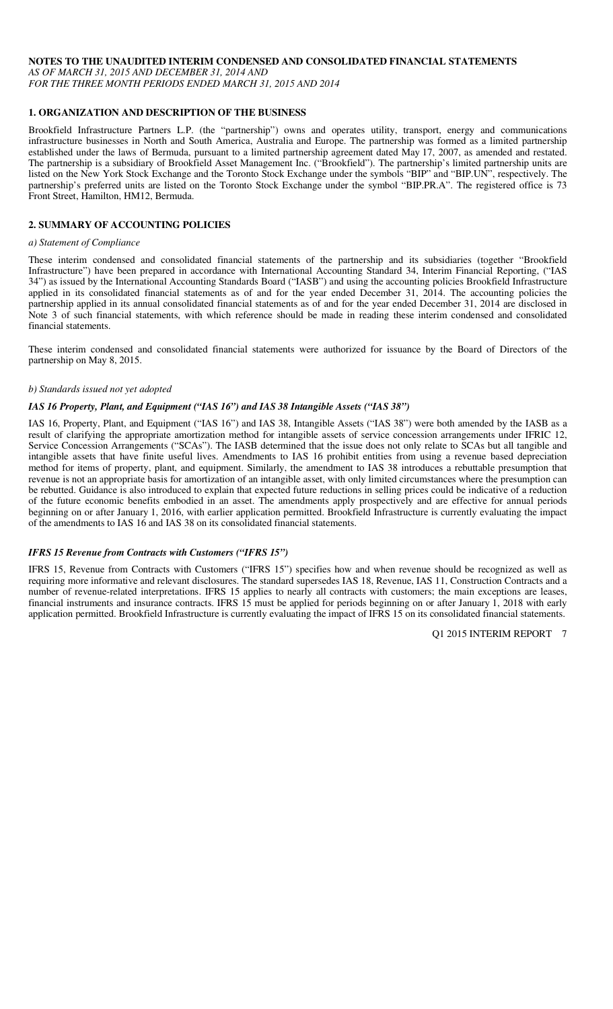#### **NOTES TO THE UNAUDITED INTERIM CONDENSED AND CONSOLIDATED FINANCIAL STATEMENTS**

*AS OF MARCH 31, 2015 AND DECEMBER 31, 2014 AND FOR THE THREE MONTH PERIODS ENDED MARCH 31, 2015 AND 2014* 

# **1. ORGANIZATION AND DESCRIPTION OF THE BUSINESS**

Brookfield Infrastructure Partners L.P. (the "partnership") owns and operates utility, transport, energy and communications infrastructure businesses in North and South America, Australia and Europe. The partnership was formed as a limited partnership established under the laws of Bermuda, pursuant to a limited partnership agreement dated May 17, 2007, as amended and restated. The partnership is a subsidiary of Brookfield Asset Management Inc. ("Brookfield"). The partnership's limited partnership units are listed on the New York Stock Exchange and the Toronto Stock Exchange under the symbols "BIP" and "BIP.UN", respectively. The partnership's preferred units are listed on the Toronto Stock Exchange under the symbol "BIP.PR.A". The registered office is 73 Front Street, Hamilton, HM12, Bermuda.

# **2. SUMMARY OF ACCOUNTING POLICIES**

#### *a) Statement of Compliance*

These interim condensed and consolidated financial statements of the partnership and its subsidiaries (together "Brookfield Infrastructure") have been prepared in accordance with International Accounting Standard 34, Interim Financial Reporting, ("IAS 34") as issued by the International Accounting Standards Board ("IASB") and using the accounting policies Brookfield Infrastructure applied in its consolidated financial statements as of and for the year ended December 31, 2014. The accounting policies the partnership applied in its annual consolidated financial statements as of and for the year ended December 31, 2014 are disclosed in Note 3 of such financial statements, with which reference should be made in reading these interim condensed and consolidated financial statements.

These interim condensed and consolidated financial statements were authorized for issuance by the Board of Directors of the partnership on May 8, 2015.

#### *b) Standards issued not yet adopted*

### *IAS 16 Property, Plant, and Equipment ("IAS 16") and IAS 38 Intangible Assets ("IAS 38")*

IAS 16, Property, Plant, and Equipment ("IAS 16") and IAS 38, Intangible Assets ("IAS 38") were both amended by the IASB as a result of clarifying the appropriate amortization method for intangible assets of service concession arrangements under IFRIC 12, Service Concession Arrangements ("SCAs"). The IASB determined that the issue does not only relate to SCAs but all tangible and intangible assets that have finite useful lives. Amendments to IAS 16 prohibit entities from using a revenue based depreciation method for items of property, plant, and equipment. Similarly, the amendment to IAS 38 introduces a rebuttable presumption that revenue is not an appropriate basis for amortization of an intangible asset, with only limited circumstances where the presumption can be rebutted. Guidance is also introduced to explain that expected future reductions in selling prices could be indicative of a reduction of the future economic benefits embodied in an asset. The amendments apply prospectively and are effective for annual periods beginning on or after January 1, 2016, with earlier application permitted. Brookfield Infrastructure is currently evaluating the impact of the amendments to IAS 16 and IAS 38 on its consolidated financial statements.

# *IFRS 15 Revenue from Contracts with Customers ("IFRS 15")*

IFRS 15, Revenue from Contracts with Customers ("IFRS 15") specifies how and when revenue should be recognized as well as requiring more informative and relevant disclosures. The standard supersedes IAS 18, Revenue, IAS 11, Construction Contracts and a number of revenue-related interpretations. IFRS 15 applies to nearly all contracts with customers; the main exceptions are leases, financial instruments and insurance contracts. IFRS 15 must be applied for periods beginning on or after January 1, 2018 with early application permitted. Brookfield Infrastructure is currently evaluating the impact of IFRS 15 on its consolidated financial statements.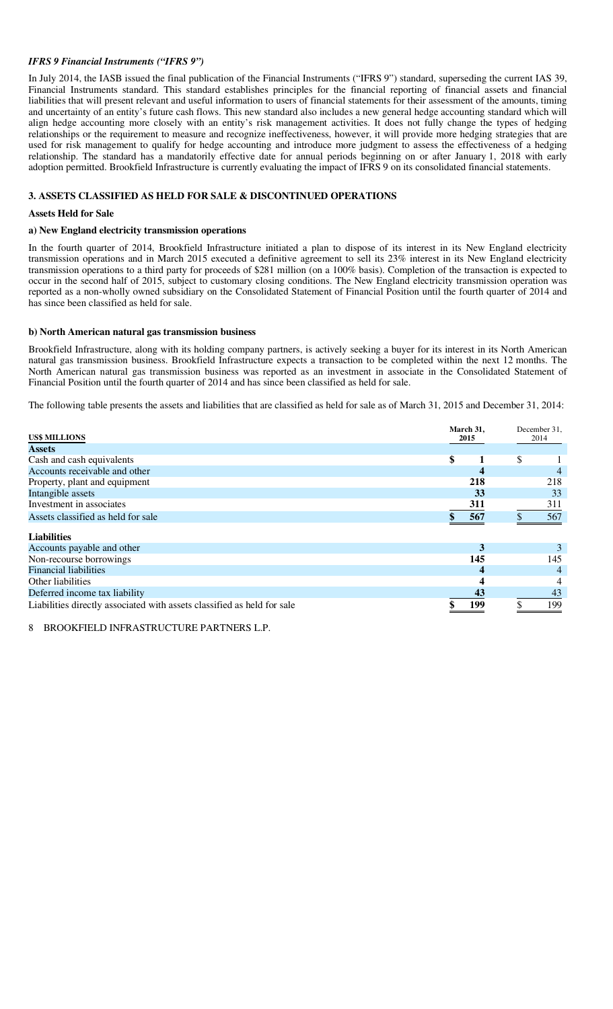#### *IFRS 9 Financial Instruments ("IFRS 9")*

In July 2014, the IASB issued the final publication of the Financial Instruments ("IFRS 9") standard, superseding the current IAS 39, Financial Instruments standard. This standard establishes principles for the financial reporting of financial assets and financial liabilities that will present relevant and useful information to users of financial statements for their assessment of the amounts, timing and uncertainty of an entity's future cash flows. This new standard also includes a new general hedge accounting standard which will align hedge accounting more closely with an entity's risk management activities. It does not fully change the types of hedging relationships or the requirement to measure and recognize ineffectiveness, however, it will provide more hedging strategies that are used for risk management to qualify for hedge accounting and introduce more judgment to assess the effectiveness of a hedging relationship. The standard has a mandatorily effective date for annual periods beginning on or after January 1, 2018 with early adoption permitted. Brookfield Infrastructure is currently evaluating the impact of IFRS 9 on its consolidated financial statements.

#### **3. ASSETS CLASSIFIED AS HELD FOR SALE & DISCONTINUED OPERATIONS**

#### **Assets Held for Sale**

#### **a) New England electricity transmission operations**

In the fourth quarter of 2014, Brookfield Infrastructure initiated a plan to dispose of its interest in its New England electricity transmission operations and in March 2015 executed a definitive agreement to sell its 23% interest in its New England electricity transmission operations to a third party for proceeds of \$281 million (on a 100% basis). Completion of the transaction is expected to occur in the second half of 2015, subject to customary closing conditions. The New England electricity transmission operation was reported as a non-wholly owned subsidiary on the Consolidated Statement of Financial Position until the fourth quarter of 2014 and has since been classified as held for sale.

#### **b) North American natural gas transmission business**

Brookfield Infrastructure, along with its holding company partners, is actively seeking a buyer for its interest in its North American natural gas transmission business. Brookfield Infrastructure expects a transaction to be completed within the next 12 months. The North American natural gas transmission business was reported as an investment in associate in the Consolidated Statement of Financial Position until the fourth quarter of 2014 and has since been classified as held for sale.

The following table presents the assets and liabilities that are classified as held for sale as of March 31, 2015 and December 31, 2014:

| <b>US\$ MILLIONS</b>                                                    | March 31,<br>2015 |    | December 31,<br>2014 |
|-------------------------------------------------------------------------|-------------------|----|----------------------|
| <b>Assets</b>                                                           |                   |    |                      |
| Cash and cash equivalents                                               | \$                | \$ |                      |
| Accounts receivable and other                                           |                   |    |                      |
| Property, plant and equipment                                           | 218               |    | 218                  |
| Intangible assets                                                       | 33                |    | 33                   |
| Investment in associates                                                | 311               |    | 311                  |
| Assets classified as held for sale                                      | 567               |    | 567                  |
| <b>Liabilities</b>                                                      |                   |    |                      |
| Accounts payable and other                                              | 3                 |    |                      |
| Non-recourse borrowings                                                 | 145               |    | 145                  |
| <b>Financial liabilities</b>                                            |                   |    |                      |
| Other liabilities                                                       |                   |    | 4                    |
| Deferred income tax liability                                           | 43                |    | 43                   |
| Liabilities directly associated with assets classified as held for sale | 199               | ¢  | 199                  |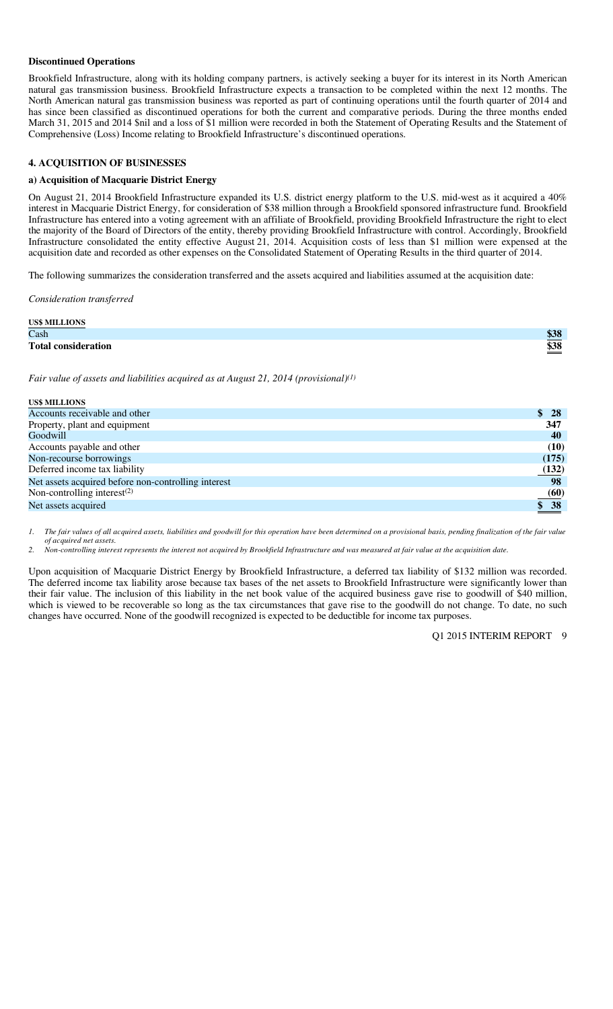#### **Discontinued Operations**

Brookfield Infrastructure, along with its holding company partners, is actively seeking a buyer for its interest in its North American natural gas transmission business. Brookfield Infrastructure expects a transaction to be completed within the next 12 months. The North American natural gas transmission business was reported as part of continuing operations until the fourth quarter of 2014 and has since been classified as discontinued operations for both the current and comparative periods. During the three months ended March 31, 2015 and 2014 \$nil and a loss of \$1 million were recorded in both the Statement of Operating Results and the Statement of Comprehensive (Loss) Income relating to Brookfield Infrastructure's discontinued operations.

#### **4. ACQUISITION OF BUSINESSES**

#### **a) Acquisition of Macquarie District Energy**

On August 21, 2014 Brookfield Infrastructure expanded its U.S. district energy platform to the U.S. mid-west as it acquired a 40% interest in Macquarie District Energy, for consideration of \$38 million through a Brookfield sponsored infrastructure fund. Brookfield Infrastructure has entered into a voting agreement with an affiliate of Brookfield, providing Brookfield Infrastructure the right to elect the majority of the Board of Directors of the entity, thereby providing Brookfield Infrastructure with control. Accordingly, Brookfield Infrastructure consolidated the entity effective August 21, 2014. Acquisition costs of less than \$1 million were expensed at the acquisition date and recorded as other expenses on the Consolidated Statement of Operating Results in the third quarter of 2014.

The following summarizes the consideration transferred and the assets acquired and liabilities assumed at the acquisition date:

*Consideration transferred* 

| <b>US\$ MILLIONS</b>       |                     |
|----------------------------|---------------------|
| Cash                       | ትኅብ<br><u> 500 </u> |
| <b>Total consideration</b> | ል ንዑ<br>рэд         |

*Fair value of assets and liabilities acquired as at August 21, 2014 (provisional)(1)*

| <b>US\$ MILLIONS</b>                                |                     |
|-----------------------------------------------------|---------------------|
| Accounts receivable and other                       | \$28                |
| Property, plant and equipment                       | 347                 |
| Goodwill                                            | 40                  |
| Accounts payable and other                          | (10)                |
| Non-recourse borrowings                             | (175)               |
| Deferred income tax liability                       | (132)               |
| Net assets acquired before non-controlling interest | 98                  |
| Non-controlling interest $(2)$                      | (60)                |
| Net assets acquired                                 | $\underline{\$}$ 38 |
|                                                     |                     |

*1. The fair values of all acquired assets, liabilities and goodwill for this operation have been determined on a provisional basis, pending finalization of the fair value of acquired net assets.* 

*2. Non-controlling interest represents the interest not acquired by Brookfield Infrastructure and was measured at fair value at the acquisition date.* 

Upon acquisition of Macquarie District Energy by Brookfield Infrastructure, a deferred tax liability of \$132 million was recorded. The deferred income tax liability arose because tax bases of the net assets to Brookfield Infrastructure were significantly lower than their fair value. The inclusion of this liability in the net book value of the acquired business gave rise to goodwill of \$40 million, which is viewed to be recoverable so long as the tax circumstances that gave rise to the goodwill do not change. To date, no such changes have occurred. None of the goodwill recognized is expected to be deductible for income tax purposes.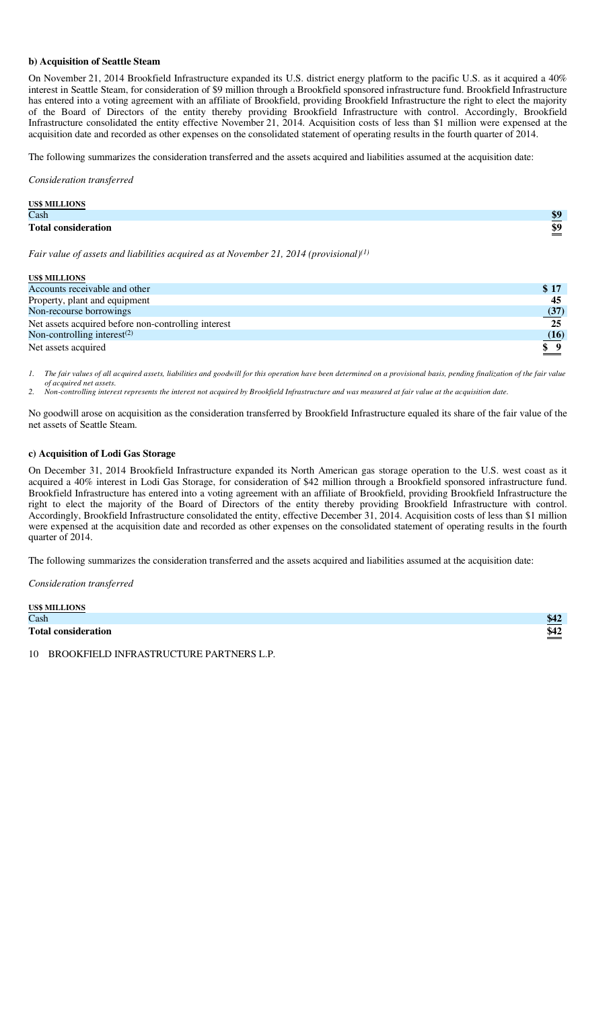#### **b) Acquisition of Seattle Steam**

On November 21, 2014 Brookfield Infrastructure expanded its U.S. district energy platform to the pacific U.S. as it acquired a 40% interest in Seattle Steam, for consideration of \$9 million through a Brookfield sponsored infrastructure fund. Brookfield Infrastructure has entered into a voting agreement with an affiliate of Brookfield, providing Brookfield Infrastructure the right to elect the majority of the Board of Directors of the entity thereby providing Brookfield Infrastructure with control. Accordingly, Brookfield Infrastructure consolidated the entity effective November 21, 2014. Acquisition costs of less than \$1 million were expensed at the acquisition date and recorded as other expenses on the consolidated statement of operating results in the fourth quarter of 2014.

The following summarizes the consideration transferred and the assets acquired and liabilities assumed at the acquisition date:

*Consideration transferred* 

| <b>US\$ MILLIONS</b>       |     |
|----------------------------|-----|
| Cash                       | \$9 |
| <b>Total consideration</b> | \$9 |

*Fair value of assets and liabilities acquired as at November 21, 2014 (provisional)(1)*

| <b>US\$ MILLIONS</b>                                |                 |
|-----------------------------------------------------|-----------------|
| Accounts receivable and other                       | \$17            |
| Property, plant and equipment                       | 45              |
| Non-recourse borrowings                             | (37)            |
| Net assets acquired before non-controlling interest | 25              |
| Non-controlling interest $(2)$                      | (16)            |
| Net assets acquired                                 | $\frac{\S 9}{}$ |

*1. The fair values of all acquired assets, liabilities and goodwill for this operation have been determined on a provisional basis, pending finalization of the fair value of acquired net assets.* 

*2. Non-controlling interest represents the interest not acquired by Brookfield Infrastructure and was measured at fair value at the acquisition date.* 

No goodwill arose on acquisition as the consideration transferred by Brookfield Infrastructure equaled its share of the fair value of the net assets of Seattle Steam.

#### **c) Acquisition of Lodi Gas Storage**

On December 31, 2014 Brookfield Infrastructure expanded its North American gas storage operation to the U.S. west coast as it acquired a 40% interest in Lodi Gas Storage, for consideration of \$42 million through a Brookfield sponsored infrastructure fund. Brookfield Infrastructure has entered into a voting agreement with an affiliate of Brookfield, providing Brookfield Infrastructure the right to elect the majority of the Board of Directors of the entity thereby providing Brookfield Infrastructure with control. Accordingly, Brookfield Infrastructure consolidated the entity, effective December 31, 2014. Acquisition costs of less than \$1 million were expensed at the acquisition date and recorded as other expenses on the consolidated statement of operating results in the fourth quarter of 2014.

The following summarizes the consideration transferred and the assets acquired and liabilities assumed at the acquisition date:

*Consideration transferred* 

US\$ MILLIONS

| US\$ MILLIONS              |         |
|----------------------------|---------|
| Cash                       | $D + L$ |
| <b>Total consideration</b> | \$42    |
|                            |         |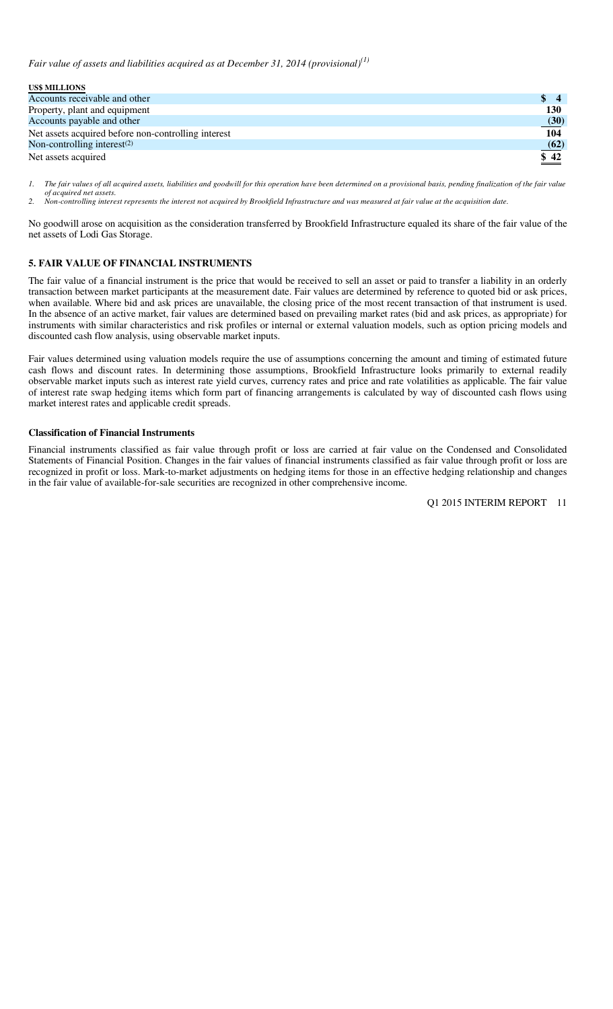*Fair value of assets and liabilities acquired as at December 31, 2014 (provisional)(1)*

| <b>US\$ MILLIONS</b>                                |            |
|-----------------------------------------------------|------------|
| Accounts receivable and other                       | S.         |
| Property, plant and equipment                       | <b>130</b> |
| Accounts payable and other                          | (30)       |
| Net assets acquired before non-controlling interest | 104        |
| Non-controlling interest $(2)$                      | (62)       |
| Net assets acquired                                 | \$42       |

*1. The fair values of all acquired assets, liabilities and goodwill for this operation have been determined on a provisional basis, pending finalization of the fair value of acquired net assets.* 

*2. Non-controlling interest represents the interest not acquired by Brookfield Infrastructure and was measured at fair value at the acquisition date.* 

No goodwill arose on acquisition as the consideration transferred by Brookfield Infrastructure equaled its share of the fair value of the net assets of Lodi Gas Storage.

# **5. FAIR VALUE OF FINANCIAL INSTRUMENTS**

The fair value of a financial instrument is the price that would be received to sell an asset or paid to transfer a liability in an orderly transaction between market participants at the measurement date. Fair values are determined by reference to quoted bid or ask prices, when available. Where bid and ask prices are unavailable, the closing price of the most recent transaction of that instrument is used. In the absence of an active market, fair values are determined based on prevailing market rates (bid and ask prices, as appropriate) for instruments with similar characteristics and risk profiles or internal or external valuation models, such as option pricing models and discounted cash flow analysis, using observable market inputs.

Fair values determined using valuation models require the use of assumptions concerning the amount and timing of estimated future cash flows and discount rates. In determining those assumptions, Brookfield Infrastructure looks primarily to external readily observable market inputs such as interest rate yield curves, currency rates and price and rate volatilities as applicable. The fair value of interest rate swap hedging items which form part of financing arrangements is calculated by way of discounted cash flows using market interest rates and applicable credit spreads.

#### **Classification of Financial Instruments**

Financial instruments classified as fair value through profit or loss are carried at fair value on the Condensed and Consolidated Statements of Financial Position. Changes in the fair values of financial instruments classified as fair value through profit or loss are recognized in profit or loss. Mark-to-market adjustments on hedging items for those in an effective hedging relationship and changes in the fair value of available-for-sale securities are recognized in other comprehensive income.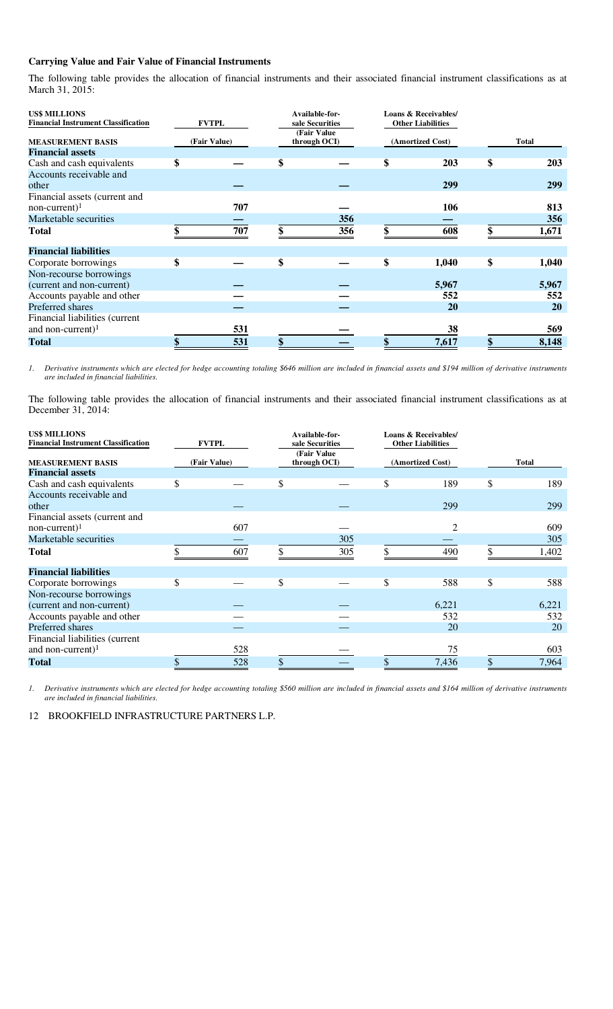#### **Carrying Value and Fair Value of Financial Instruments**

The following table provides the allocation of financial instruments and their associated financial instrument classifications as at March 31, 2015:

| <b>US\$ MILLIONS</b><br><b>Financial Instrument Classification</b> | <b>FVTPL</b> | Available-for-<br>sale Securities<br>(Fair Value) | <b>Loans &amp; Receivables/</b><br><b>Other Liabilities</b> |                  |                  |
|--------------------------------------------------------------------|--------------|---------------------------------------------------|-------------------------------------------------------------|------------------|------------------|
| <b>MEASUREMENT BASIS</b>                                           | (Fair Value) | through OCI)                                      |                                                             | (Amortized Cost) | <b>Total</b>     |
| <b>Financial assets</b>                                            |              |                                                   |                                                             |                  |                  |
| Cash and cash equivalents                                          | \$           | \$                                                | \$                                                          | 203              | \$<br><b>203</b> |
| Accounts receivable and<br>other                                   |              |                                                   |                                                             | 299              | 299              |
| Financial assets (current and                                      |              |                                                   |                                                             |                  |                  |
| $non-current$ <sup>1</sup>                                         | 707          |                                                   |                                                             | 106              | 813              |
| Marketable securities                                              |              | 356                                               |                                                             |                  | 356              |
| <b>Total</b>                                                       | 707          | 356                                               | \$                                                          | 608              | \$<br>1,671      |
| <b>Financial liabilities</b>                                       |              |                                                   |                                                             |                  |                  |
| Corporate borrowings                                               | \$           | \$                                                | \$                                                          | 1,040            | \$<br>1,040      |
| Non-recourse borrowings                                            |              |                                                   |                                                             |                  |                  |
| (current and non-current)                                          |              |                                                   |                                                             | 5,967            | 5,967            |
| Accounts payable and other                                         |              |                                                   |                                                             | 552              | 552              |
| Preferred shares                                                   |              |                                                   |                                                             | 20               | <b>20</b>        |
| Financial liabilities (current                                     |              |                                                   |                                                             |                  |                  |
| and non-current) $1$                                               | 531          |                                                   |                                                             | 38               | 569              |
| <b>Total</b>                                                       | 531          |                                                   |                                                             | 7,617            | 8,148            |

*1. Derivative instruments which are elected for hedge accounting totaling \$646 million are included in financial assets and \$194 million of derivative instruments are included in financial liabilities.* 

The following table provides the allocation of financial instruments and their associated financial instrument classifications as at December 31, 2014:

| <b>US\$ MILLIONS</b>                       |              |    | Available-for-              | <b>Loans &amp; Receivables/</b> |                          |           |
|--------------------------------------------|--------------|----|-----------------------------|---------------------------------|--------------------------|-----------|
| <b>Financial Instrument Classification</b> | <b>FVTPL</b> |    | sale Securities             |                                 | <b>Other Liabilities</b> |           |
| <b>MEASUREMENT BASIS</b>                   | (Fair Value) |    | (Fair Value<br>through OCI) |                                 | (Amortized Cost)         | Total     |
| <b>Financial assets</b>                    |              |    |                             |                                 |                          |           |
| Cash and cash equivalents                  | \$           | \$ |                             | \$                              | 189                      | \$<br>189 |
| Accounts receivable and                    |              |    |                             |                                 |                          |           |
| other                                      |              |    |                             |                                 | 299                      | 299       |
| Financial assets (current and              |              |    |                             |                                 |                          |           |
| $non-current$ <sup>1</sup>                 | 607          |    |                             |                                 |                          | 609       |
| Marketable securities                      |              |    | 305                         |                                 |                          | 305       |
| <b>Total</b>                               | 607          |    | 305                         |                                 | 490                      | 1,402     |
| <b>Financial liabilities</b>               |              |    |                             |                                 |                          |           |
| Corporate borrowings                       | \$           | \$ |                             | \$                              | 588                      | \$<br>588 |
| Non-recourse borrowings                    |              |    |                             |                                 |                          |           |
| (current and non-current)                  |              |    |                             |                                 | 6,221                    | 6,221     |
| Accounts payable and other                 |              |    |                             |                                 | 532                      | 532       |
| Preferred shares                           |              |    |                             |                                 | 20                       | 20        |
| Financial liabilities (current             |              |    |                             |                                 |                          |           |
| and non-current) $1$                       | 528          |    |                             |                                 | 75                       | 603       |
| <b>Total</b>                               | 528          |    |                             |                                 | 7,436                    | 7,964     |

*1. Derivative instruments which are elected for hedge accounting totaling \$560 million are included in financial assets and \$164 million of derivative instruments are included in financial liabilities.*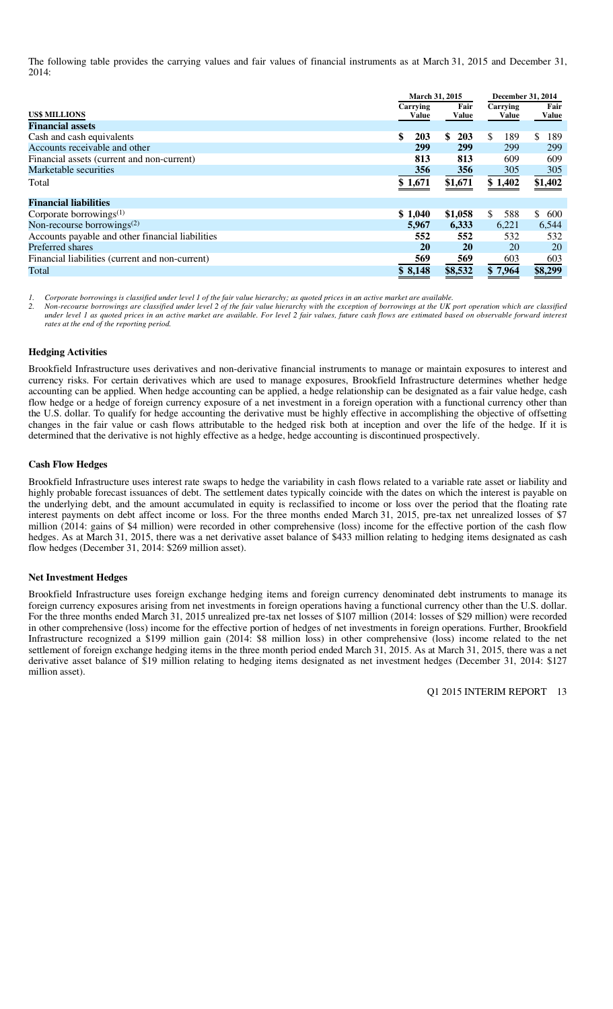The following table provides the carrying values and fair values of financial instruments as at March 31, 2015 and December 31, 2014:

|                                                  |    | March 31, 2015    | <b>December 31, 2014</b> |                      |          |       |     |               |
|--------------------------------------------------|----|-------------------|--------------------------|----------------------|----------|-------|-----|---------------|
| <b>US\$ MILLIONS</b>                             |    | Carrying<br>Value |                          | Fair<br><b>Value</b> | Carrying | Value |     | Fair<br>Value |
| <b>Financial assets</b>                          |    |                   |                          |                      |          |       |     |               |
| Cash and cash equivalents                        | \$ | 203               | \$.                      | 203                  | \$.      | 189   | \$. | 189           |
| Accounts receivable and other                    |    | 299               |                          | 299                  |          | 299   |     | 299           |
| Financial assets (current and non-current)       |    | 813               |                          | 813                  |          | 609   |     | 609           |
| Marketable securities                            |    | 356               |                          | 356                  |          | 305   |     | 305           |
| Total                                            |    | \$1,671           |                          | \$1,671              | \$1,402  |       |     | \$1,402       |
| <b>Financial liabilities</b>                     |    |                   |                          |                      |          |       |     |               |
| Corporate borrowings $(1)$                       |    | \$1,040           |                          | \$1,058              | \$       | 588   | \$. | 600           |
| Non-recourse borrowings $(2)$                    |    | 5,967             |                          | 6,333                |          | 6,221 |     | 6,544         |
| Accounts payable and other financial liabilities |    | 552               |                          | 552                  |          | 532   |     | 532           |
| Preferred shares                                 |    | 20                |                          | 20                   |          | 20    |     | <b>20</b>     |
| Financial liabilities (current and non-current)  |    | 569               |                          | 569                  |          | 603   |     | 603           |
| Total                                            |    | \$ 8.148          |                          | \$8,532              | \$7,964  |       |     | \$8,299       |

*1. Corporate borrowings is classified under level 1 of the fair value hierarchy; as quoted prices in an active market are available.* 

*2. Non-recourse borrowings are classified under level 2 of the fair value hierarchy with the exception of borrowings at the UK port operation which are classified under level 1 as quoted prices in an active market are available. For level 2 fair values, future cash flows are estimated based on observable forward interest rates at the end of the reporting period.* 

#### **Hedging Activities**

Brookfield Infrastructure uses derivatives and non-derivative financial instruments to manage or maintain exposures to interest and currency risks. For certain derivatives which are used to manage exposures, Brookfield Infrastructure determines whether hedge accounting can be applied. When hedge accounting can be applied, a hedge relationship can be designated as a fair value hedge, cash flow hedge or a hedge of foreign currency exposure of a net investment in a foreign operation with a functional currency other than the U.S. dollar. To qualify for hedge accounting the derivative must be highly effective in accomplishing the objective of offsetting changes in the fair value or cash flows attributable to the hedged risk both at inception and over the life of the hedge. If it is determined that the derivative is not highly effective as a hedge, hedge accounting is discontinued prospectively.

#### **Cash Flow Hedges**

Brookfield Infrastructure uses interest rate swaps to hedge the variability in cash flows related to a variable rate asset or liability and highly probable forecast issuances of debt. The settlement dates typically coincide with the dates on which the interest is payable on the underlying debt, and the amount accumulated in equity is reclassified to income or loss over the period that the floating rate interest payments on debt affect income or loss. For the three months ended March 31, 2015, pre-tax net unrealized losses of \$7 million (2014: gains of \$4 million) were recorded in other comprehensive (loss) income for the effective portion of the cash flow hedges. As at March 31, 2015, there was a net derivative asset balance of \$433 million relating to hedging items designated as cash flow hedges (December 31, 2014: \$269 million asset).

#### **Net Investment Hedges**

Brookfield Infrastructure uses foreign exchange hedging items and foreign currency denominated debt instruments to manage its foreign currency exposures arising from net investments in foreign operations having a functional currency other than the U.S. dollar. For the three months ended March 31, 2015 unrealized pre-tax net losses of \$107 million (2014: losses of \$29 million) were recorded in other comprehensive (loss) income for the effective portion of hedges of net investments in foreign operations. Further, Brookfield Infrastructure recognized a \$199 million gain (2014: \$8 million loss) in other comprehensive (loss) income related to the net settlement of foreign exchange hedging items in the three month period ended March 31, 2015. As at March 31, 2015, there was a net derivative asset balance of \$19 million relating to hedging items designated as net investment hedges (December 31, 2014: \$127 million asset).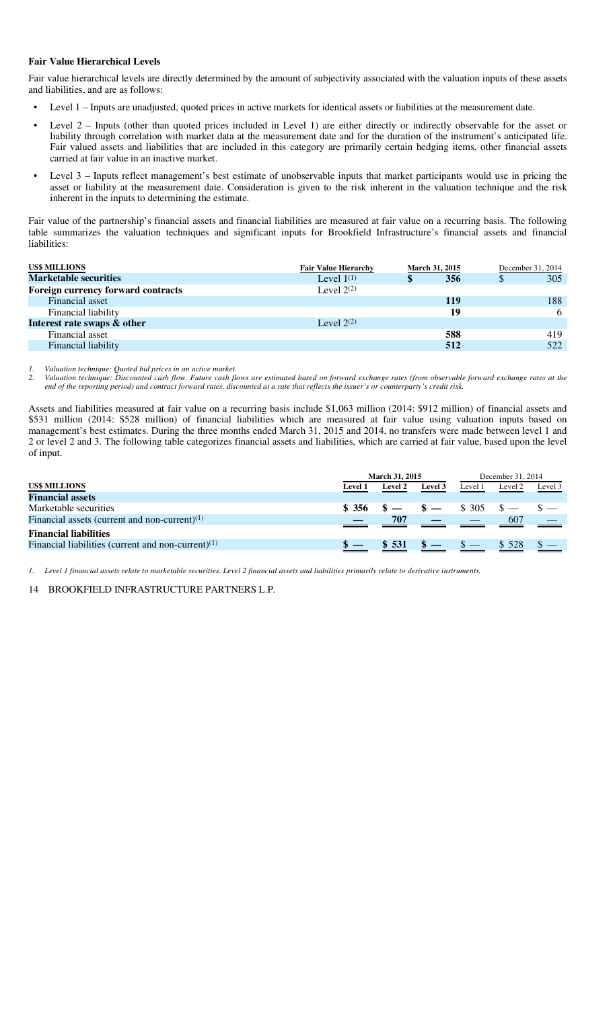#### **Fair Value Hierarchical Levels**

Fair value hierarchical levels are directly determined by the amount of subjectivity associated with the valuation inputs of these assets and liabilities, and are as follows:

- Level 1 Inputs are unadjusted, quoted prices in active markets for identical assets or liabilities at the measurement date.
- Level 2 Inputs (other than quoted prices included in Level 1) are either directly or indirectly observable for the asset or liability through correlation with market data at the measurement date and for the duration of the instrument's anticipated life. Fair valued assets and liabilities that are included in this category are primarily certain hedging items, other financial assets carried at fair value in an inactive market.
- Level 3 Inputs reflect management's best estimate of unobservable inputs that market participants would use in pricing the asset or liability at the measurement date. Consideration is given to the risk inherent in the valuation technique and the risk inherent in the inputs to determining the estimate.

Fair value of the partnership's financial assets and financial liabilities are measured at fair value on a recurring basis. The following table summarizes the valuation techniques and significant inputs for Brookfield Infrastructure's financial assets and financial liabilities:

| <b>Fair Value Hierarchy</b> |     |                       | December 31, 2014 |
|-----------------------------|-----|-----------------------|-------------------|
| Level $1^{(1)}$             | 356 | <sup>S</sup>          | 305               |
| Level $2^{(2)}$             |     |                       |                   |
|                             | 119 |                       | 188               |
|                             | 19  |                       | 6                 |
| Level $2^{(2)}$             |     |                       |                   |
|                             | 588 |                       | 419               |
|                             | 512 |                       | 522               |
|                             |     | <b>March 31, 2015</b> |                   |

*1. Valuation technique: Quoted bid prices in an active market.* 

*2. Valuation technique: Discounted cash flow. Future cash flows are estimated based on forward exchange rates (from observable forward exchange rates at the end of the reporting period) and contract forward rates, discounted at a rate that reflects the issuer's or counterparty's credit risk.* 

Assets and liabilities measured at fair value on a recurring basis include \$1,063 million (2014: \$912 million) of financial assets and \$531 million (2014: \$528 million) of financial liabilities which are measured at fair value using valuation inputs based on management's best estimates. During the three months ended March 31, 2015 and 2014, no transfers were made between level 1 and 2 or level 2 and 3. The following table categorizes financial assets and liabilities, which are carried at fair value, based upon the level of input.

|                                                       | <b>March 31, 2015</b> |                |         | December 31, 2014 |         |         |
|-------------------------------------------------------|-----------------------|----------------|---------|-------------------|---------|---------|
| <b>US\$ MILLIONS</b>                                  | <b>Level 1</b>        | <b>Level 2</b> | Level 3 | Level 1           | Level 2 | Level 3 |
| <b>Financial assets</b>                               |                       |                |         |                   |         |         |
| Marketable securities                                 | \$356                 | $s - s -$      |         | \$ 305            |         |         |
| Financial assets (current and non-current) $(1)$      |                       | 707            |         |                   | 607     |         |
| <b>Financial liabilities</b>                          |                       |                |         |                   |         |         |
| Financial liabilities (current and non-current) $(1)$ |                       | $\$ 531$       |         | $\mathcal{S}$ —   | \$ 528  |         |

*1. Level 1 financial assets relate to marketable securities. Level 2 financial assets and liabilities primarily relate to derivative instruments.*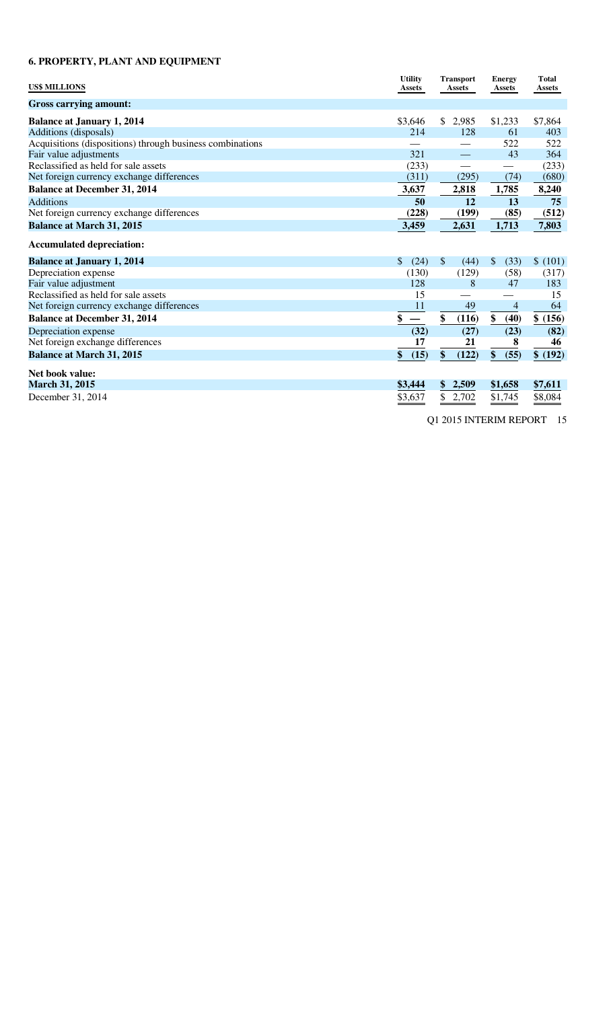# **6. PROPERTY, PLANT AND EQUIPMENT**

| <b>US\$ MILLIONS</b>                                      | <b>Utility</b><br><b>Assets</b> | <b>Transport</b><br><b>Assets</b> | <b>Energy</b><br><b>Assets</b> | <b>Total</b><br><b>Assets</b> |
|-----------------------------------------------------------|---------------------------------|-----------------------------------|--------------------------------|-------------------------------|
| <b>Gross carrying amount:</b>                             |                                 |                                   |                                |                               |
| <b>Balance at January 1, 2014</b>                         | \$3,646                         | \$<br>2,985                       | \$1,233                        | \$7,864                       |
| Additions (disposals)                                     | 214                             | 128                               | 61                             | 403                           |
| Acquisitions (dispositions) through business combinations |                                 |                                   | 522                            | 522                           |
| Fair value adjustments                                    | 321                             |                                   | 43                             | 364                           |
| Reclassified as held for sale assets                      | (233)                           |                                   |                                | (233)                         |
| Net foreign currency exchange differences                 | (311)                           | (295)                             | (74)                           | (680)                         |
| <b>Balance at December 31, 2014</b>                       | 3,637                           | 2,818                             | 1,785                          | 8,240                         |
| <b>Additions</b>                                          | 50                              | 12                                | 13                             | 75                            |
| Net foreign currency exchange differences                 | (228)                           | (199)                             | (85)                           | (512)                         |
| <b>Balance at March 31, 2015</b>                          | 3,459                           | 2,631                             | 1,713                          | 7,803                         |
| <b>Accumulated depreciation:</b>                          |                                 |                                   |                                |                               |
| <b>Balance at January 1, 2014</b>                         | \$<br>(24)                      | $\mathcal{S}$<br>(44)             | \$<br>(33)                     | \$(101)                       |
| Depreciation expense                                      | (130)                           | (129)                             | (58)                           | (317)                         |
| Fair value adjustment                                     | 128                             | 8                                 | 47                             | 183                           |
| Reclassified as held for sale assets                      | 15                              |                                   |                                | 15                            |
| Net foreign currency exchange differences                 | 11                              | 49                                | $\overline{4}$                 | 64                            |
| <b>Balance at December 31, 2014</b>                       | \$                              | \$<br>(116)                       | \$<br>(40)                     | \$ (156)                      |
| Depreciation expense                                      | (32)                            | (27)                              | (23)                           | (82)                          |
| Net foreign exchange differences                          | 17                              | 21                                | 8                              | 46                            |
| <b>Balance at March 31, 2015</b>                          | \$<br>(15)                      | \$<br>(122)                       | \$<br>(55)                     | \$ (192)                      |
| Net book value:                                           |                                 |                                   |                                |                               |
| March 31, 2015                                            | \$3,444                         | \$<br>2,509                       | \$1,658                        | \$7,611                       |
| December 31, 2014                                         | \$3,637                         | \$<br>2,702                       | \$1,745                        | \$8,084                       |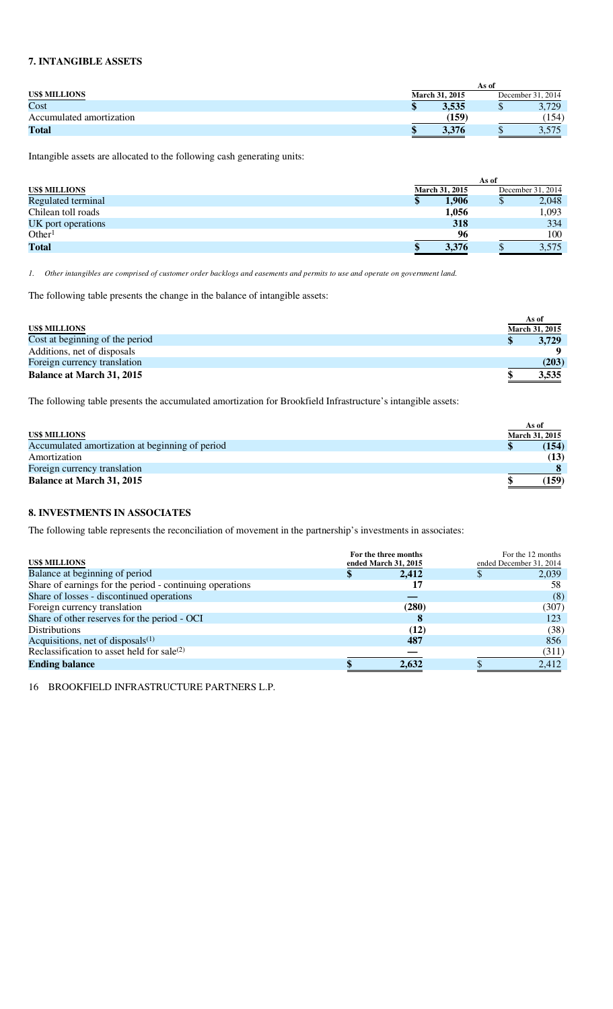# **7. INTANGIBLE ASSETS**

|                          | As of                 |                   |
|--------------------------|-----------------------|-------------------|
| <b>US\$ MILLIONS</b>     | <b>March 31, 2015</b> | December 31, 2014 |
| Cost                     | 3,535                 | 3,729<br>Ψ        |
| Accumulated amortization | (159)                 | 154)              |
| Total                    | 3.376                 | J.J IJ            |

Intangible assets are allocated to the following cash generating units:

|                      | As of |                |   |                   |  |  |
|----------------------|-------|----------------|---|-------------------|--|--|
| <b>US\$ MILLIONS</b> |       | March 31, 2015 |   | December 31, 2014 |  |  |
| Regulated terminal   | Φ     | 1.906          | Φ | 2,048             |  |  |
| Chilean toll roads   |       | 1,056          |   | 1,093             |  |  |
| UK port operations   |       | 318            |   | 334               |  |  |
| Other <sup>1</sup>   |       | 96             |   | 100               |  |  |
| <b>Total</b>         |       | 3,376          |   | 3,575             |  |  |

*1. Other intangibles are comprised of customer order backlogs and easements and permits to use and operate on government land.* 

The following table presents the change in the balance of intangible assets:

|                                  | As of                 |
|----------------------------------|-----------------------|
| <b>US\$ MILLIONS</b>             | <b>March 31, 2015</b> |
| Cost at beginning of the period  | 3,729                 |
| Additions, net of disposals      |                       |
| Foreign currency translation     | (203)                 |
| <b>Balance at March 31, 2015</b> | 3,535                 |

The following table presents the accumulated amortization for Brookfield Infrastructure's intangible assets:

|                                                 | As of          |
|-------------------------------------------------|----------------|
| <b>US\$ MILLIONS</b>                            | March 31, 2015 |
| Accumulated amortization at beginning of period | (154)          |
| Amortization                                    | (13)           |
| Foreign currency translation                    |                |
| <b>Balance at March 31, 2015</b>                | (159)          |

### **8. INVESTMENTS IN ASSOCIATES**

The following table represents the reconciliation of movement in the partnership's investments in associates:

| <b>US\$ MILLIONS</b>                                     | For the three months<br>ended March 31, 2015 | For the 12 months<br>ended December 31, 2014 |
|----------------------------------------------------------|----------------------------------------------|----------------------------------------------|
| Balance at beginning of period                           | 2.412                                        | 2,039                                        |
| Share of earnings for the period - continuing operations | 17                                           | 58                                           |
| Share of losses - discontinued operations                |                                              | (8)                                          |
| Foreign currency translation                             | (280)                                        | (307)                                        |
| Share of other reserves for the period - OCI             | 8                                            | 123                                          |
| <b>Distributions</b>                                     | (12)                                         | (38)                                         |
| Acquisitions, net of disposals $(1)$                     | 487                                          | 856                                          |
| Reclassification to asset held for sale(2)               |                                              | (311)                                        |
| <b>Ending balance</b>                                    | 2,632                                        | 2,412                                        |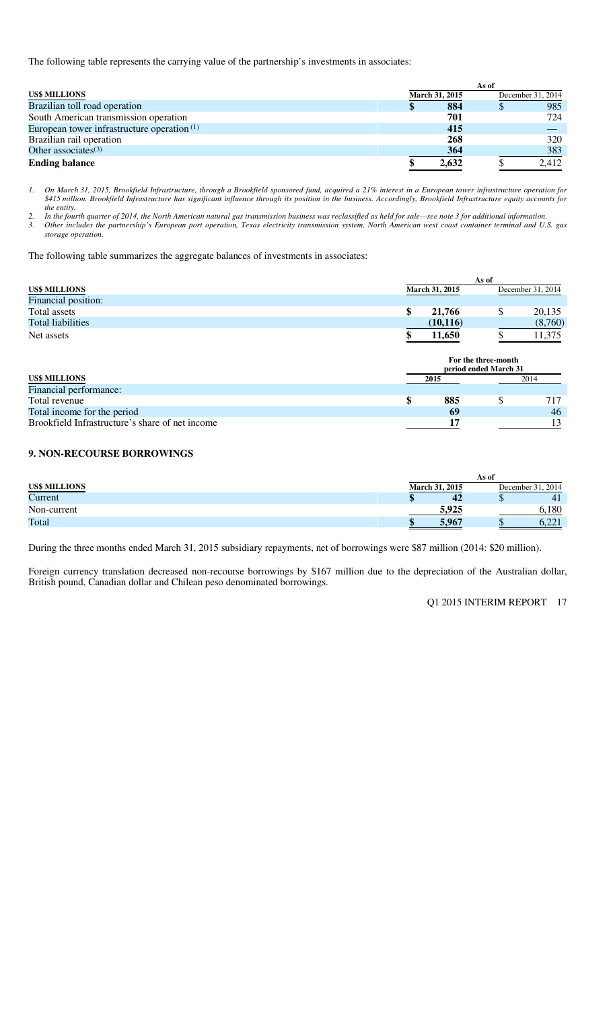The following table represents the carrying value of the partnership's investments in associates:

|                                               | As of |                |  |                   |  |  |  |
|-----------------------------------------------|-------|----------------|--|-------------------|--|--|--|
| <b>US\$ MILLIONS</b>                          |       | March 31, 2015 |  | December 31, 2014 |  |  |  |
| Brazilian toll road operation                 |       | 884            |  | 985               |  |  |  |
| South American transmission operation         |       | 701            |  | 724               |  |  |  |
| European tower infrastructure operation $(1)$ |       | 415            |  |                   |  |  |  |
| Brazilian rail operation                      |       | 268            |  | 320               |  |  |  |
| Other associates $(3)$                        |       | 364            |  | 383               |  |  |  |
| <b>Ending balance</b>                         |       | 2,632          |  | 2,412             |  |  |  |

*1. On March 31, 2015, Brookfield Infrastructure, through a Brookfield sponsored fund, acquired a 21% interest in a European tower infrastructure operation for \$415 million. Brookfield Infrastructure has significant influence through its position in the business. Accordingly, Brookfield Infrastructure equity accounts for the entity.* 

*2. In the fourth quarter of 2014, the North American natural gas transmission business was reclassified as held for sale—see note 3 for additional information. 3. Other includes the partnership's European port operation, Texas electricity transmission system, North American west coast container terminal and U.S. gas storage operation.* 

The following table summarizes the aggregate balances of investments in associates:

|                          | As of                 |                   |  |  |  |  |  |  |
|--------------------------|-----------------------|-------------------|--|--|--|--|--|--|
| <b>US\$ MILLIONS</b>     | <b>March 31, 2015</b> | December 31, 2014 |  |  |  |  |  |  |
| Financial position:      |                       |                   |  |  |  |  |  |  |
| Total assets             | 21,766                | 20,135            |  |  |  |  |  |  |
| <b>Total liabilities</b> | (10, 116)             | (8,760)           |  |  |  |  |  |  |
| Net assets               | 11.650                | 1,375             |  |  |  |  |  |  |

|                                                 | For the three-month<br>period ended March 31 |      |  |    |  |  |  |
|-------------------------------------------------|----------------------------------------------|------|--|----|--|--|--|
| <b>US\$ MILLIONS</b>                            |                                              | 2015 |  |    |  |  |  |
| Financial performance:                          |                                              |      |  |    |  |  |  |
| Total revenue                                   |                                              | 885  |  |    |  |  |  |
| Total income for the period                     |                                              | 69   |  | 46 |  |  |  |
| Brookfield Infrastructure's share of net income |                                              | 17   |  |    |  |  |  |

### **9. NON-RECOURSE BORROWINGS**

|                      | As of                 |                                     |  |  |  |  |  |  |
|----------------------|-----------------------|-------------------------------------|--|--|--|--|--|--|
| <b>US\$ MILLIONS</b> | <b>March 31, 2015</b> | December 31, 2014                   |  |  |  |  |  |  |
| Current              | 42<br>ш               | 4 <sub>1</sub><br>ιIJ               |  |  |  |  |  |  |
| Non-current          | 5.925                 | 5.180                               |  |  |  |  |  |  |
| Total                | 5.967                 | $\bigcap$ $\bigcap$ 1<br>w<br>9.441 |  |  |  |  |  |  |

During the three months ended March 31, 2015 subsidiary repayments, net of borrowings were \$87 million (2014: \$20 million).

Foreign currency translation decreased non-recourse borrowings by \$167 million due to the depreciation of the Australian dollar, British pound, Canadian dollar and Chilean peso denominated borrowings.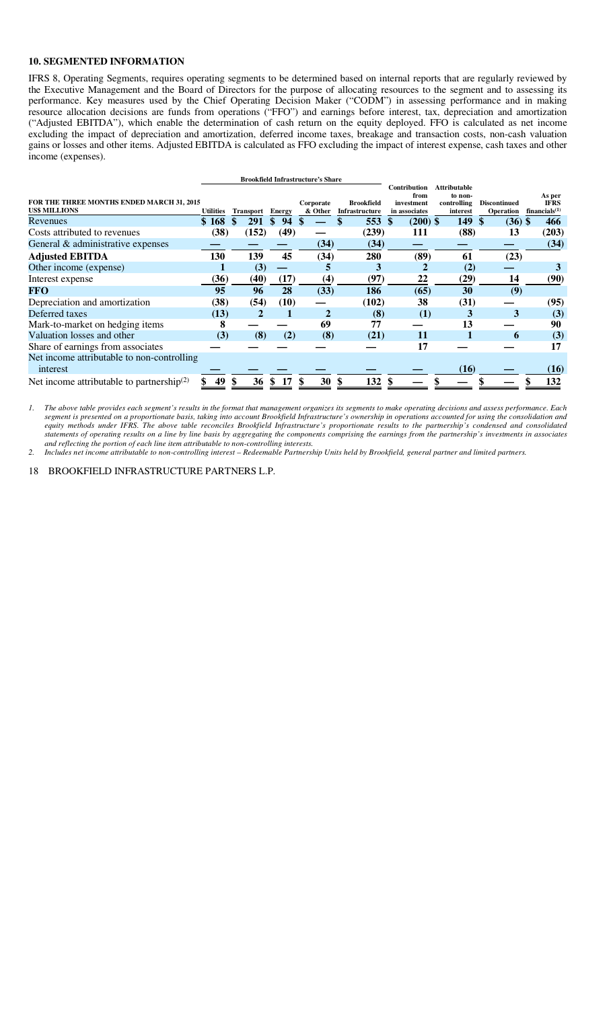#### **10. SEGMENTED INFORMATION**

IFRS 8, Operating Segments, requires operating segments to be determined based on internal reports that are regularly reviewed by the Executive Management and the Board of Directors for the purpose of allocating resources to the segment and to assessing its performance. Key measures used by the Chief Operating Decision Maker ("CODM") in assessing performance and in making resource allocation decisions are funds from operations ("FFO") and earnings before interest, tax, depreciation and amortization ("Adjusted EBITDA"), which enable the determination of cash return on the equity deployed. FFO is calculated as net income excluding the impact of depreciation and amortization, deferred income taxes, breakage and transaction costs, non-cash valuation gains or losses and other items. Adjusted EBITDA is calculated as FFO excluding the impact of interest expense, cash taxes and other income (expenses).

|                                              |                  |                  |       |           | <b>Brookfield Infrastructure's Share</b> |                   |                    |                        |                     |                       |
|----------------------------------------------|------------------|------------------|-------|-----------|------------------------------------------|-------------------|--------------------|------------------------|---------------------|-----------------------|
|                                              |                  |                  |       |           |                                          |                   | Contribution       | <b>Attributable</b>    |                     |                       |
| FOR THE THREE MONTHS ENDED MARCH 31, 2015    |                  |                  |       |           | Corporate                                | <b>Brookfield</b> | from<br>investment | to non-<br>controlling | <b>Discontinued</b> | As per<br><b>IFRS</b> |
| <b>US\$ MILLIONS</b>                         | <b>Utilities</b> | <b>Transport</b> |       | Energy    | & Other                                  | Infrastructure    | in associates      | interest               | <b>Operation</b>    | financials $(1)$      |
| Revenues                                     | \$168            |                  | 291   | 94<br>\$. |                                          | 553               | $(200)$ \$<br>-S   | 149                    | \$<br>$(36)$ \$     | 466                   |
| Costs attributed to revenues                 | (38)             |                  | (152) | (49)      |                                          | (239)             | 111                | (88)                   | 13                  | (203)                 |
| General & administrative expenses            |                  |                  |       |           | (34)                                     | (34)              |                    |                        |                     | (34)                  |
| <b>Adjusted EBITDA</b>                       | 130              |                  | 139   | 45        | (34)                                     | 280               | (89)               | 61                     | (23)                |                       |
| Other income (expense)                       |                  |                  | (3)   |           | 5                                        | 3                 |                    | (2)                    |                     | 3                     |
| Interest expense                             | (36)             |                  | (40)  | (17)      | (4)                                      | (97)              | 22                 | (29)                   | 14                  | (90)                  |
| <b>FFO</b>                                   | 95               |                  | 96    | 28        | (33)                                     | 186               | (65)               | 30                     | (9)                 |                       |
| Depreciation and amortization                | (38)             |                  | (54)  | (10)      |                                          | (102)             | 38                 | (31)                   |                     | (95)                  |
| Deferred taxes                               | (13)             |                  | 2     |           | $\mathbf{2}$                             | (8)               | (1)                | 3                      | 3                   | (3)                   |
| Mark-to-market on hedging items              | 8                |                  |       |           | 69                                       | 77                |                    | 13                     |                     | 90                    |
| Valuation losses and other                   | (3)              |                  | (8)   | (2)       | (8)                                      | (21)              | 11                 |                        | 6                   | (3)                   |
| Share of earnings from associates            |                  |                  |       |           |                                          |                   | 17                 |                        |                     | 17                    |
| Net income attributable to non-controlling   |                  |                  |       |           |                                          |                   |                    |                        |                     |                       |
| interest                                     |                  |                  |       |           |                                          |                   |                    | (16)                   |                     | (16)                  |
| Net income attributable to partnership $(2)$ | 49               |                  | 36    | 17        | 30                                       | 132<br>\$         |                    |                        |                     | 132                   |

*1. The above table provides each segment's results in the format that management organizes its segments to make operating decisions and assess performance. Each segment is presented on a proportionate basis, taking into account Brookfield Infrastructure's ownership in operations accounted for using the consolidation and*  equity methods under IFRS. The above table reconciles Brookfield Infrastructure's proportionate results to the partnership's condensed and consolidated *statements of operating results on a line by line basis by aggregating the components comprising the earnings from the partnership's investments in associates and reflecting the portion of each line item attributable to non-controlling interests.* 

*2. Includes net income attributable to non-controlling interest – Redeemable Partnership Units held by Brookfield, general partner and limited partners.*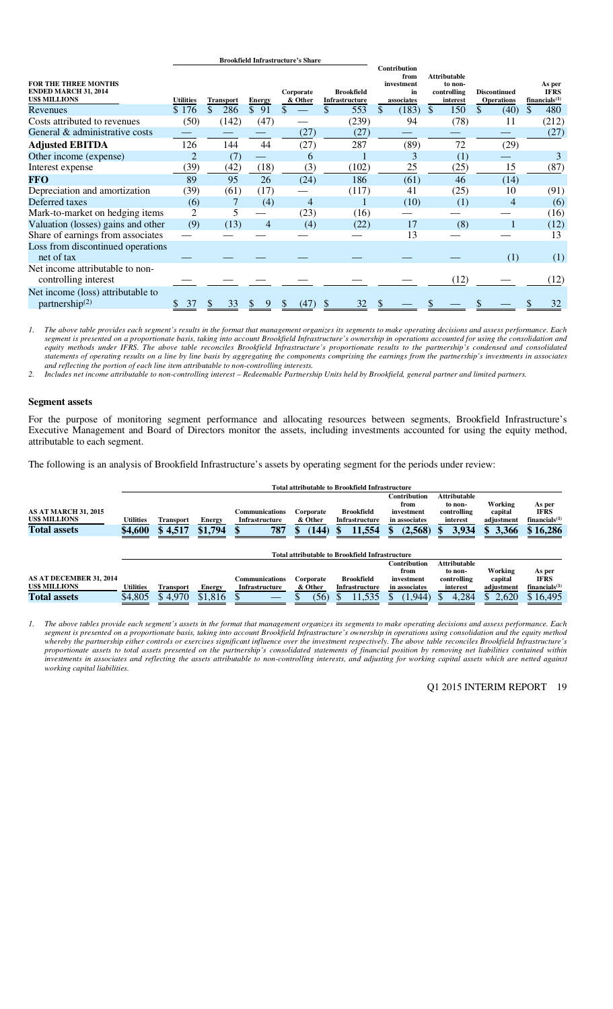|                                                                                    |                  |                      |               | <b>Brookheid Imrastructure s share</b> |                                     |                                                               |                                                           |                                          |                                                    |
|------------------------------------------------------------------------------------|------------------|----------------------|---------------|----------------------------------------|-------------------------------------|---------------------------------------------------------------|-----------------------------------------------------------|------------------------------------------|----------------------------------------------------|
| <b>FOR THE THREE MONTHS</b><br><b>ENDED MARCH 31, 2014</b><br><b>US\$ MILLIONS</b> | <b>Utilities</b> | <b>Transport</b>     | <b>Energy</b> | Corporate<br>& Other                   | <b>Brookfield</b><br>Infrastructure | <b>Contribution</b><br>from<br>investment<br>in<br>associates | <b>Attributable</b><br>to non-<br>controlling<br>interest | <b>Discontinued</b><br><b>Operations</b> | As per<br><b>IFRS</b><br>financials <sup>(1)</sup> |
| Revenues                                                                           | \$176            | $\mathcal{S}$<br>286 | \$91          |                                        | 553<br>\$                           | \$<br>(183)                                                   | 150<br><sup>\$</sup>                                      | \$.<br>(40)                              | 480<br>\$.                                         |
| Costs attributed to revenues                                                       | (50)             | (142)                | (47)          |                                        | (239)                               | 94                                                            | (78)                                                      | 11                                       | (212)                                              |
| General & administrative costs                                                     |                  |                      |               | (27)                                   | (27)                                |                                                               |                                                           |                                          | (27)                                               |
| <b>Adjusted EBITDA</b>                                                             | 126              | 144                  | 44            | (27)                                   | 287                                 | (89)                                                          | 72                                                        | (29)                                     |                                                    |
| Other income (expense)                                                             | 2                | (7)                  |               | 6                                      |                                     | 3                                                             | (1)                                                       |                                          | 3                                                  |
| Interest expense                                                                   | (39)             | (42)                 | (18)          | (3)                                    | (102)                               | 25                                                            | (25)                                                      | 15                                       | (87)                                               |
| <b>FFO</b>                                                                         | 89               | 95                   | 26            | (24)                                   | 186                                 | (61)                                                          | 46                                                        | (14)                                     |                                                    |
| Depreciation and amortization                                                      | (39)             | (61)                 | (17)          |                                        | (117)                               | 41                                                            | (25)                                                      | 10                                       | (91)                                               |
| Deferred taxes                                                                     | (6)              |                      | (4)           | 4                                      |                                     | (10)                                                          | (1)                                                       | 4                                        | (6)                                                |
| Mark-to-market on hedging items                                                    | 2                | 5                    |               | (23)                                   | (16)                                |                                                               |                                                           |                                          | (16)                                               |
| Valuation (losses) gains and other                                                 | (9)              | (13)                 | 4             | (4)                                    | (22)                                | 17                                                            | (8)                                                       |                                          | (12)                                               |
| Share of earnings from associates                                                  |                  |                      |               |                                        |                                     | 13                                                            |                                                           |                                          | 13                                                 |
| Loss from discontinued operations<br>net of tax                                    |                  |                      |               |                                        |                                     |                                                               |                                                           | (1)                                      | (1)                                                |
| Net income attributable to non-<br>controlling interest                            |                  |                      |               |                                        |                                     |                                                               | (12)                                                      |                                          | (12)                                               |
| Net income (loss) attributable to<br>partnership $(2)$                             | 37<br>\$         | 33                   | 9<br>S        | (47)                                   | 32                                  |                                                               |                                                           |                                          | 32                                                 |

**Brookfield Infrastructure's Share**

*1. The above table provides each segment's results in the format that management organizes its segments to make operating decisions and assess performance. Each segment is presented on a proportionate basis, taking into account Brookfield Infrastructure's ownership in operations accounted for using the consolidation and equity methods under IFRS. The above table reconciles Brookfield Infrastructure's proportionate results to the partnership's condensed and consolidated statements of operating results on a line by line basis by aggregating the components comprising the earnings from the partnership's investments in associates and reflecting the portion of each line item attributable to non-controlling interests.* 

*2. Includes net income attributable to non-controlling interest – Redeemable Partnership Units held by Brookfield, general partner and limited partners.* 

#### **Segment assets**

For the purpose of monitoring segment performance and allocating resources between segments, Brookfield Infrastructure's Executive Management and Board of Directors monitor the assets, including investments accounted for using the equity method, attributable to each segment.

The following is an analysis of Brookfield Infrastructure's assets by operating segment for the periods under review:

|                                                                     |                      | <b>Total attributable to Brookfield Infrastructure</b> |                          |                                                       |                                     |                                                        |                                                                 |                                                                    |                                                 |                                                                |  |  |  |  |
|---------------------------------------------------------------------|----------------------|--------------------------------------------------------|--------------------------|-------------------------------------------------------|-------------------------------------|--------------------------------------------------------|-----------------------------------------------------------------|--------------------------------------------------------------------|-------------------------------------------------|----------------------------------------------------------------|--|--|--|--|
| <b>AS AT MARCH 31, 2015</b><br>US\$ MILLIONS<br><b>Total assets</b> | Utilities<br>\$4,600 | <b>Transport</b><br>\$4,517                            | <b>Energy</b><br>\$1,794 | <b>Communications</b><br><b>Infrastructure</b><br>787 | Corporate<br>& Other<br>(144)<br>\$ | <b>Brookfield</b><br>Infrastructure<br>11,554<br>ж     | Contribution<br>from<br>investment<br>in associates<br>(2, 568) | <b>Attributable</b><br>to non-<br>controlling<br>interest<br>3,934 | Working<br>capital<br>adjustment<br>3,366<br>M. | As per<br><b>IFRS</b><br>financials <sup>(1)</sup><br>\$16,286 |  |  |  |  |
|                                                                     |                      |                                                        |                          |                                                       |                                     | <b>Total attributable to Brookfield Infrastructure</b> |                                                                 |                                                                    |                                                 |                                                                |  |  |  |  |
|                                                                     |                      |                                                        |                          |                                                       |                                     |                                                        | Contribution                                                    | <b>Attributable</b>                                                |                                                 |                                                                |  |  |  |  |
|                                                                     |                      |                                                        |                          |                                                       |                                     |                                                        | from                                                            | to non-                                                            | Working                                         | As per                                                         |  |  |  |  |
| AS AT DECEMBER 31, 2014                                             |                      |                                                        |                          | <b>Communications</b>                                 | Corporate                           | <b>Brookfield</b>                                      | investment                                                      | controlling                                                        | capital                                         | <b>IFRS</b>                                                    |  |  |  |  |
| <b>US\$ MILLIONS</b>                                                | Utilities            | <b>Transport</b>                                       | <b>Energy</b>            | Infrastructure                                        | & Other                             | Infrastructure                                         | in associates                                                   | interest                                                           | adjustment                                      | financials $(1)$                                               |  |  |  |  |
| <b>Total assets</b>                                                 | \$4,805              | \$4.970                                                | \$1,816                  |                                                       | (56)                                | 11,535                                                 | (1, 944)                                                        | 4,284                                                              | 2.620                                           | \$16,495                                                       |  |  |  |  |

*1. The above tables provide each segment's assets in the format that management organizes its segments to make operating decisions and assess performance. Each segment is presented on a proportionate basis, taking into account Brookfield Infrastructure's ownership in operations using consolidation and the equity method whereby the partnership either controls or exercises significant influence over the investment respectively. The above table reconciles Brookfield Infrastructure's proportionate assets to total assets presented on the partnership's consolidated statements of financial position by removing net liabilities contained within investments in associates and reflecting the assets attributable to non-controlling interests, and adjusting for working capital assets which are netted against working capital liabilities.*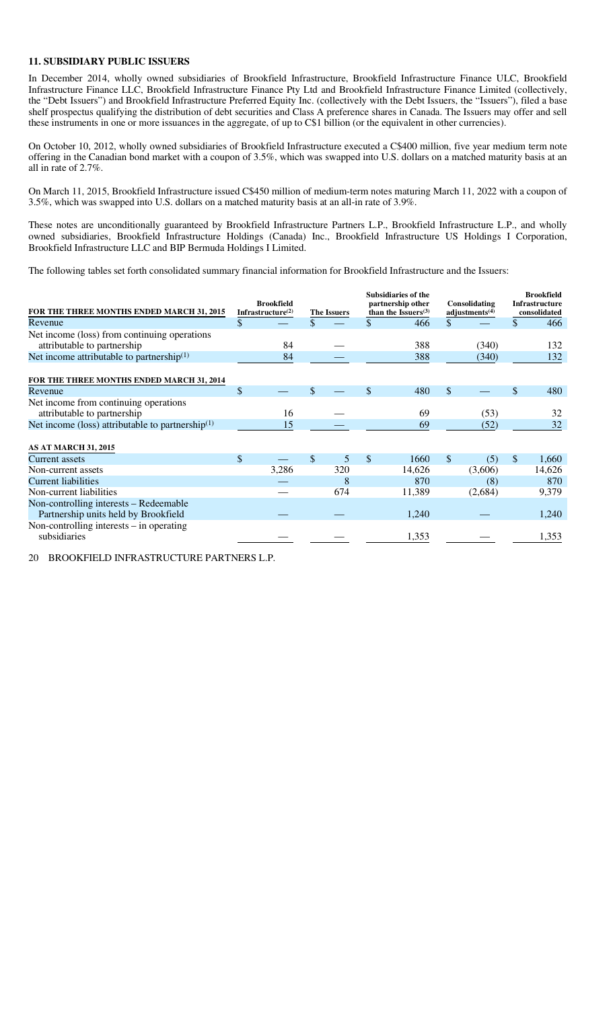#### **11. SUBSIDIARY PUBLIC ISSUERS**

In December 2014, wholly owned subsidiaries of Brookfield Infrastructure, Brookfield Infrastructure Finance ULC, Brookfield Infrastructure Finance LLC, Brookfield Infrastructure Finance Pty Ltd and Brookfield Infrastructure Finance Limited (collectively, the "Debt Issuers") and Brookfield Infrastructure Preferred Equity Inc. (collectively with the Debt Issuers, the "Issuers"), filed a base shelf prospectus qualifying the distribution of debt securities and Class A preference shares in Canada. The Issuers may offer and sell these instruments in one or more issuances in the aggregate, of up to C\$1 billion (or the equivalent in other currencies).

On October 10, 2012, wholly owned subsidiaries of Brookfield Infrastructure executed a C\$400 million, five year medium term note offering in the Canadian bond market with a coupon of 3.5%, which was swapped into U.S. dollars on a matched maturity basis at an all in rate of 2.7%.

On March 11, 2015, Brookfield Infrastructure issued C\$450 million of medium-term notes maturing March 11, 2022 with a coupon of 3.5%, which was swapped into U.S. dollars on a matched maturity basis at an all-in rate of 3.9%.

These notes are unconditionally guaranteed by Brookfield Infrastructure Partners L.P., Brookfield Infrastructure L.P., and wholly owned subsidiaries, Brookfield Infrastructure Holdings (Canada) Inc., Brookfield Infrastructure US Holdings I Corporation, Brookfield Infrastructure LLC and BIP Bermuda Holdings I Limited.

The following tables set forth consolidated summary financial information for Brookfield Infrastructure and the Issuers:

| FOR THE THREE MONTHS ENDED MARCH 31, 2015             | <b>Brookfield</b><br>Infrastructure $(2)$ | <b>The Issuers</b> |              | <b>Subsidiaries of the</b><br>partnership other<br>than the Issuers $(3)$ | Consolidating<br>adjustments $(4)$ | <b>Brookfield</b><br><b>Infrastructure</b><br>consolidated |
|-------------------------------------------------------|-------------------------------------------|--------------------|--------------|---------------------------------------------------------------------------|------------------------------------|------------------------------------------------------------|
| Revenue                                               | \$                                        |                    |              | 466                                                                       | \$                                 | \$<br>466                                                  |
| Net income (loss) from continuing operations          |                                           |                    |              |                                                                           |                                    |                                                            |
| attributable to partnership                           | 84                                        |                    |              | 388                                                                       | (340)                              | 132                                                        |
| Net income attributable to partnership <sup>(1)</sup> | 84                                        |                    |              | 388                                                                       | (340)                              | 132                                                        |
| FOR THE THREE MONTHS ENDED MARCH 31, 2014             |                                           |                    |              |                                                                           |                                    |                                                            |
| Revenue                                               | \$                                        |                    | \$           | 480                                                                       | \$                                 | \$<br>480                                                  |
| Net income from continuing operations                 |                                           |                    |              |                                                                           |                                    |                                                            |
| attributable to partnership                           | 16                                        |                    |              | 69                                                                        | (53)                               | 32                                                         |
| Net income (loss) attributable to partnership $(1)$   | 15                                        |                    |              | 69                                                                        | (52)                               | 32                                                         |
| <b>AS AT MARCH 31, 2015</b>                           |                                           |                    |              |                                                                           |                                    |                                                            |
| Current assets                                        | \$                                        | \$<br>5            | $\mathbb{S}$ | 1660                                                                      | \$<br>(5)                          | \$<br>1,660                                                |
| Non-current assets                                    | 3,286                                     | 320                |              | 14,626                                                                    | (3,606)                            | 14,626                                                     |
| <b>Current liabilities</b>                            |                                           | 8                  |              | 870                                                                       | (8)                                | 870                                                        |
| Non-current liabilities                               |                                           | 674                |              | 11,389                                                                    | (2,684)                            | 9,379                                                      |
| Non-controlling interests – Redeemable                |                                           |                    |              |                                                                           |                                    |                                                            |
| Partnership units held by Brookfield                  |                                           |                    |              | 1,240                                                                     |                                    | 1,240                                                      |
| Non-controlling interests $-$ in operating            |                                           |                    |              |                                                                           |                                    |                                                            |
| subsidiaries                                          |                                           |                    |              | 1,353                                                                     |                                    | 1,353                                                      |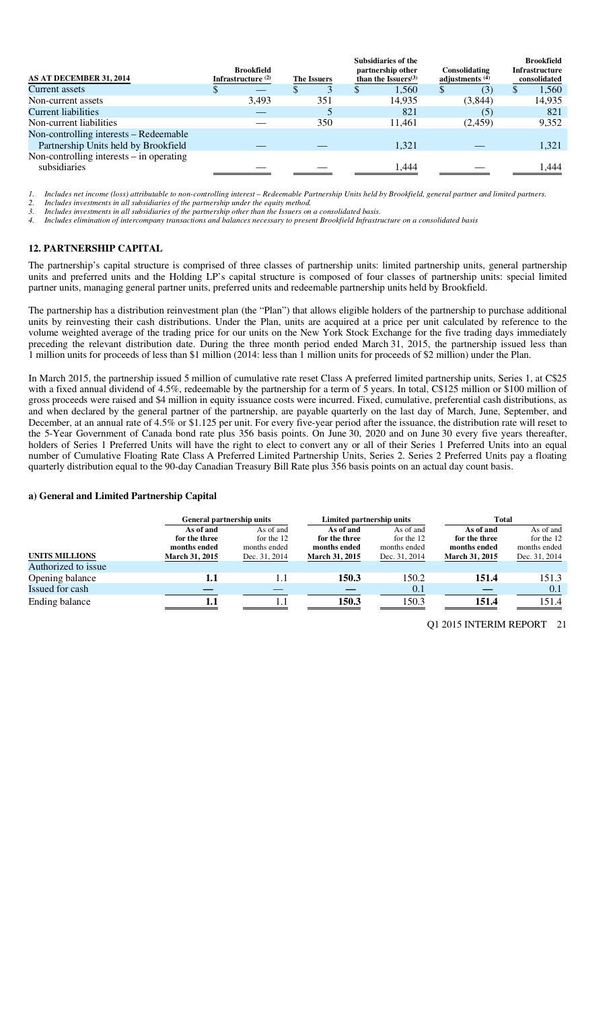| AS AT DECEMBER 31, 2014                                                        | Brookfield<br>Infrastructure $(2)$ | The Issuers | <b>Subsidiaries of the</b><br>partnership other<br>than the Issuers $(3)$ | Consolidating<br>adjustments $(4)$ | <b>Brookfield</b><br><b>Infrastructure</b><br>consolidated |
|--------------------------------------------------------------------------------|------------------------------------|-------------|---------------------------------------------------------------------------|------------------------------------|------------------------------------------------------------|
| Current assets                                                                 |                                    |             | 1.560                                                                     | (3)                                | 1,560<br>\$                                                |
| Non-current assets                                                             | 3,493                              | 351         | 14.935                                                                    | (3,844)                            | 14,935                                                     |
| Current liabilities                                                            |                                    |             | 821                                                                       | (5)                                | 821                                                        |
| Non-current liabilities                                                        |                                    | 350         | 11.461                                                                    | (2,459)                            | 9,352                                                      |
| Non-controlling interests – Redeemable<br>Partnership Units held by Brookfield |                                    |             | 1.321                                                                     |                                    | 1.321                                                      |
| Non-controlling interests $-$ in operating<br>subsidiaries                     |                                    |             | 1,444                                                                     |                                    | .444                                                       |

*1. Includes net income (loss) attributable to non-controlling interest – Redeemable Partnership Units held by Brookfield, general partner and limited partners.* 

*2. Includes investments in all subsidiaries of the partnership under the equity method.* 

*3. Includes investments in all subsidiaries of the partnership other than the Issuers on a consolidated basis.* 

*4. Includes elimination of intercompany transactions and balances necessary to present Brookfield Infrastructure on a consolidated basis* 

# **12. PARTNERSHIP CAPITAL**

The partnership's capital structure is comprised of three classes of partnership units: limited partnership units, general partnership units and preferred units and the Holding LP's capital structure is composed of four classes of partnership units: special limited partner units, managing general partner units, preferred units and redeemable partnership units held by Brookfield.

The partnership has a distribution reinvestment plan (the "Plan") that allows eligible holders of the partnership to purchase additional units by reinvesting their cash distributions. Under the Plan, units are acquired at a price per unit calculated by reference to the volume weighted average of the trading price for our units on the New York Stock Exchange for the five trading days immediately preceding the relevant distribution date. During the three month period ended March 31, 2015, the partnership issued less than 1 million units for proceeds of less than \$1 million (2014: less than 1 million units for proceeds of \$2 million) under the Plan.

In March 2015, the partnership issued 5 million of cumulative rate reset Class A preferred limited partnership units, Series 1, at C\$25 with a fixed annual dividend of 4.5%, redeemable by the partnership for a term of 5 years. In total, C\$125 million or \$100 million of gross proceeds were raised and \$4 million in equity issuance costs were incurred. Fixed, cumulative, preferential cash distributions, as and when declared by the general partner of the partnership, are payable quarterly on the last day of March, June, September, and December, at an annual rate of 4.5% or \$1.125 per unit. For every five-year period after the issuance, the distribution rate will reset to the 5-Year Government of Canada bond rate plus 356 basis points. On June 30, 2020 and on June 30 every five years thereafter, holders of Series 1 Preferred Units will have the right to elect to convert any or all of their Series 1 Preferred Units into an equal number of Cumulative Floating Rate Class A Preferred Limited Partnership Units, Series 2. Series 2 Preferred Units pay a floating quarterly distribution equal to the 90-day Canadian Treasury Bill Rate plus 356 basis points on an actual day count basis.

#### **a) General and Limited Partnership Capital**

|                       | General partnership units |               | Limited partnership units |               | <b>Total</b>          |               |  |  |
|-----------------------|---------------------------|---------------|---------------------------|---------------|-----------------------|---------------|--|--|
|                       | As of and                 | As of and     | As of and                 | As of and     | As of and             | As of and     |  |  |
|                       | for the three             | for the 12    | for the three             | for the 12    | for the three         | for the 12    |  |  |
|                       | months ended              | months ended  | months ended              | months ended  | months ended          | months ended  |  |  |
| <b>UNITS MILLIONS</b> | <b>March 31, 2015</b>     | Dec. 31, 2014 | <b>March 31, 2015</b>     | Dec. 31, 2014 | <b>March 31, 2015</b> | Dec. 31, 2014 |  |  |
| Authorized to issue   |                           |               |                           |               |                       |               |  |  |
| Opening balance       |                           | 1.1           | 150.3                     | 150.2         | 151.4                 | 151.3         |  |  |
| Issued for cash       |                           |               |                           | 0.1           |                       | 0.1           |  |  |
| Ending balance        |                           |               | 150.3                     | 150.3         | 151.4                 | 151.4         |  |  |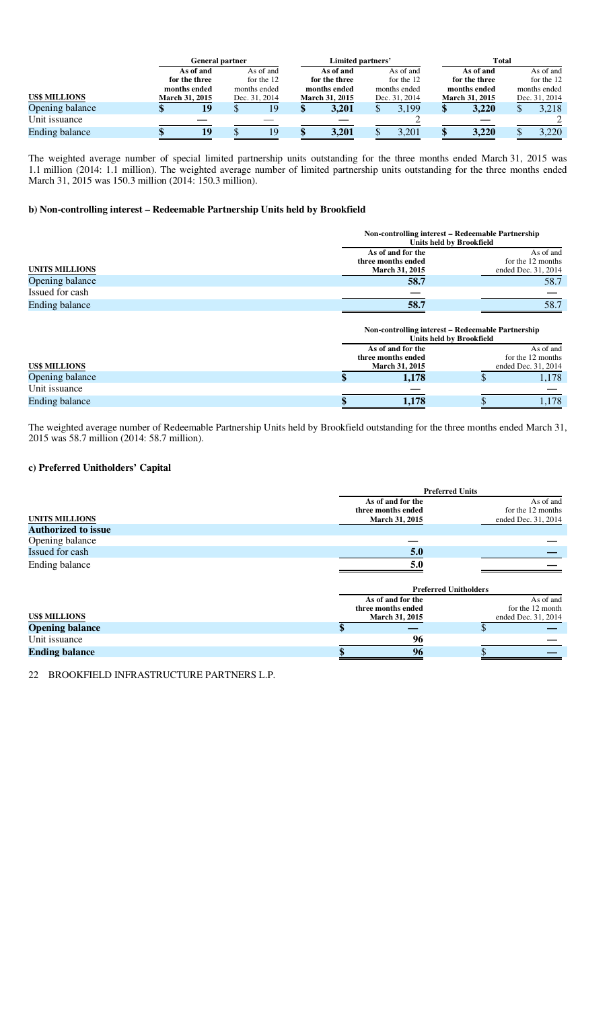|                      |  | <b>General partner</b> |            |               |  | Limited partners'     |           |               | Total     |                       |           |               |           |  |  |  |  |  |  |  |  |  |  |  |  |  |  |  |  |  |  |  |  |  |  |  |  |  |  |  |  |  |  |  |  |  |  |  |               |  |            |  |               |  |              |  |
|----------------------|--|------------------------|------------|---------------|--|-----------------------|-----------|---------------|-----------|-----------------------|-----------|---------------|-----------|--|--|--|--|--|--|--|--|--|--|--|--|--|--|--|--|--|--|--|--|--|--|--|--|--|--|--|--|--|--|--|--|--|--|--|---------------|--|------------|--|---------------|--|--------------|--|
|                      |  | As of and              |            | As of and     |  |                       | As of and |               | As of and |                       | As of and |               | As of and |  |  |  |  |  |  |  |  |  |  |  |  |  |  |  |  |  |  |  |  |  |  |  |  |  |  |  |  |  |  |  |  |  |  |  |               |  |            |  |               |  |              |  |
|                      |  | for the three          | for the 12 |               |  |                       |           |               |           |                       |           |               |           |  |  |  |  |  |  |  |  |  |  |  |  |  |  |  |  |  |  |  |  |  |  |  |  |  |  |  |  |  |  |  |  |  |  |  | for the three |  | for the 12 |  | for the three |  | for the $12$ |  |
|                      |  | months ended           |            | months ended  |  | months ended          |           | months ended  |           | months ended          |           | months ended  |           |  |  |  |  |  |  |  |  |  |  |  |  |  |  |  |  |  |  |  |  |  |  |  |  |  |  |  |  |  |  |  |  |  |  |  |               |  |            |  |               |  |              |  |
| <b>US\$ MILLIONS</b> |  | <b>March 31, 2015</b>  |            | Dec. 31, 2014 |  | <b>March 31, 2015</b> |           | Dec. 31, 2014 |           | <b>March 31, 2015</b> |           | Dec. 31, 2014 |           |  |  |  |  |  |  |  |  |  |  |  |  |  |  |  |  |  |  |  |  |  |  |  |  |  |  |  |  |  |  |  |  |  |  |  |               |  |            |  |               |  |              |  |
| Opening balance      |  | 19                     |            | 19            |  | 3.201                 |           | 3,199         | Φ         | 3.220                 |           | 3,218         |           |  |  |  |  |  |  |  |  |  |  |  |  |  |  |  |  |  |  |  |  |  |  |  |  |  |  |  |  |  |  |  |  |  |  |  |               |  |            |  |               |  |              |  |
| Unit issuance        |  |                        |            |               |  |                       |           |               |           |                       |           |               |           |  |  |  |  |  |  |  |  |  |  |  |  |  |  |  |  |  |  |  |  |  |  |  |  |  |  |  |  |  |  |  |  |  |  |  |               |  |            |  |               |  |              |  |
| Ending balance       |  | 19                     |            | 19            |  | 3,201                 |           | 3,201         |           | 3,220                 |           | 3,220         |           |  |  |  |  |  |  |  |  |  |  |  |  |  |  |  |  |  |  |  |  |  |  |  |  |  |  |  |  |  |  |  |  |  |  |  |               |  |            |  |               |  |              |  |

The weighted average number of special limited partnership units outstanding for the three months ended March 31, 2015 was 1.1 million (2014: 1.1 million). The weighted average number of limited partnership units outstanding for the three months ended March 31, 2015 was 150.3 million (2014: 150.3 million).

# **b) Non-controlling interest – Redeemable Partnership Units held by Brookfield**

|                       | Non-controlling interest – Redeemable Partnership<br>Units held by Brookfield |                     |
|-----------------------|-------------------------------------------------------------------------------|---------------------|
|                       | As of and for the                                                             | As of and           |
|                       | three months ended                                                            | for the 12 months   |
| <b>UNITS MILLIONS</b> | <b>March 31, 2015</b>                                                         | ended Dec. 31, 2014 |
| Opening balance       | 58.7                                                                          | 58.7                |
| Issued for cash       |                                                                               |                     |
| <b>Ending balance</b> | 58.7                                                                          | 58.7                |

|                      | Non-controlling interest – Redeemable Partnership | <b>Units held by Brookfield</b> |                     |  |  |  |  |
|----------------------|---------------------------------------------------|---------------------------------|---------------------|--|--|--|--|
|                      | As of and<br>As of and for the                    |                                 |                     |  |  |  |  |
|                      | three months ended                                |                                 | for the 12 months   |  |  |  |  |
| <b>US\$ MILLIONS</b> | <b>March 31, 2015</b>                             |                                 | ended Dec. 31, 2014 |  |  |  |  |
| Opening balance      | 1,178                                             |                                 | 1,178               |  |  |  |  |
| Unit issuance        |                                                   |                                 |                     |  |  |  |  |
| Ending balance       | 1,178                                             |                                 | 1,178               |  |  |  |  |

The weighted average number of Redeemable Partnership Units held by Brookfield outstanding for the three months ended March 31, 2015 was 58.7 million (2014: 58.7 million).

#### **c) Preferred Unitholders' Capital**

|                            |                              | <b>Preferred Units</b> |  |  |  |  |  |
|----------------------------|------------------------------|------------------------|--|--|--|--|--|
|                            | As of and for the            | As of and              |  |  |  |  |  |
|                            | three months ended           | for the 12 months      |  |  |  |  |  |
| UNITS MILLIONS             | <b>March 31, 2015</b>        | ended Dec. 31, 2014    |  |  |  |  |  |
| <b>Authorized to issue</b> |                              |                        |  |  |  |  |  |
| Opening balance            |                              |                        |  |  |  |  |  |
| Issued for cash            | 5.0                          |                        |  |  |  |  |  |
| Ending balance             | 5.0                          |                        |  |  |  |  |  |
|                            | <b>Preferred Unitholders</b> |                        |  |  |  |  |  |

|                        | 11 cici i cu chidroideis |  |                     |  |  |  |  |
|------------------------|--------------------------|--|---------------------|--|--|--|--|
|                        | As of and for the        |  | As of and           |  |  |  |  |
|                        | three months ended       |  | for the 12 month    |  |  |  |  |
| US\$ MILLIONS          | <b>March 31, 2015</b>    |  | ended Dec. 31, 2014 |  |  |  |  |
| <b>Opening balance</b> |                          |  |                     |  |  |  |  |
| Unit issuance          | 96                       |  |                     |  |  |  |  |
| <b>Ending balance</b>  | 96                       |  |                     |  |  |  |  |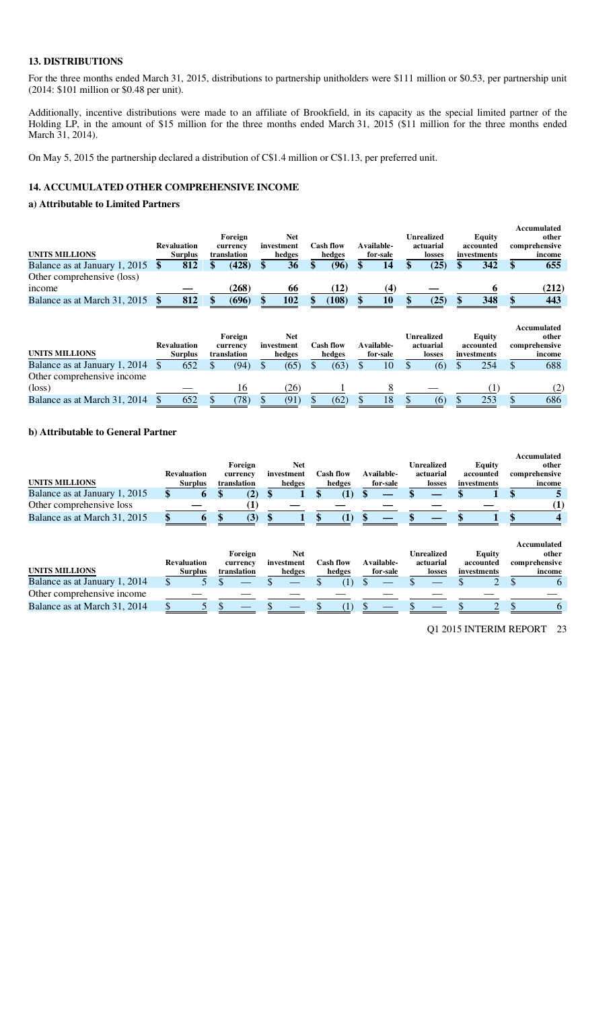#### **13. DISTRIBUTIONS**

For the three months ended March 31, 2015, distributions to partnership unitholders were \$111 million or \$0.53, per partnership unit (2014: \$101 million or \$0.48 per unit).

Additionally, incentive distributions were made to an affiliate of Brookfield, in its capacity as the special limited partner of the Holding LP, in the amount of \$15 million for the three months ended March 31, 2015 (\$11 million for the three months ended March 31, 2014).

On May 5, 2015 the partnership declared a distribution of C\$1.4 million or C\$1.13, per preferred unit.

# **14. ACCUMULATED OTHER COMPREHENSIVE INCOME**

#### **a) Attributable to Limited Partners**

|                               |                    |             |            |           |            |            |             | Accumulated   |
|-------------------------------|--------------------|-------------|------------|-----------|------------|------------|-------------|---------------|
|                               |                    | Foreign     | Net        |           |            | Unrealized | Equity      | other         |
|                               | <b>Revaluation</b> | currency    | investment | Cash flow | Available- | actuarial  | accounted   | comprehensive |
| <b>UNITS MILLIONS</b>         | <b>Surplus</b>     | translation | hedges     | hedges    | for-sale   | losses     | investments | income        |
| Balance as at January 1, 2015 | 812                | (428)       | 36         | 96        | 14         | (25)       | 342         | 655           |
| Other comprehensive (loss)    |                    |             |            |           |            |            |             |               |
| income                        |                    | (268)       | 66         | $\bf{12}$ | 4          |            |             | (212)         |
| Balance as at March 31, 2015  | 812                | (696)       | 102        | (108)     | 10         | (25)       | 348         | 443           |

| <b>UNITS MILLIONS</b>         | <b>Revaluation</b><br><b>Surplus</b> |     | Foreign<br>currency<br>translation | Net<br>investment<br>hedges | <b>Cash flow</b><br>hedges | Available-<br>for-sale | Unrealized<br>actuarial<br>losses | Equity<br>accounted<br>investments | Accumulated<br>other<br>comprehensive<br>income |     |
|-------------------------------|--------------------------------------|-----|------------------------------------|-----------------------------|----------------------------|------------------------|-----------------------------------|------------------------------------|-------------------------------------------------|-----|
| Balance as at January 1, 2014 |                                      | 652 | (94)                               | (65)                        | (63)                       | 10                     | (6)                               | 254                                |                                                 | 688 |
| Other comprehensive income    |                                      |     |                                    |                             |                            |                        |                                   |                                    |                                                 |     |
| $(\text{loss})$               |                                      |     | 16                                 | 26)                         |                            |                        |                                   |                                    |                                                 | (2) |
| Balance as at March 31, 2014  |                                      | 652 | 78)                                | (91)                        | (62)                       | 18                     | (6)                               | 253                                |                                                 | 686 |

#### **b) Attributable to General Partner**

|                               |                    |                           |            |                   |                   |                   |             | Accumulated   |
|-------------------------------|--------------------|---------------------------|------------|-------------------|-------------------|-------------------|-------------|---------------|
|                               |                    | Foreign                   | Net        |                   |                   | <b>Unrealized</b> | Equity      | other         |
|                               | <b>Revaluation</b> | currency                  | investment | C <b>ash flow</b> | <b>Available-</b> | actuarial         | accounted   | comprehensive |
| <b>UNITS MILLIONS</b>         | <b>Surplus</b>     | translation               | hedges     | hedges            | for-sale          | losses            | investments | income        |
| Balance as at January 1, 2015 |                    |                           |            |                   |                   |                   |             |               |
| Other comprehensive loss      |                    |                           |            |                   |                   |                   |             |               |
| Balance as at March 31, 2015  |                    | $\mathbf{J}^{\mathbf{r}}$ |            |                   |                   |                   |             |               |

|                               | <b>Revaluation</b> | Foreign<br>currency | Net<br>investment | Cash flow | Available- | Unrealized<br>actuarial | Equity<br>accounted | Accumulated<br>other<br>comprehensive |
|-------------------------------|--------------------|---------------------|-------------------|-----------|------------|-------------------------|---------------------|---------------------------------------|
| <b>UNITS MILLIONS</b>         | <b>Surplus</b>     | translation         | hedges            | hedges    | for-sale   | losses                  | investments         | income                                |
| Balance as at January 1, 2014 |                    |                     |                   |           |            |                         |                     |                                       |
| Other comprehensive income    |                    |                     |                   |           |            |                         |                     |                                       |
| Balance as at March 31, 2014  |                    |                     |                   |           |            |                         |                     |                                       |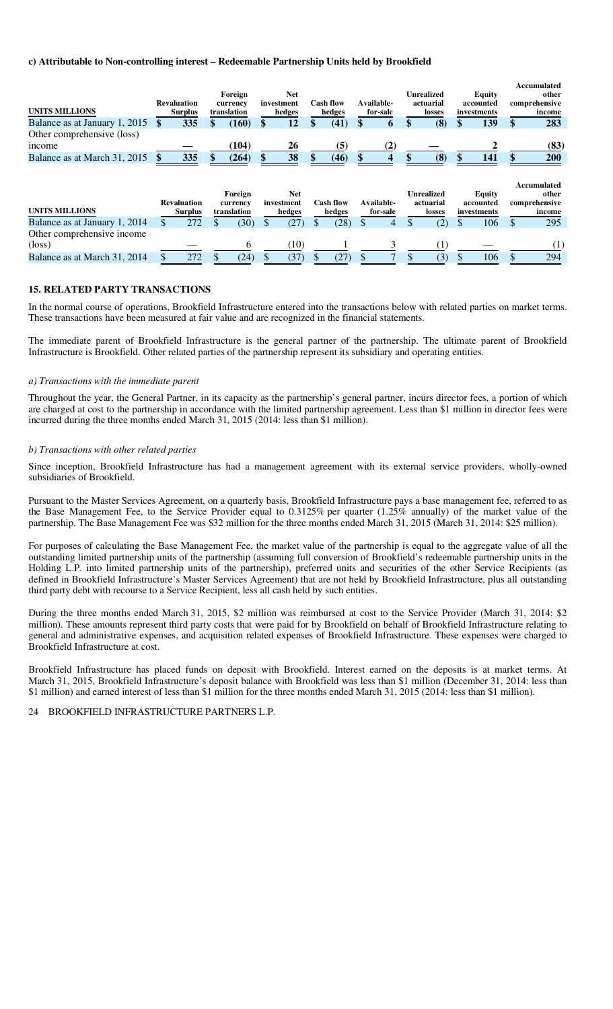#### **c) Attributable to Non-controlling interest – Redeemable Partnership Units held by Brookfield**

| <b>UNITS MILLIONS</b>                         | <b>Revaluation</b><br><b>Surplus</b> | Foreign<br>currency<br>translation | <b>Net</b><br>investment<br>hedges | <b>Cash flow</b><br>hedges |     | Available-<br>for-sale | <b>Unrealized</b><br>actuarial<br>losses | Equity<br>accounted<br>investments        | Accumulated<br>other<br>comprehensive<br>income        |
|-----------------------------------------------|--------------------------------------|------------------------------------|------------------------------------|----------------------------|-----|------------------------|------------------------------------------|-------------------------------------------|--------------------------------------------------------|
| Balance as at January 1, 2015                 | 335                                  | (160)                              | 12                                 | (41)                       |     | 6                      | (8)                                      | 139                                       | 283                                                    |
| Other comprehensive (loss)<br>income          |                                      | (104)                              | 26                                 | (5)                        |     | $\bf(2)$               |                                          |                                           | (83)                                                   |
| Balance as at March 31, 2015                  | 335                                  | (264)                              | 38                                 | (46)                       |     | 4                      | (8)                                      | \$<br>141                                 | 200                                                    |
| <b>UNITS MILLIONS</b>                         | <b>Revaluation</b><br><b>Surplus</b> | Foreign<br>currency<br>translation | <b>Net</b><br>investment<br>hedges | <b>Cash flow</b><br>hedges |     | Available-<br>for-sale | <b>Unrealized</b><br>actuarial<br>losses | <b>Equity</b><br>accounted<br>investments | <b>Accumulated</b><br>other<br>comprehensive<br>income |
| Balance as at January 1, 2014                 | 272                                  | (30)                               | (27)                               | \$<br>(28)                 |     | 4                      | (2)                                      | 106                                       | \$<br>295                                              |
| Other comprehensive income<br>$(\text{loss})$ |                                      | 6                                  | (10)                               |                            |     |                        | $\left( 1\right)$                        |                                           | (1)                                                    |
| Balance as at March 31, 2014                  | 272                                  | (24)                               | (37)                               | (27)                       | \$. | $\overline{7}$         | (3)                                      | 106                                       | 294                                                    |

# **15. RELATED PARTY TRANSACTIONS**

In the normal course of operations, Brookfield Infrastructure entered into the transactions below with related parties on market terms. These transactions have been measured at fair value and are recognized in the financial statements.

The immediate parent of Brookfield Infrastructure is the general partner of the partnership. The ultimate parent of Brookfield Infrastructure is Brookfield. Other related parties of the partnership represent its subsidiary and operating entities.

#### *a) Transactions with the immediate parent*

Throughout the year, the General Partner, in its capacity as the partnership's general partner, incurs director fees, a portion of which are charged at cost to the partnership in accordance with the limited partnership agreement. Less than \$1 million in director fees were incurred during the three months ended March 31, 2015 (2014: less than \$1 million).

#### *b) Transactions with other related parties*

Since inception, Brookfield Infrastructure has had a management agreement with its external service providers, wholly-owned subsidiaries of Brookfield.

Pursuant to the Master Services Agreement, on a quarterly basis, Brookfield Infrastructure pays a base management fee, referred to as the Base Management Fee, to the Service Provider equal to 0.3125% per quarter (1.25% annually) of the market value of the partnership. The Base Management Fee was \$32 million for the three months ended March 31, 2015 (March 31, 2014: \$25 million).

For purposes of calculating the Base Management Fee, the market value of the partnership is equal to the aggregate value of all the outstanding limited partnership units of the partnership (assuming full conversion of Brookfield's redeemable partnership units in the Holding L.P. into limited partnership units of the partnership), preferred units and securities of the other Service Recipients (as defined in Brookfield Infrastructure's Master Services Agreement) that are not held by Brookfield Infrastructure, plus all outstanding third party debt with recourse to a Service Recipient, less all cash held by such entities.

During the three months ended March 31, 2015, \$2 million was reimbursed at cost to the Service Provider (March 31, 2014: \$2 million). These amounts represent third party costs that were paid for by Brookfield on behalf of Brookfield Infrastructure relating to general and administrative expenses, and acquisition related expenses of Brookfield Infrastructure. These expenses were charged to Brookfield Infrastructure at cost.

Brookfield Infrastructure has placed funds on deposit with Brookfield. Interest earned on the deposits is at market terms. At March 31, 2015, Brookfield Infrastructure's deposit balance with Brookfield was less than \$1 million (December 31, 2014: less than \$1 million) and earned interest of less than \$1 million for the three months ended March 31, 2015 (2014: less than \$1 million).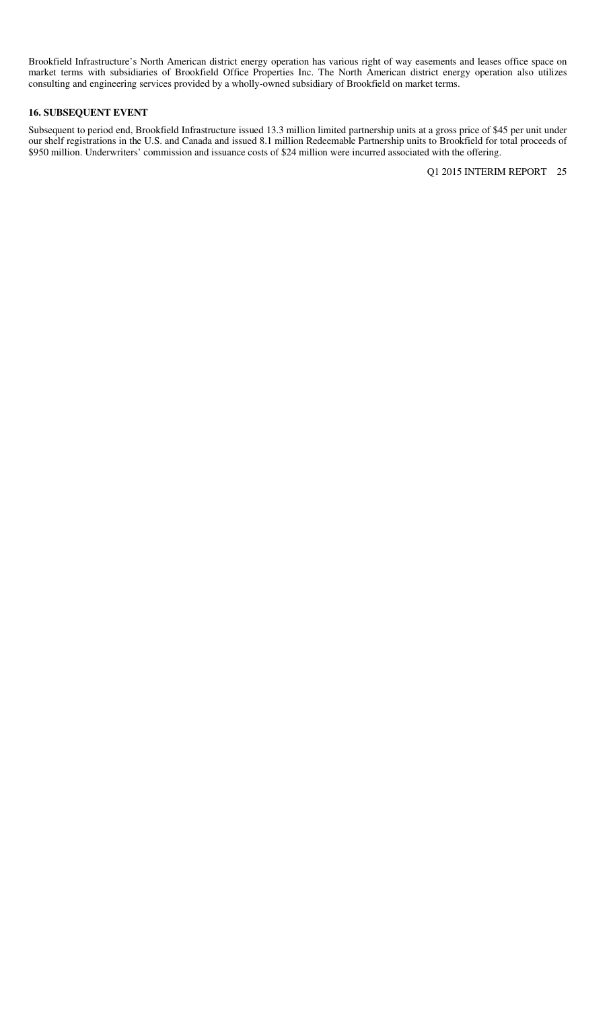Brookfield Infrastructure's North American district energy operation has various right of way easements and leases office space on market terms with subsidiaries of Brookfield Office Properties Inc. The North American district energy operation also utilizes consulting and engineering services provided by a wholly-owned subsidiary of Brookfield on market terms.

# **16. SUBSEQUENT EVENT**

Subsequent to period end, Brookfield Infrastructure issued 13.3 million limited partnership units at a gross price of \$45 per unit under our shelf registrations in the U.S. and Canada and issued 8.1 million Redeemable Partnership units to Brookfield for total proceeds of \$950 million. Underwriters' commission and issuance costs of \$24 million were incurred associated with the offering.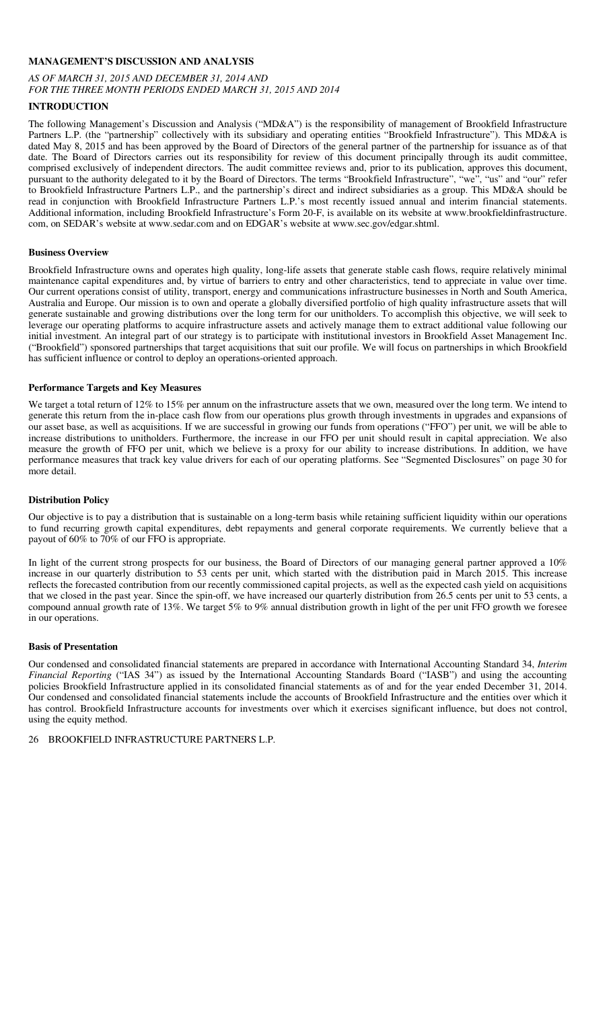#### **MANAGEMENT'S DISCUSSION AND ANALYSIS**

#### *AS OF MARCH 31, 2015 AND DECEMBER 31, 2014 AND FOR THE THREE MONTH PERIODS ENDED MARCH 31, 2015 AND 2014*

# **INTRODUCTION**

The following Management's Discussion and Analysis ("MD&A") is the responsibility of management of Brookfield Infrastructure Partners L.P. (the "partnership" collectively with its subsidiary and operating entities "Brookfield Infrastructure"). This MD&A is dated May 8, 2015 and has been approved by the Board of Directors of the general partner of the partnership for issuance as of that date. The Board of Directors carries out its responsibility for review of this document principally through its audit committee, comprised exclusively of independent directors. The audit committee reviews and, prior to its publication, approves this document, pursuant to the authority delegated to it by the Board of Directors. The terms "Brookfield Infrastructure", "we", "us" and "our" refer to Brookfield Infrastructure Partners L.P., and the partnership's direct and indirect subsidiaries as a group. This MD&A should be read in conjunction with Brookfield Infrastructure Partners L.P.'s most recently issued annual and interim financial statements. Additional information, including Brookfield Infrastructure's Form 20-F, is available on its website at www.brookfieldinfrastructure. com, on SEDAR's website at www.sedar.com and on EDGAR's website at www.sec.gov/edgar.shtml.

#### **Business Overview**

Brookfield Infrastructure owns and operates high quality, long-life assets that generate stable cash flows, require relatively minimal maintenance capital expenditures and, by virtue of barriers to entry and other characteristics, tend to appreciate in value over time. Our current operations consist of utility, transport, energy and communications infrastructure businesses in North and South America, Australia and Europe. Our mission is to own and operate a globally diversified portfolio of high quality infrastructure assets that will generate sustainable and growing distributions over the long term for our unitholders. To accomplish this objective, we will seek to leverage our operating platforms to acquire infrastructure assets and actively manage them to extract additional value following our initial investment. An integral part of our strategy is to participate with institutional investors in Brookfield Asset Management Inc. ("Brookfield") sponsored partnerships that target acquisitions that suit our profile. We will focus on partnerships in which Brookfield has sufficient influence or control to deploy an operations-oriented approach.

#### **Performance Targets and Key Measures**

We target a total return of 12% to 15% per annum on the infrastructure assets that we own, measured over the long term. We intend to generate this return from the in-place cash flow from our operations plus growth through investments in upgrades and expansions of our asset base, as well as acquisitions. If we are successful in growing our funds from operations ("FFO") per unit, we will be able to increase distributions to unitholders. Furthermore, the increase in our FFO per unit should result in capital appreciation. We also measure the growth of FFO per unit, which we believe is a proxy for our ability to increase distributions. In addition, we have performance measures that track key value drivers for each of our operating platforms. See "Segmented Disclosures" on page 30 for more detail.

#### **Distribution Policy**

Our objective is to pay a distribution that is sustainable on a long-term basis while retaining sufficient liquidity within our operations to fund recurring growth capital expenditures, debt repayments and general corporate requirements. We currently believe that a payout of 60% to 70% of our FFO is appropriate.

In light of the current strong prospects for our business, the Board of Directors of our managing general partner approved a 10% increase in our quarterly distribution to 53 cents per unit, which started with the distribution paid in March 2015. This increase reflects the forecasted contribution from our recently commissioned capital projects, as well as the expected cash yield on acquisitions that we closed in the past year. Since the spin-off, we have increased our quarterly distribution from 26.5 cents per unit to 53 cents, a compound annual growth rate of 13%. We target 5% to 9% annual distribution growth in light of the per unit FFO growth we foresee in our operations.

#### **Basis of Presentation**

Our condensed and consolidated financial statements are prepared in accordance with International Accounting Standard 34, *Interim Financial Reporting* ("IAS 34") as issued by the International Accounting Standards Board ("IASB") and using the accounting policies Brookfield Infrastructure applied in its consolidated financial statements as of and for the year ended December 31, 2014. Our condensed and consolidated financial statements include the accounts of Brookfield Infrastructure and the entities over which it has control. Brookfield Infrastructure accounts for investments over which it exercises significant influence, but does not control, using the equity method.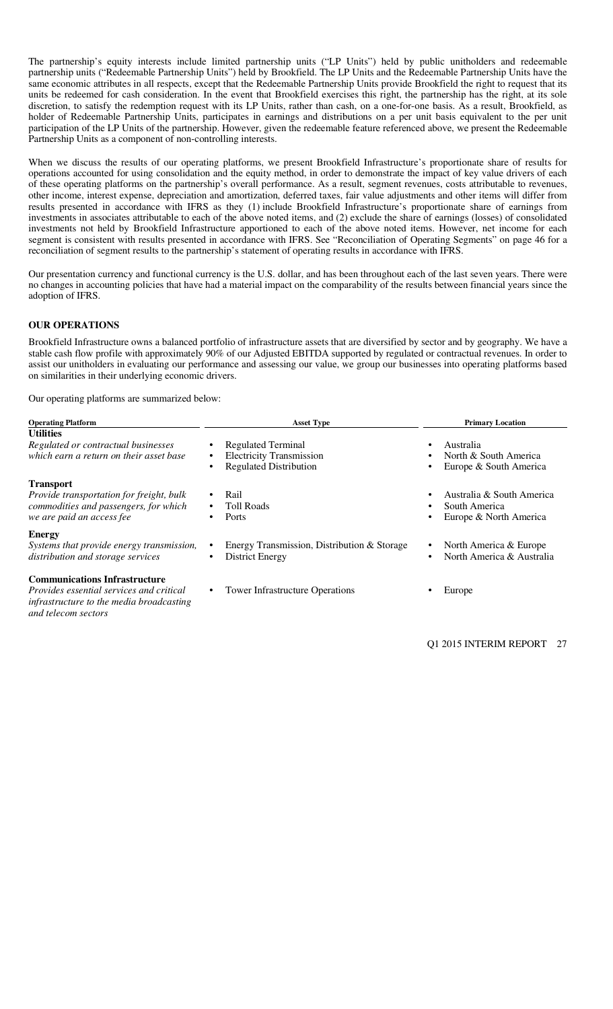The partnership's equity interests include limited partnership units ("LP Units") held by public unitholders and redeemable partnership units ("Redeemable Partnership Units") held by Brookfield. The LP Units and the Redeemable Partnership Units have the same economic attributes in all respects, except that the Redeemable Partnership Units provide Brookfield the right to request that its units be redeemed for cash consideration. In the event that Brookfield exercises this right, the partnership has the right, at its sole discretion, to satisfy the redemption request with its LP Units, rather than cash, on a one-for-one basis. As a result, Brookfield, as holder of Redeemable Partnership Units, participates in earnings and distributions on a per unit basis equivalent to the per unit participation of the LP Units of the partnership. However, given the redeemable feature referenced above, we present the Redeemable Partnership Units as a component of non-controlling interests.

When we discuss the results of our operating platforms, we present Brookfield Infrastructure's proportionate share of results for operations accounted for using consolidation and the equity method, in order to demonstrate the impact of key value drivers of each of these operating platforms on the partnership's overall performance. As a result, segment revenues, costs attributable to revenues, other income, interest expense, depreciation and amortization, deferred taxes, fair value adjustments and other items will differ from results presented in accordance with IFRS as they (1) include Brookfield Infrastructure's proportionate share of earnings from investments in associates attributable to each of the above noted items, and (2) exclude the share of earnings (losses) of consolidated investments not held by Brookfield Infrastructure apportioned to each of the above noted items. However, net income for each segment is consistent with results presented in accordance with IFRS. See "Reconciliation of Operating Segments" on page 46 for a reconciliation of segment results to the partnership's statement of operating results in accordance with IFRS.

Our presentation currency and functional currency is the U.S. dollar, and has been throughout each of the last seven years. There were no changes in accounting policies that have had a material impact on the comparability of the results between financial years since the adoption of IFRS.

### **OUR OPERATIONS**

Brookfield Infrastructure owns a balanced portfolio of infrastructure assets that are diversified by sector and by geography. We have a stable cash flow profile with approximately 90% of our Adjusted EBITDA supported by regulated or contractual revenues. In order to assist our unitholders in evaluating our performance and assessing our value, we group our businesses into operating platforms based on similarities in their underlying economic drivers.

Our operating platforms are summarized below:

| <b>Operating Platform</b>                                                                                                                                  | <b>Asset Type</b>                                                                                                     | <b>Primary Location</b>                                                             |  |  |  |  |
|------------------------------------------------------------------------------------------------------------------------------------------------------------|-----------------------------------------------------------------------------------------------------------------------|-------------------------------------------------------------------------------------|--|--|--|--|
| <b>Utilities</b><br>Regulated or contractual businesses<br>which earn a return on their asset base                                                         | Regulated Terminal<br>$\bullet$<br><b>Electricity Transmission</b><br>$\bullet$<br><b>Regulated Distribution</b><br>٠ | Australia<br>$\bullet$<br>North & South America<br>٠<br>Europe & South America<br>٠ |  |  |  |  |
| <b>Transport</b><br>Provide transportation for freight, bulk<br>commodities and passengers, for which<br>we are paid an access fee                         | Rail<br>$\bullet$<br><b>Toll Roads</b><br>$\bullet$<br>Ports<br>٠                                                     | Australia & South America<br>٠<br>South America<br>٠<br>Europe & North America<br>٠ |  |  |  |  |
| <b>Energy</b><br>Systems that provide energy transmission,<br>distribution and storage services                                                            | Energy Transmission, Distribution & Storage<br>$\bullet$<br><b>District Energy</b><br>٠                               | North America & Europe<br>٠<br>North America & Australia<br>٠                       |  |  |  |  |
| <b>Communications Infrastructure</b><br><i>Provides essential services and critical</i><br>infrastructure to the media broadcasting<br>and telecom sectors | <b>Tower Infrastructure Operations</b><br>$\bullet$                                                                   | Europe                                                                              |  |  |  |  |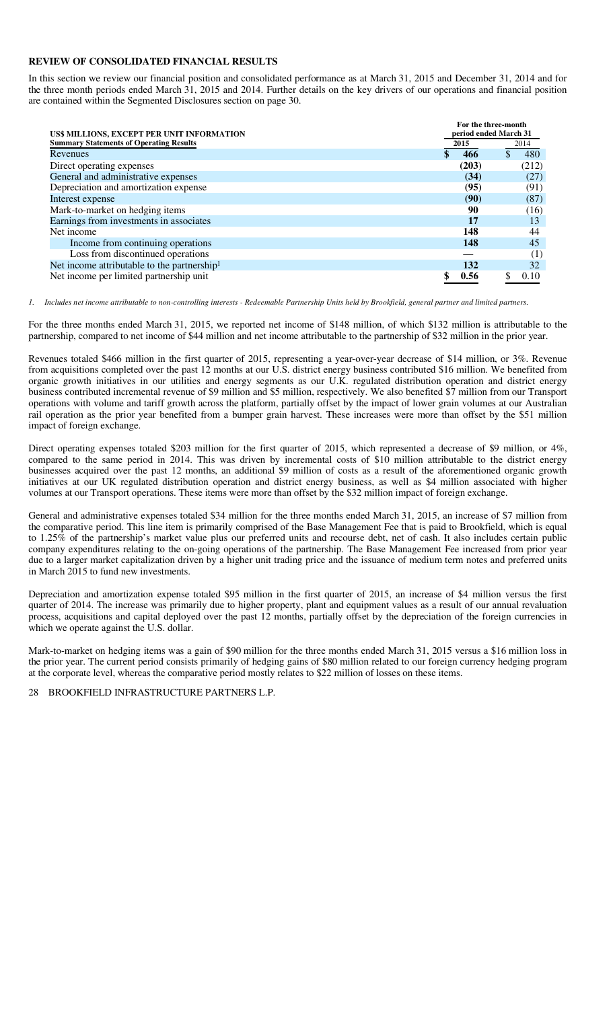#### **REVIEW OF CONSOLIDATED FINANCIAL RESULTS**

In this section we review our financial position and consolidated performance as at March 31, 2015 and December 31, 2014 and for the three month periods ended March 31, 2015 and 2014. Further details on the key drivers of our operations and financial position are contained within the Segmented Disclosures section on page 30.

| US\$ MILLIONS, EXCEPT PER UNIT INFORMATION              |       | For the three-month<br>period ended March 31 |
|---------------------------------------------------------|-------|----------------------------------------------|
| <b>Summary Statements of Operating Results</b>          | 2015  | 2014                                         |
| Revenues                                                | 466   | 480                                          |
| Direct operating expenses                               | (203) | (212)                                        |
| General and administrative expenses                     | (34)  | (27)                                         |
| Depreciation and amortization expense                   | (95)  | (91)                                         |
| Interest expense                                        | (90)  | (87)                                         |
| Mark-to-market on hedging items                         | 90    | (16)                                         |
| Earnings from investments in associates                 | 17    | 13                                           |
| Net income                                              | 148   | 44                                           |
| Income from continuing operations                       | 148   | 45                                           |
| Loss from discontinued operations                       |       | (1)                                          |
| Net income attributable to the partnership <sup>1</sup> | 132   | 32                                           |
| Net income per limited partnership unit                 | 0.56  | 0.10                                         |

*1. Includes net income attributable to non-controlling interests - Redeemable Partnership Units held by Brookfield, general partner and limited partners.* 

For the three months ended March 31, 2015, we reported net income of \$148 million, of which \$132 million is attributable to the partnership, compared to net income of \$44 million and net income attributable to the partnership of \$32 million in the prior year.

Revenues totaled \$466 million in the first quarter of 2015, representing a year-over-year decrease of \$14 million, or 3%. Revenue from acquisitions completed over the past 12 months at our U.S. district energy business contributed \$16 million. We benefited from organic growth initiatives in our utilities and energy segments as our U.K. regulated distribution operation and district energy business contributed incremental revenue of \$9 million and \$5 million, respectively. We also benefited \$7 million from our Transport operations with volume and tariff growth across the platform, partially offset by the impact of lower grain volumes at our Australian rail operation as the prior year benefited from a bumper grain harvest. These increases were more than offset by the \$51 million impact of foreign exchange.

Direct operating expenses totaled \$203 million for the first quarter of 2015, which represented a decrease of \$9 million, or 4%, compared to the same period in 2014. This was driven by incremental costs of \$10 million attributable to the district energy businesses acquired over the past 12 months, an additional \$9 million of costs as a result of the aforementioned organic growth initiatives at our UK regulated distribution operation and district energy business, as well as \$4 million associated with higher volumes at our Transport operations. These items were more than offset by the \$32 million impact of foreign exchange.

General and administrative expenses totaled \$34 million for the three months ended March 31, 2015, an increase of \$7 million from the comparative period. This line item is primarily comprised of the Base Management Fee that is paid to Brookfield, which is equal to 1.25% of the partnership's market value plus our preferred units and recourse debt, net of cash. It also includes certain public company expenditures relating to the on-going operations of the partnership. The Base Management Fee increased from prior year due to a larger market capitalization driven by a higher unit trading price and the issuance of medium term notes and preferred units in March 2015 to fund new investments.

Depreciation and amortization expense totaled \$95 million in the first quarter of 2015, an increase of \$4 million versus the first quarter of 2014. The increase was primarily due to higher property, plant and equipment values as a result of our annual revaluation process, acquisitions and capital deployed over the past 12 months, partially offset by the depreciation of the foreign currencies in which we operate against the U.S. dollar.

Mark-to-market on hedging items was a gain of \$90 million for the three months ended March 31, 2015 versus a \$16 million loss in the prior year. The current period consists primarily of hedging gains of \$80 million related to our foreign currency hedging program at the corporate level, whereas the comparative period mostly relates to \$22 million of losses on these items.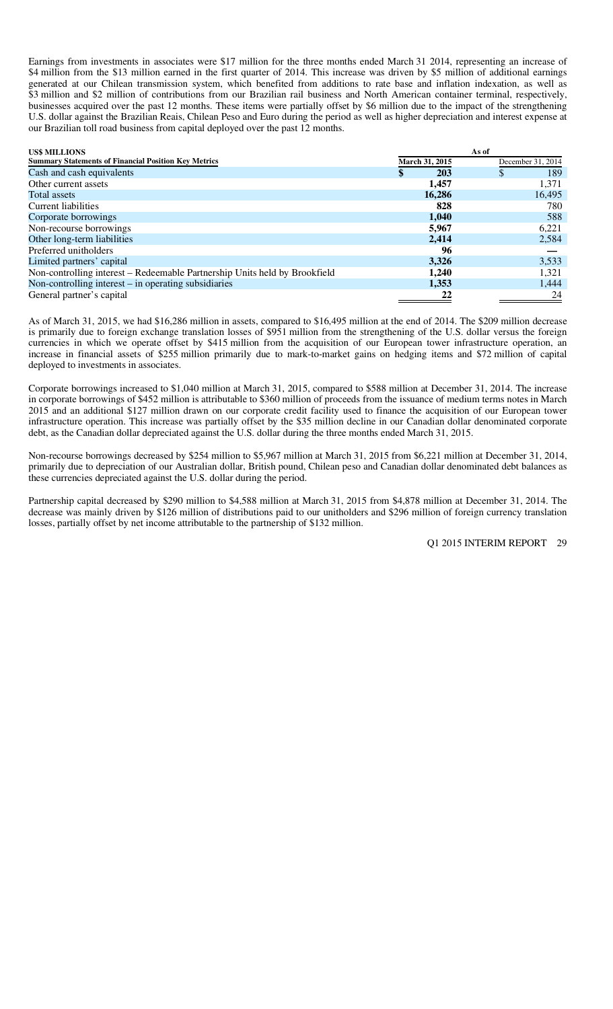Earnings from investments in associates were \$17 million for the three months ended March 31 2014, representing an increase of \$4 million from the \$13 million earned in the first quarter of 2014. This increase was driven by \$5 million of additional earnings generated at our Chilean transmission system, which benefited from additions to rate base and inflation indexation, as well as \$3 million and \$2 million of contributions from our Brazilian rail business and North American container terminal, respectively, businesses acquired over the past 12 months. These items were partially offset by \$6 million due to the impact of the strengthening U.S. dollar against the Brazilian Reais, Chilean Peso and Euro during the period as well as higher depreciation and interest expense at our Brazilian toll road business from capital deployed over the past 12 months.

| <b>US\$ MILLIONS</b>                                                       |                | As of             |
|----------------------------------------------------------------------------|----------------|-------------------|
| <b>Summary Statements of Financial Position Key Metrics</b>                | March 31, 2015 | December 31, 2014 |
| Cash and cash equivalents                                                  | 203            | 189<br><b>S</b>   |
| Other current assets                                                       | 1,457          | 1,371             |
| Total assets                                                               | 16,286         | 16,495            |
| Current liabilities                                                        | 828            | 780               |
| Corporate borrowings                                                       | 1,040          | 588               |
| Non-recourse borrowings                                                    | 5,967          | 6,221             |
| Other long-term liabilities                                                | 2,414          | 2,584             |
| Preferred unitholders                                                      | 96             |                   |
| Limited partners' capital                                                  | 3,326          | 3,533             |
| Non-controlling interest – Redeemable Partnership Units held by Brookfield | 1,240          | 1,321             |
| Non-controlling interest $-$ in operating subsidiaries                     | 1,353          | 1,444             |
| General partner's capital                                                  | 22             | 24                |

As of March 31, 2015, we had \$16,286 million in assets, compared to \$16,495 million at the end of 2014. The \$209 million decrease is primarily due to foreign exchange translation losses of \$951 million from the strengthening of the U.S. dollar versus the foreign currencies in which we operate offset by \$415 million from the acquisition of our European tower infrastructure operation, an increase in financial assets of \$255 million primarily due to mark-to-market gains on hedging items and \$72 million of capital deployed to investments in associates.

Corporate borrowings increased to \$1,040 million at March 31, 2015, compared to \$588 million at December 31, 2014. The increase in corporate borrowings of \$452 million is attributable to \$360 million of proceeds from the issuance of medium terms notes in March 2015 and an additional \$127 million drawn on our corporate credit facility used to finance the acquisition of our European tower infrastructure operation. This increase was partially offset by the \$35 million decline in our Canadian dollar denominated corporate debt, as the Canadian dollar depreciated against the U.S. dollar during the three months ended March 31, 2015.

Non-recourse borrowings decreased by \$254 million to \$5,967 million at March 31, 2015 from \$6,221 million at December 31, 2014, primarily due to depreciation of our Australian dollar, British pound, Chilean peso and Canadian dollar denominated debt balances as these currencies depreciated against the U.S. dollar during the period.

Partnership capital decreased by \$290 million to \$4,588 million at March 31, 2015 from \$4,878 million at December 31, 2014. The decrease was mainly driven by \$126 million of distributions paid to our unitholders and \$296 million of foreign currency translation losses, partially offset by net income attributable to the partnership of \$132 million.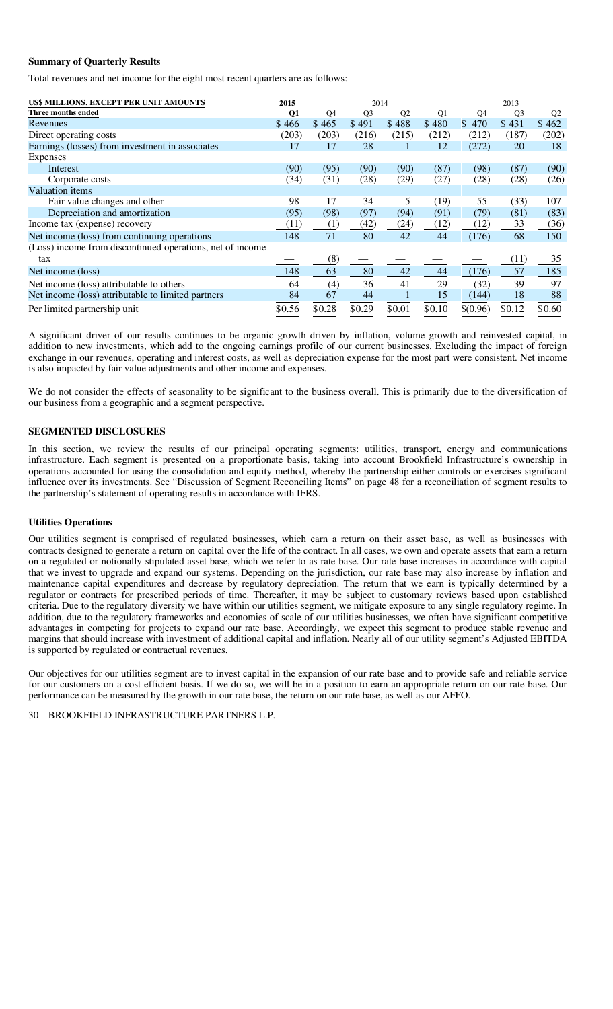#### **Summary of Quarterly Results**

Total revenues and net income for the eight most recent quarters are as follows:

| US\$ MILLIONS, EXCEPT PER UNIT AMOUNTS                    | 2015   |        | 2014   |                |                |                     | 2013           |                |
|-----------------------------------------------------------|--------|--------|--------|----------------|----------------|---------------------|----------------|----------------|
| Three months ended                                        | Q1     | Q4     | Q3     | Q <sub>2</sub> | Q <sub>1</sub> | Q4                  | Q <sub>3</sub> | Q <sub>2</sub> |
| Revenues                                                  | \$466  | \$465  | \$491  | \$488          | \$480          | $\overline{\$}$ 470 | \$431          | \$462          |
| Direct operating costs                                    | (203)  | (203)  | (216)  | (215)          | (212)          | (212)               | (187)          | (202)          |
| Earnings (losses) from investment in associates           | 17     | 17     | 28     |                | 12             | (272)               | 20             | 18             |
| Expenses                                                  |        |        |        |                |                |                     |                |                |
| Interest                                                  | (90)   | (95)   | (90)   | (90)           | (87)           | (98)                | (87)           | (90)           |
| Corporate costs                                           | (34)   | (31)   | (28)   | (29)           | (27)           | (28)                | (28)           | (26)           |
| Valuation items                                           |        |        |        |                |                |                     |                |                |
| Fair value changes and other                              | 98     | 17     | 34     | 5              | (19)           | 55                  | (33)           | 107            |
| Depreciation and amortization                             | (95)   | (98)   | (97)   | (94)           | (91)           | (79)                | (81)           | (83)           |
| Income tax (expense) recovery                             | (11)   | (1)    | (42)   | (24)           | (12)           | (12)                | 33             | (36)           |
| Net income (loss) from continuing operations              | 148    | 71     | 80     | 42             | 44             | (176)               | 68             | 150            |
| (Loss) income from discontinued operations, net of income |        |        |        |                |                |                     |                |                |
| tax                                                       |        | (8)    |        |                |                |                     | (11)           | 35             |
| Net income (loss)                                         | 148    | 63     | 80     | 42             | 44             | (176)               | 57             | 185            |
| Net income (loss) attributable to others                  | 64     | (4)    | 36     | 41             | 29             | (32)                | 39             | 97             |
| Net income (loss) attributable to limited partners        | 84     | 67     | 44     |                | 15             | (144)               | 18             | 88             |
| Per limited partnership unit                              | \$0.56 | \$0.28 | \$0.29 | \$0.01         | \$0.10         | \$(0.96)            | \$0.12         | \$0.60         |

A significant driver of our results continues to be organic growth driven by inflation, volume growth and reinvested capital, in addition to new investments, which add to the ongoing earnings profile of our current businesses. Excluding the impact of foreign exchange in our revenues, operating and interest costs, as well as depreciation expense for the most part were consistent. Net income is also impacted by fair value adjustments and other income and expenses.

We do not consider the effects of seasonality to be significant to the business overall. This is primarily due to the diversification of our business from a geographic and a segment perspective.

### **SEGMENTED DISCLOSURES**

In this section, we review the results of our principal operating segments: utilities, transport, energy and communications infrastructure. Each segment is presented on a proportionate basis, taking into account Brookfield Infrastructure's ownership in operations accounted for using the consolidation and equity method, whereby the partnership either controls or exercises significant influence over its investments. See "Discussion of Segment Reconciling Items" on page 48 for a reconciliation of segment results to the partnership's statement of operating results in accordance with IFRS.

#### **Utilities Operations**

Our utilities segment is comprised of regulated businesses, which earn a return on their asset base, as well as businesses with contracts designed to generate a return on capital over the life of the contract. In all cases, we own and operate assets that earn a return on a regulated or notionally stipulated asset base, which we refer to as rate base. Our rate base increases in accordance with capital that we invest to upgrade and expand our systems. Depending on the jurisdiction, our rate base may also increase by inflation and maintenance capital expenditures and decrease by regulatory depreciation. The return that we earn is typically determined by a regulator or contracts for prescribed periods of time. Thereafter, it may be subject to customary reviews based upon established criteria. Due to the regulatory diversity we have within our utilities segment, we mitigate exposure to any single regulatory regime. In addition, due to the regulatory frameworks and economies of scale of our utilities businesses, we often have significant competitive advantages in competing for projects to expand our rate base. Accordingly, we expect this segment to produce stable revenue and margins that should increase with investment of additional capital and inflation. Nearly all of our utility segment's Adjusted EBITDA is supported by regulated or contractual revenues.

Our objectives for our utilities segment are to invest capital in the expansion of our rate base and to provide safe and reliable service for our customers on a cost efficient basis. If we do so, we will be in a position to earn an appropriate return on our rate base. Our performance can be measured by the growth in our rate base, the return on our rate base, as well as our AFFO.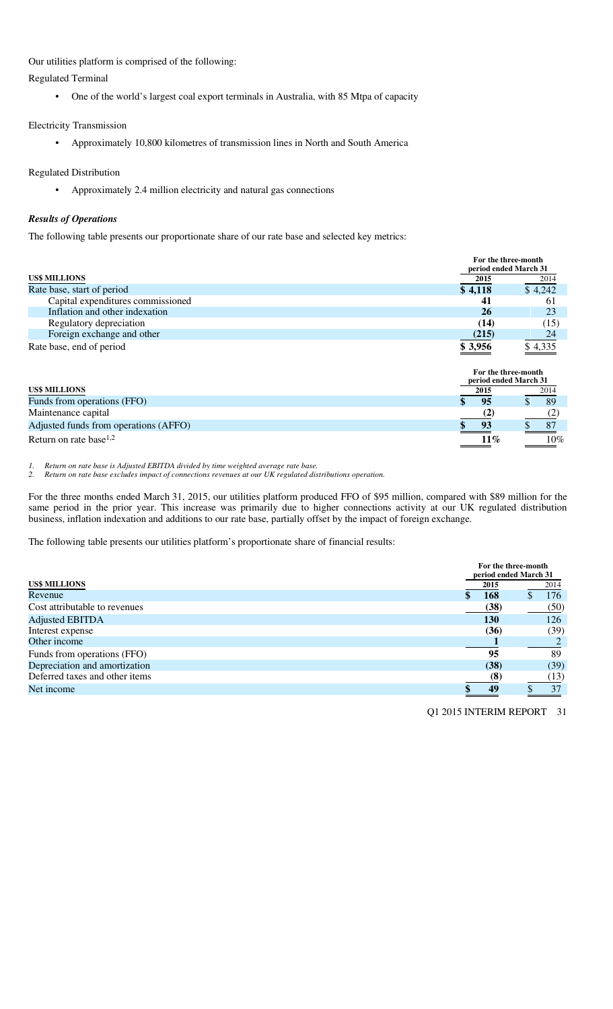Our utilities platform is comprised of the following:

Regulated Terminal

• One of the world's largest coal export terminals in Australia, with 85 Mtpa of capacity

# Electricity Transmission

• Approximately 10,800 kilometres of transmission lines in North and South America

# Regulated Distribution

• Approximately 2.4 million electricity and natural gas connections

# *Results of Operations*

The following table presents our proportionate share of our rate base and selected key metrics:

|                                   | For the three-month<br>period ended March 31 |         |  |  |
|-----------------------------------|----------------------------------------------|---------|--|--|
| <b>US\$ MILLIONS</b>              | 2015                                         | 2014    |  |  |
| Rate base, start of period        | \$4,118                                      | \$4,242 |  |  |
| Capital expenditures commissioned | 41                                           | 61      |  |  |
| Inflation and other indexation    | 26                                           | 23      |  |  |
| Regulatory depreciation           | (14)                                         | (15)    |  |  |
| Foreign exchange and other        | (215)                                        | 24      |  |  |
| Rate base, end of period          | \$3,956                                      | \$4,335 |  |  |

|                                       | For the three-month<br>period ended March 31 |        |
|---------------------------------------|----------------------------------------------|--------|
| <b>US\$ MILLIONS</b>                  | 2015                                         | 2014   |
| Funds from operations (FFO)           | 95                                           | - 89   |
| Maintenance capital                   |                                              |        |
| Adjusted funds from operations (AFFO) | 93                                           | 87     |
| Return on rate base <sup>1,2</sup>    | $11\%$                                       | $10\%$ |

*1. Return on rate base is Adjusted EBITDA divided by time weighted average rate base.* 

*2. Return on rate base excludes impact of connections revenues at our UK regulated distributions operation.* 

For the three months ended March 31, 2015, our utilities platform produced FFO of \$95 million, compared with \$89 million for the same period in the prior year. This increase was primarily due to higher connections activity at our UK regulated distribution business, inflation indexation and additions to our rate base, partially offset by the impact of foreign exchange.

The following table presents our utilities platform's proportionate share of financial results:

|                                |      | For the three-month<br>period ended March 31 |  |  |  |
|--------------------------------|------|----------------------------------------------|--|--|--|
| <b>US\$ MILLIONS</b>           | 2015 | 2014                                         |  |  |  |
| Revenue                        | 168  | 176                                          |  |  |  |
| Cost attributable to revenues  | (38) | (50)                                         |  |  |  |
| <b>Adjusted EBITDA</b>         | 130  | 126                                          |  |  |  |
| Interest expense               | (36) | (39)                                         |  |  |  |
| Other income                   |      |                                              |  |  |  |
| Funds from operations (FFO)    | 95   | 89                                           |  |  |  |
| Depreciation and amortization  | (38) | (39)                                         |  |  |  |
| Deferred taxes and other items | (8)  | (13)                                         |  |  |  |
| Net income                     | 49   | 37                                           |  |  |  |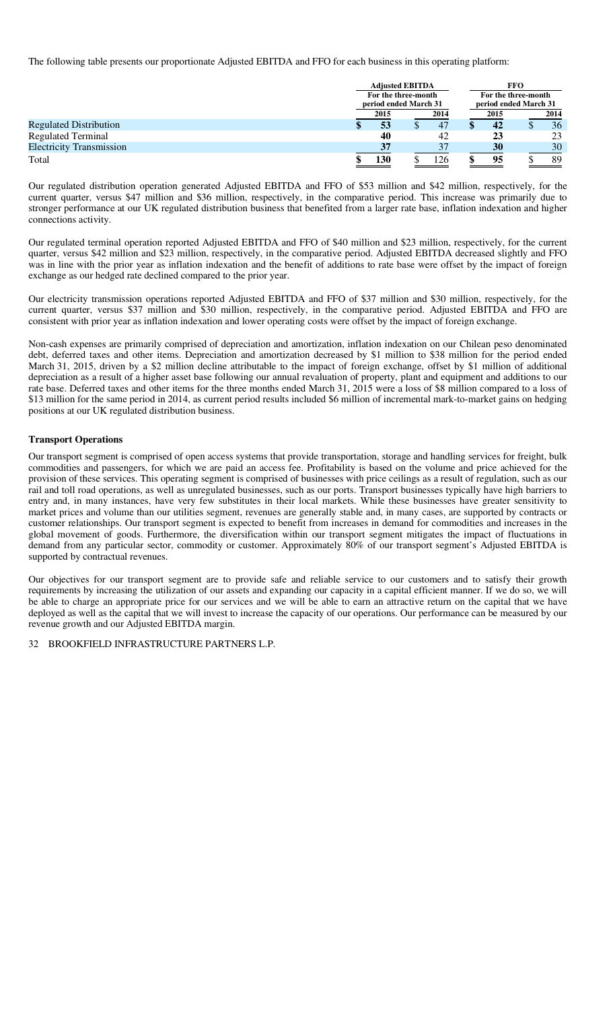The following table presents our proportionate Adjusted EBITDA and FFO for each business in this operating platform:

|                                 |  | <b>Adjusted EBITDA</b><br>For the three-month |  |      |                       | <b>FFO</b>          |  |      |  |  |
|---------------------------------|--|-----------------------------------------------|--|------|-----------------------|---------------------|--|------|--|--|
|                                 |  |                                               |  |      |                       | For the three-month |  |      |  |  |
|                                 |  | period ended March 31                         |  |      | period ended March 31 |                     |  |      |  |  |
|                                 |  | 2015                                          |  | 2014 |                       | 2015                |  | 2014 |  |  |
| <b>Regulated Distribution</b>   |  | 53                                            |  | 47   |                       | 42                  |  | 36   |  |  |
| <b>Regulated Terminal</b>       |  | 40                                            |  | 42   |                       | 23                  |  | 23   |  |  |
| <b>Electricity Transmission</b> |  | 37                                            |  |      |                       | 30                  |  | 30   |  |  |
| Total                           |  | 130                                           |  | 126  |                       | 95                  |  | 89   |  |  |

Our regulated distribution operation generated Adjusted EBITDA and FFO of \$53 million and \$42 million, respectively, for the current quarter, versus \$47 million and \$36 million, respectively, in the comparative period. This increase was primarily due to stronger performance at our UK regulated distribution business that benefited from a larger rate base, inflation indexation and higher connections activity.

Our regulated terminal operation reported Adjusted EBITDA and FFO of \$40 million and \$23 million, respectively, for the current quarter, versus \$42 million and \$23 million, respectively, in the comparative period. Adjusted EBITDA decreased slightly and FFO was in line with the prior year as inflation indexation and the benefit of additions to rate base were offset by the impact of foreign exchange as our hedged rate declined compared to the prior year.

Our electricity transmission operations reported Adjusted EBITDA and FFO of \$37 million and \$30 million, respectively, for the current quarter, versus \$37 million and \$30 million, respectively, in the comparative period. Adjusted EBITDA and FFO are consistent with prior year as inflation indexation and lower operating costs were offset by the impact of foreign exchange.

Non-cash expenses are primarily comprised of depreciation and amortization, inflation indexation on our Chilean peso denominated debt, deferred taxes and other items. Depreciation and amortization decreased by \$1 million to \$38 million for the period ended March 31, 2015, driven by a \$2 million decline attributable to the impact of foreign exchange, offset by \$1 million of additional depreciation as a result of a higher asset base following our annual revaluation of property, plant and equipment and additions to our rate base. Deferred taxes and other items for the three months ended March 31, 2015 were a loss of \$8 million compared to a loss of \$13 million for the same period in 2014, as current period results included \$6 million of incremental mark-to-market gains on hedging positions at our UK regulated distribution business.

### **Transport Operations**

Our transport segment is comprised of open access systems that provide transportation, storage and handling services for freight, bulk commodities and passengers, for which we are paid an access fee. Profitability is based on the volume and price achieved for the provision of these services. This operating segment is comprised of businesses with price ceilings as a result of regulation, such as our rail and toll road operations, as well as unregulated businesses, such as our ports. Transport businesses typically have high barriers to entry and, in many instances, have very few substitutes in their local markets. While these businesses have greater sensitivity to market prices and volume than our utilities segment, revenues are generally stable and, in many cases, are supported by contracts or customer relationships. Our transport segment is expected to benefit from increases in demand for commodities and increases in the global movement of goods. Furthermore, the diversification within our transport segment mitigates the impact of fluctuations in demand from any particular sector, commodity or customer. Approximately 80% of our transport segment's Adjusted EBITDA is supported by contractual revenues.

Our objectives for our transport segment are to provide safe and reliable service to our customers and to satisfy their growth requirements by increasing the utilization of our assets and expanding our capacity in a capital efficient manner. If we do so, we will be able to charge an appropriate price for our services and we will be able to earn an attractive return on the capital that we have deployed as well as the capital that we will invest to increase the capacity of our operations. Our performance can be measured by our revenue growth and our Adjusted EBITDA margin.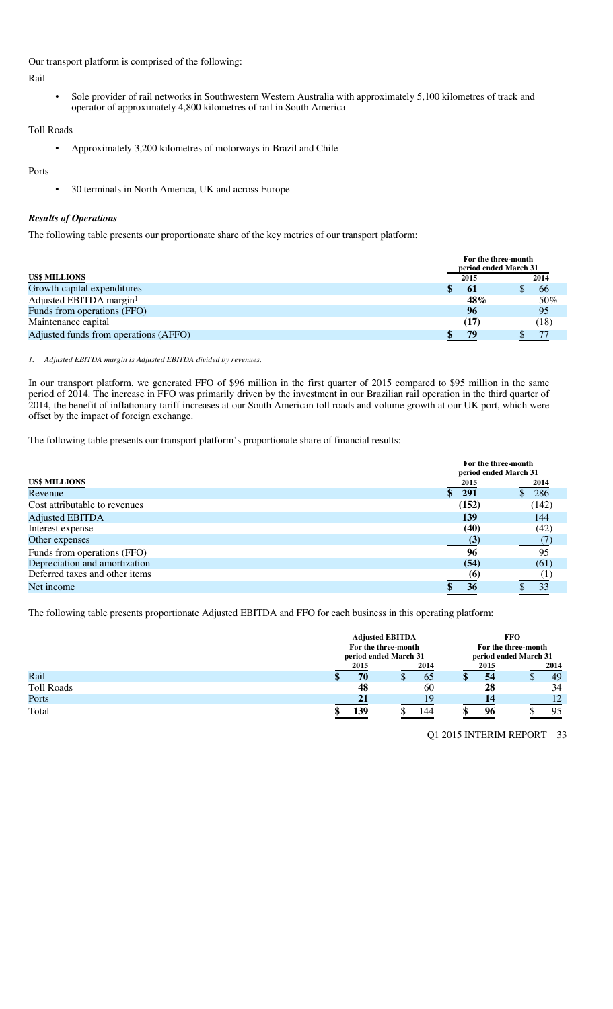Our transport platform is comprised of the following:

Rail

• Sole provider of rail networks in Southwestern Western Australia with approximately 5,100 kilometres of track and operator of approximately 4,800 kilometres of rail in South America

Toll Roads

• Approximately 3,200 kilometres of motorways in Brazil and Chile

### Ports

• 30 terminals in North America, UK and across Europe

# *Results of Operations*

The following table presents our proportionate share of the key metrics of our transport platform:

|                                       | period ended March 31 | For the three-month |      |
|---------------------------------------|-----------------------|---------------------|------|
| <b>US\$ MILLIONS</b>                  | 2015                  |                     | 2014 |
| Growth capital expenditures           | -61                   |                     | -66  |
| Adjusted EBITDA margin <sup>1</sup>   | 48%                   |                     | 50%  |
| Funds from operations (FFO)           | 96                    |                     | 95   |
| Maintenance capital                   | (17)                  |                     | (18) |
| Adjusted funds from operations (AFFO) | 79                    |                     |      |

#### *1. Adjusted EBITDA margin is Adjusted EBITDA divided by revenues.*

In our transport platform, we generated FFO of \$96 million in the first quarter of 2015 compared to \$95 million in the same period of 2014. The increase in FFO was primarily driven by the investment in our Brazilian rail operation in the third quarter of 2014, the benefit of inflationary tariff increases at our South American toll roads and volume growth at our UK port, which were offset by the impact of foreign exchange.

The following table presents our transport platform's proportionate share of financial results:

|                                | For the three-month<br>period ended March 31 |       |
|--------------------------------|----------------------------------------------|-------|
| <b>US\$ MILLIONS</b>           | 2015                                         | 2014  |
| Revenue                        | 291                                          | 286   |
| Cost attributable to revenues  | (152)                                        | (142) |
| <b>Adjusted EBITDA</b>         | 139                                          | 144   |
| Interest expense               | (40)                                         | (42)  |
| Other expenses                 | (3)                                          |       |
| Funds from operations (FFO)    | 96                                           | 95    |
| Depreciation and amortization  | (54)                                         | (61)  |
| Deferred taxes and other items | (6)                                          |       |
| Net income                     | 36                                           | 33    |

The following table presents proportionate Adjusted EBITDA and FFO for each business in this operating platform:

|                   |      | <b>Adjusted EBITDA</b> | FFO                 |                       |  |  |  |  |
|-------------------|------|------------------------|---------------------|-----------------------|--|--|--|--|
|                   |      | For the three-month    | For the three-month |                       |  |  |  |  |
|                   |      | period ended March 31  |                     | period ended March 31 |  |  |  |  |
|                   | 2015 | 2014                   | 2015                | 2014                  |  |  |  |  |
| Rail              | 70   | 65                     | 54<br>ΔD            | 49                    |  |  |  |  |
| <b>Toll Roads</b> | 48   | 60                     | 28                  | 34                    |  |  |  |  |
| Ports             | 21   | 19                     | 14                  | 12                    |  |  |  |  |
| Total             | 139  | 144                    | 96                  | 95                    |  |  |  |  |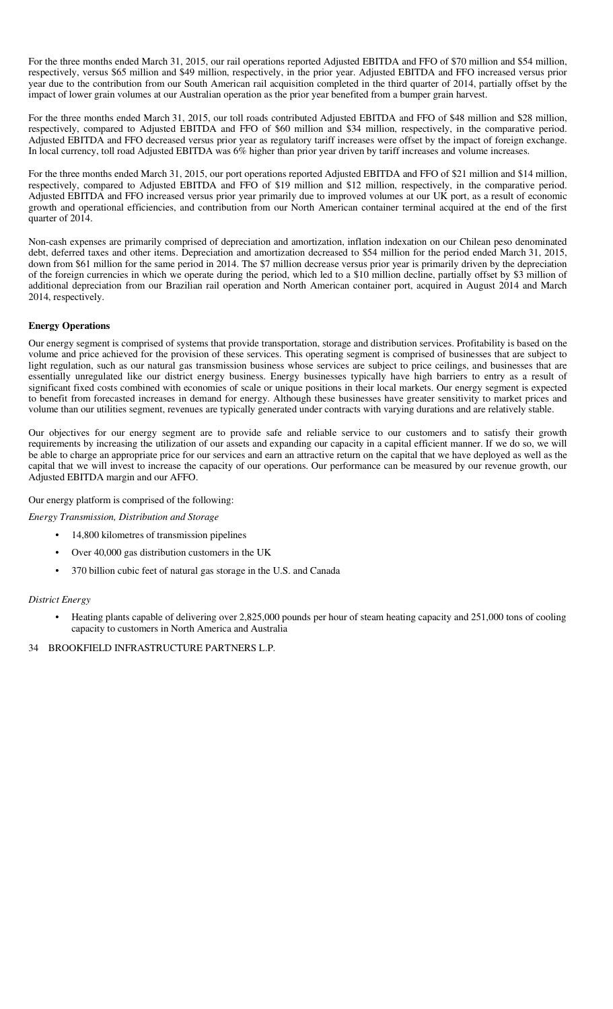For the three months ended March 31, 2015, our rail operations reported Adjusted EBITDA and FFO of \$70 million and \$54 million, respectively, versus \$65 million and \$49 million, respectively, in the prior year. Adjusted EBITDA and FFO increased versus prior year due to the contribution from our South American rail acquisition completed in the third quarter of 2014, partially offset by the impact of lower grain volumes at our Australian operation as the prior year benefited from a bumper grain harvest.

For the three months ended March 31, 2015, our toll roads contributed Adjusted EBITDA and FFO of \$48 million and \$28 million, respectively, compared to Adjusted EBITDA and FFO of \$60 million and \$34 million, respectively, in the comparative period. Adjusted EBITDA and FFO decreased versus prior year as regulatory tariff increases were offset by the impact of foreign exchange. In local currency, toll road Adjusted EBITDA was 6% higher than prior year driven by tariff increases and volume increases.

For the three months ended March 31, 2015, our port operations reported Adjusted EBITDA and FFO of \$21 million and \$14 million, respectively, compared to Adjusted EBITDA and FFO of \$19 million and \$12 million, respectively, in the comparative period. Adjusted EBITDA and FFO increased versus prior year primarily due to improved volumes at our UK port, as a result of economic growth and operational efficiencies, and contribution from our North American container terminal acquired at the end of the first quarter of 2014.

Non-cash expenses are primarily comprised of depreciation and amortization, inflation indexation on our Chilean peso denominated debt, deferred taxes and other items. Depreciation and amortization decreased to \$54 million for the period ended March 31, 2015, down from \$61 million for the same period in 2014. The \$7 million decrease versus prior year is primarily driven by the depreciation of the foreign currencies in which we operate during the period, which led to a \$10 million decline, partially offset by \$3 million of additional depreciation from our Brazilian rail operation and North American container port, acquired in August 2014 and March 2014, respectively.

#### **Energy Operations**

Our energy segment is comprised of systems that provide transportation, storage and distribution services. Profitability is based on the volume and price achieved for the provision of these services. This operating segment is comprised of businesses that are subject to light regulation, such as our natural gas transmission business whose services are subject to price ceilings, and businesses that are essentially unregulated like our district energy business. Energy businesses typically have high barriers to entry as a result of significant fixed costs combined with economies of scale or unique positions in their local markets. Our energy segment is expected to benefit from forecasted increases in demand for energy. Although these businesses have greater sensitivity to market prices and volume than our utilities segment, revenues are typically generated under contracts with varying durations and are relatively stable.

Our objectives for our energy segment are to provide safe and reliable service to our customers and to satisfy their growth requirements by increasing the utilization of our assets and expanding our capacity in a capital efficient manner. If we do so, we will be able to charge an appropriate price for our services and earn an attractive return on the capital that we have deployed as well as the capital that we will invest to increase the capacity of our operations. Our performance can be measured by our revenue growth, our Adjusted EBITDA margin and our AFFO.

Our energy platform is comprised of the following:

*Energy Transmission, Distribution and Storage* 

- 14,800 kilometres of transmission pipelines
- Over 40,000 gas distribution customers in the UK
- 370 billion cubic feet of natural gas storage in the U.S. and Canada

#### *District Energy*

• Heating plants capable of delivering over 2,825,000 pounds per hour of steam heating capacity and 251,000 tons of cooling capacity to customers in North America and Australia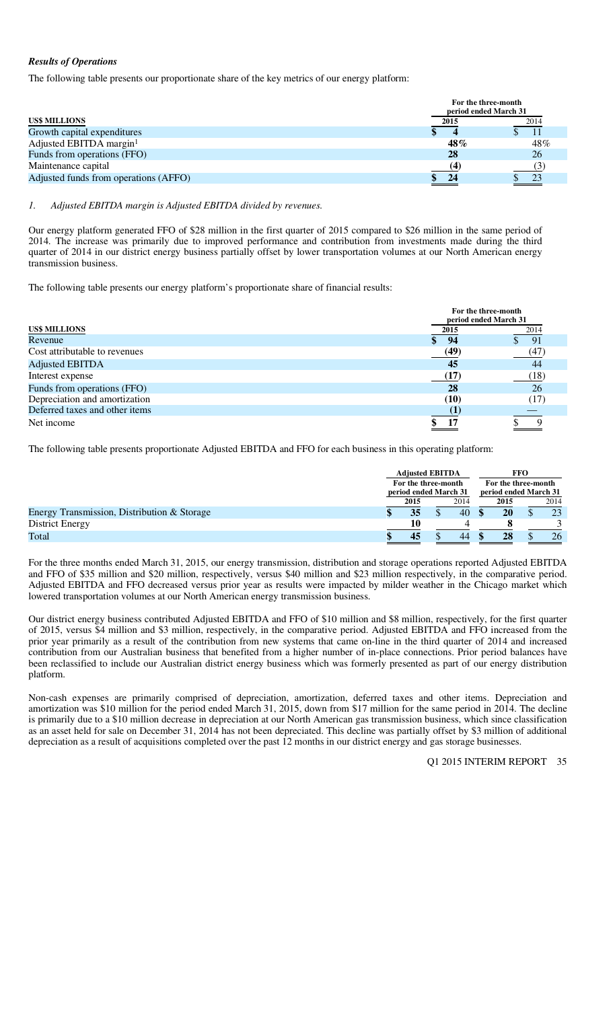# *Results of Operations*

The following table presents our proportionate share of the key metrics of our energy platform:

|                                       | For the three-month<br>period ended March 31 |      |  |  |  |  |  |
|---------------------------------------|----------------------------------------------|------|--|--|--|--|--|
| <b>US\$ MILLIONS</b>                  | 2015                                         | 2014 |  |  |  |  |  |
| Growth capital expenditures           |                                              |      |  |  |  |  |  |
| Adjusted EBITDA margin <sup>1</sup>   | 48%                                          | 48%  |  |  |  |  |  |
| Funds from operations (FFO)           | 28                                           | 26   |  |  |  |  |  |
| Maintenance capital                   | 14                                           |      |  |  |  |  |  |
| Adjusted funds from operations (AFFO) | 24                                           |      |  |  |  |  |  |

#### *1. Adjusted EBITDA margin is Adjusted EBITDA divided by revenues.*

Our energy platform generated FFO of \$28 million in the first quarter of 2015 compared to \$26 million in the same period of 2014. The increase was primarily due to improved performance and contribution from investments made during the third quarter of 2014 in our district energy business partially offset by lower transportation volumes at our North American energy transmission business.

The following table presents our energy platform's proportionate share of financial results:

|                                | For the three-month<br>period ended March 31 |      |
|--------------------------------|----------------------------------------------|------|
| <b>US\$ MILLIONS</b>           | 2015                                         | 2014 |
| Revenue                        | -94                                          | -91  |
| Cost attributable to revenues  | (49)                                         | (47) |
| <b>Adjusted EBITDA</b>         | 45                                           | 44   |
| Interest expense               | (17)                                         | (18) |
| Funds from operations (FFO)    | 28                                           | 26   |
| Depreciation and amortization  | (10)                                         | (17) |
| Deferred taxes and other items |                                              |      |
| Net income                     |                                              |      |

The following table presents proportionate Adjusted EBITDA and FFO for each business in this operating platform:

|                                             | <b>Adjusted EBITDA</b> |      |  |                       | <b>FFO</b>          |      |  |      |
|---------------------------------------------|------------------------|------|--|-----------------------|---------------------|------|--|------|
|                                             | For the three-month    |      |  |                       | For the three-month |      |  |      |
|                                             | period ended March 31  |      |  | period ended March 31 |                     |      |  |      |
|                                             |                        | 2015 |  | 2014                  |                     | 2015 |  | 2014 |
| Energy Transmission, Distribution & Storage |                        | 35   |  | 40                    |                     | 20   |  | 23   |
| District Energy                             |                        | 10   |  |                       |                     |      |  |      |
| Total                                       |                        |      |  | 44                    |                     | 28   |  | 26   |

For the three months ended March 31, 2015, our energy transmission, distribution and storage operations reported Adjusted EBITDA and FFO of \$35 million and \$20 million, respectively, versus \$40 million and \$23 million respectively, in the comparative period. Adjusted EBITDA and FFO decreased versus prior year as results were impacted by milder weather in the Chicago market which lowered transportation volumes at our North American energy transmission business.

Our district energy business contributed Adjusted EBITDA and FFO of \$10 million and \$8 million, respectively, for the first quarter of 2015, versus \$4 million and \$3 million, respectively, in the comparative period. Adjusted EBITDA and FFO increased from the prior year primarily as a result of the contribution from new systems that came on-line in the third quarter of 2014 and increased contribution from our Australian business that benefited from a higher number of in-place connections. Prior period balances have been reclassified to include our Australian district energy business which was formerly presented as part of our energy distribution platform.

Non-cash expenses are primarily comprised of depreciation, amortization, deferred taxes and other items. Depreciation and amortization was \$10 million for the period ended March 31, 2015, down from \$17 million for the same period in 2014. The decline is primarily due to a \$10 million decrease in depreciation at our North American gas transmission business, which since classification as an asset held for sale on December 31, 2014 has not been depreciated. This decline was partially offset by \$3 million of additional depreciation as a result of acquisitions completed over the past 12 months in our district energy and gas storage businesses.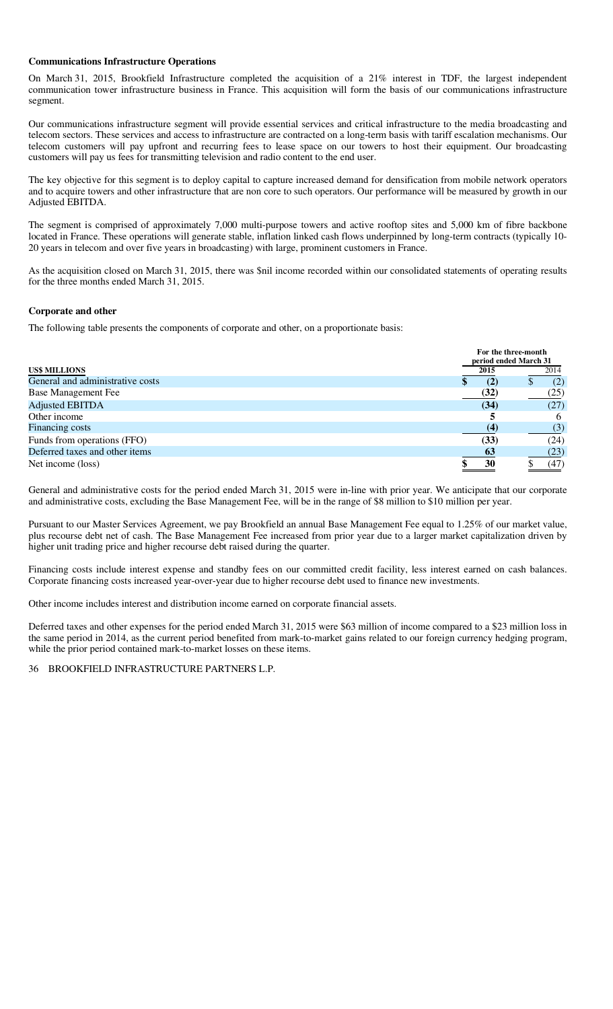#### **Communications Infrastructure Operations**

On March 31, 2015, Brookfield Infrastructure completed the acquisition of a 21% interest in TDF, the largest independent communication tower infrastructure business in France. This acquisition will form the basis of our communications infrastructure segment.

Our communications infrastructure segment will provide essential services and critical infrastructure to the media broadcasting and telecom sectors. These services and access to infrastructure are contracted on a long-term basis with tariff escalation mechanisms. Our telecom customers will pay upfront and recurring fees to lease space on our towers to host their equipment. Our broadcasting customers will pay us fees for transmitting television and radio content to the end user.

The key objective for this segment is to deploy capital to capture increased demand for densification from mobile network operators and to acquire towers and other infrastructure that are non core to such operators. Our performance will be measured by growth in our Adjusted EBITDA.

The segment is comprised of approximately 7,000 multi-purpose towers and active rooftop sites and 5,000 km of fibre backbone located in France. These operations will generate stable, inflation linked cash flows underpinned by long-term contracts (typically 10- 20 years in telecom and over five years in broadcasting) with large, prominent customers in France.

As the acquisition closed on March 31, 2015, there was \$nil income recorded within our consolidated statements of operating results for the three months ended March 31, 2015.

#### **Corporate and other**

The following table presents the components of corporate and other, on a proportionate basis:

|                                  |      | For the three-month<br>period ended March 31 |
|----------------------------------|------|----------------------------------------------|
| <b>US\$ MILLIONS</b>             | 2015 | 2014                                         |
| General and administrative costs | (2)  | (2)                                          |
| <b>Base Management Fee</b>       | (32) | (25)                                         |
| <b>Adjusted EBITDA</b>           | (34) | (27)                                         |
| Other income                     |      | <sub>6</sub>                                 |
| Financing costs                  | (4)  | (3)                                          |
| Funds from operations (FFO)      | (33) | (24)                                         |
| Deferred taxes and other items   | 63   | (23)                                         |
| Net income (loss)                | 30   | (47)                                         |

General and administrative costs for the period ended March 31, 2015 were in-line with prior year. We anticipate that our corporate and administrative costs, excluding the Base Management Fee, will be in the range of \$8 million to \$10 million per year.

Pursuant to our Master Services Agreement, we pay Brookfield an annual Base Management Fee equal to 1.25% of our market value, plus recourse debt net of cash. The Base Management Fee increased from prior year due to a larger market capitalization driven by higher unit trading price and higher recourse debt raised during the quarter.

Financing costs include interest expense and standby fees on our committed credit facility, less interest earned on cash balances. Corporate financing costs increased year-over-year due to higher recourse debt used to finance new investments.

Other income includes interest and distribution income earned on corporate financial assets.

Deferred taxes and other expenses for the period ended March 31, 2015 were \$63 million of income compared to a \$23 million loss in the same period in 2014, as the current period benefited from mark-to-market gains related to our foreign currency hedging program, while the prior period contained mark-to-market losses on these items.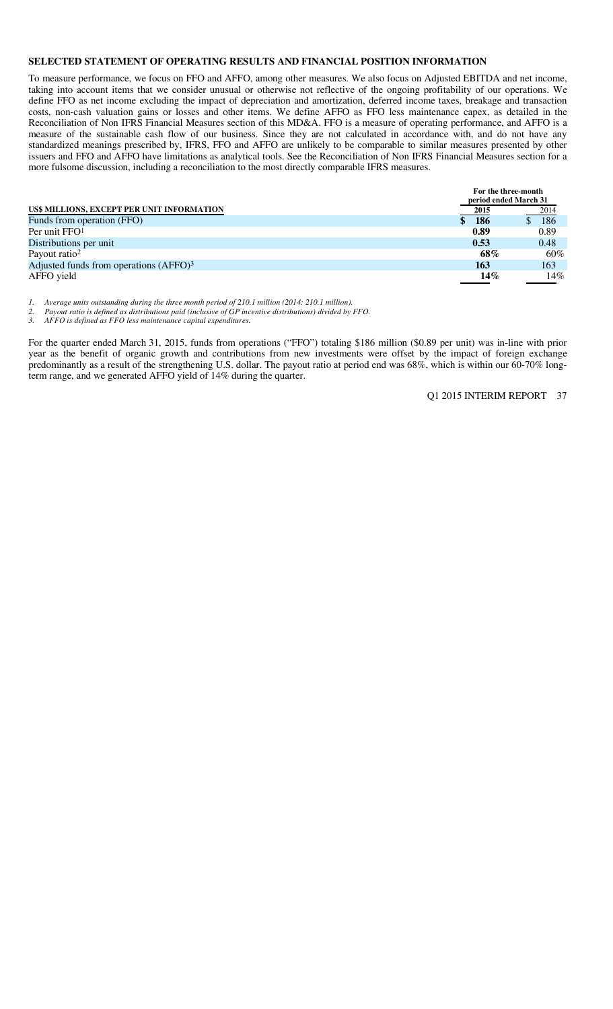#### **SELECTED STATEMENT OF OPERATING RESULTS AND FINANCIAL POSITION INFORMATION**

To measure performance, we focus on FFO and AFFO, among other measures. We also focus on Adjusted EBITDA and net income, taking into account items that we consider unusual or otherwise not reflective of the ongoing profitability of our operations. We define FFO as net income excluding the impact of depreciation and amortization, deferred income taxes, breakage and transaction costs, non-cash valuation gains or losses and other items. We define AFFO as FFO less maintenance capex, as detailed in the Reconciliation of Non IFRS Financial Measures section of this MD&A. FFO is a measure of operating performance, and AFFO is a measure of the sustainable cash flow of our business. Since they are not calculated in accordance with, and do not have any standardized meanings prescribed by, IFRS, FFO and AFFO are unlikely to be comparable to similar measures presented by other issuers and FFO and AFFO have limitations as analytical tools. See the Reconciliation of Non IFRS Financial Measures section for a more fulsome discussion, including a reconciliation to the most directly comparable IFRS measures.

|                                                    | For the three-month<br>period ended March 31 |            |  |  |  |
|----------------------------------------------------|----------------------------------------------|------------|--|--|--|
| US\$ MILLIONS, EXCEPT PER UNIT INFORMATION         | 2015                                         | 2014       |  |  |  |
| Funds from operation (FFO)                         | 186                                          | <b>186</b> |  |  |  |
| Per unit $FFO1$                                    | 0.89                                         | 0.89       |  |  |  |
| Distributions per unit                             | 0.53                                         | 0.48       |  |  |  |
| Payout ratio <sup>2</sup>                          | 68%                                          | 60%        |  |  |  |
| Adjusted funds from operations (AFFO) <sup>3</sup> | 163                                          | 163        |  |  |  |
| AFFO yield                                         | 14%                                          | 14%        |  |  |  |

*1. Average units outstanding during the three month period of 210.1 million (2014: 210.1 million).* 

*2. Payout ratio is defined as distributions paid (inclusive of GP incentive distributions) divided by FFO.* 

*3. AFFO is defined as FFO less maintenance capital expenditures.* 

For the quarter ended March 31, 2015, funds from operations ("FFO") totaling \$186 million (\$0.89 per unit) was in-line with prior year as the benefit of organic growth and contributions from new investments were offset by the impact of foreign exchange predominantly as a result of the strengthening U.S. dollar. The payout ratio at period end was 68%, which is within our 60-70% longterm range, and we generated AFFO yield of 14% during the quarter.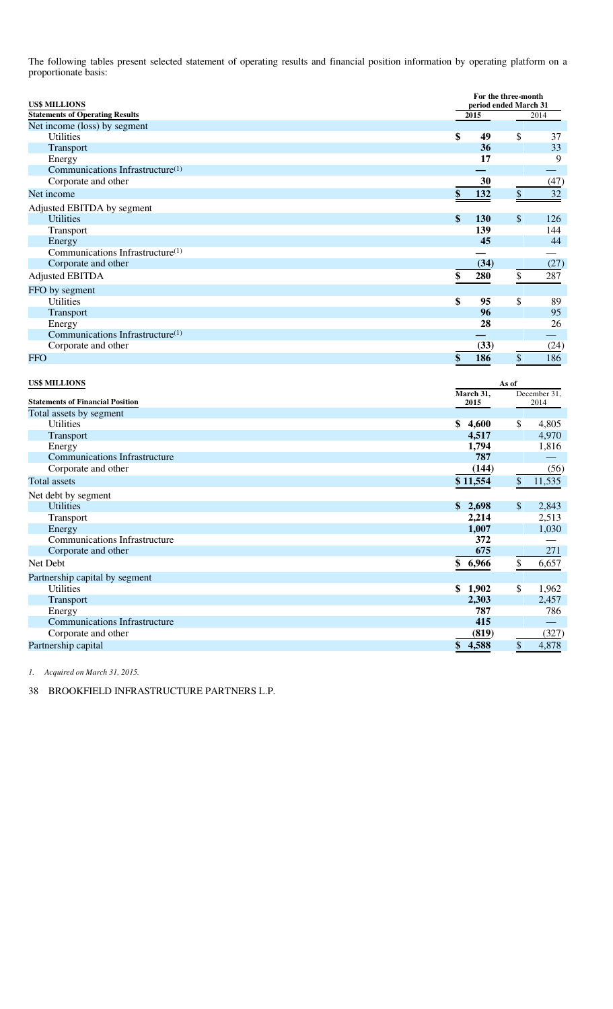The following tables present selected statement of operating results and financial position information by operating platform on a proportionate basis:

| <b>US\$ MILLIONS</b><br><b>Statements of Operating Results</b> |                   | For the three-month<br>period ended March 31<br>$\overline{2015}$<br>2014 |                          |
|----------------------------------------------------------------|-------------------|---------------------------------------------------------------------------|--------------------------|
| Net income (loss) by segment                                   |                   |                                                                           |                          |
| <b>Utilities</b>                                               | \$<br>49          | \$                                                                        | 37                       |
| Transport                                                      | 36                |                                                                           | 33                       |
| Energy                                                         | 17                |                                                                           | 9                        |
| Communications Infrastructure(1)                               |                   |                                                                           | $\overline{\phantom{0}}$ |
| Corporate and other                                            | 30                |                                                                           | (47)                     |
| Net income                                                     | 132<br>\$         | \$                                                                        | $32\,$                   |
|                                                                |                   |                                                                           |                          |
| Adjusted EBITDA by segment<br><b>Utilities</b>                 | \$                | \$                                                                        |                          |
| Transport                                                      | <b>130</b><br>139 |                                                                           | 126<br>144               |
| Energy                                                         | 45                |                                                                           | 44                       |
| Communications Infrastructure <sup>(1)</sup>                   |                   |                                                                           |                          |
| Corporate and other                                            | (34)              |                                                                           | (27)                     |
| <b>Adjusted EBITDA</b>                                         | \$<br>280         |                                                                           | 287                      |
|                                                                |                   | $\frac{1}{2}$                                                             |                          |
| FFO by segment                                                 |                   |                                                                           |                          |
| <b>Utilities</b>                                               | \$<br>95          | \$                                                                        | 89                       |
| Transport                                                      | 96                |                                                                           | 95                       |
| Energy                                                         | 28                |                                                                           | 26                       |
| Communications Infrastructure <sup>(1)</sup>                   |                   |                                                                           |                          |
| Corporate and other                                            | (33)              |                                                                           | (24)                     |
| FFO                                                            | \$<br>186         | \$                                                                        | 186                      |
| <b>US\$ MILLIONS</b>                                           | March 31,         | As of                                                                     | December 31,             |
| <b>Statements of Financial Position</b>                        | 2015              |                                                                           | 2014                     |
| Total assets by segment<br>Utilities                           | \$<br>4,600       | \$                                                                        | 4,805                    |
|                                                                | 4,517             |                                                                           | 4,970                    |
| Transport<br>Energy                                            | 1,794             |                                                                           | 1,816                    |
| <b>Communications Infrastructure</b>                           | 787               |                                                                           |                          |
| Corporate and other                                            | (144)             |                                                                           | (56)                     |
| Total assets                                                   | \$11,554          | \$                                                                        | 11,535                   |
|                                                                |                   |                                                                           |                          |
| Net debt by segment                                            |                   |                                                                           |                          |
| Utilities                                                      | \$2,698<br>2,214  | \$                                                                        | 2,843<br>2,513           |
| Transport                                                      |                   |                                                                           | 1,030                    |
| Energy<br><b>Communications Infrastructure</b>                 | 1,007             |                                                                           |                          |
| Corporate and other                                            | 372<br>675        |                                                                           | 271                      |
| Net Debt                                                       | 6,966             |                                                                           |                          |
|                                                                | \$                | $\frac{1}{2}$                                                             | 6,657                    |
| Partnership capital by segment                                 |                   |                                                                           |                          |
| Utilities                                                      | \$1,902           | \$                                                                        | 1,962                    |
| Transport                                                      | 2,303             |                                                                           | 2,457                    |
| Energy                                                         | 787               |                                                                           | 786                      |
| <b>Communications Infrastructure</b>                           | 415               |                                                                           |                          |
| Corporate and other                                            | (819)             |                                                                           | (327)                    |
| Partnership capital                                            | \$<br>4,588       | \$                                                                        | 4,878                    |

*1. Acquired on March 31, 2015.*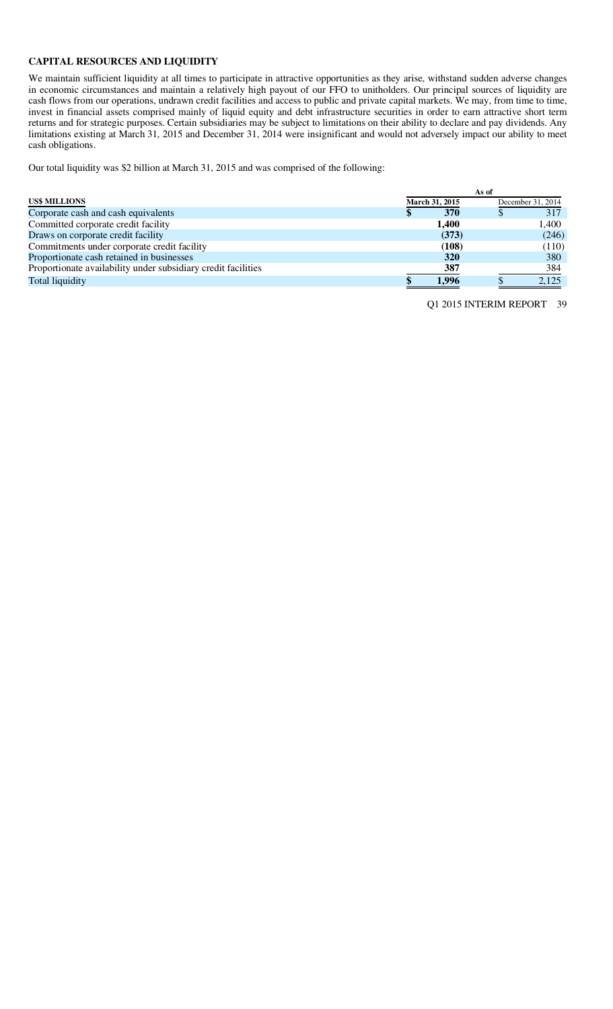# **CAPITAL RESOURCES AND LIQUIDITY**

We maintain sufficient liquidity at all times to participate in attractive opportunities as they arise, withstand sudden adverse changes in economic circumstances and maintain a relatively high payout of our FFO to unitholders. Our principal sources of liquidity are cash flows from our operations, undrawn credit facilities and access to public and private capital markets. We may, from time to time, invest in financial assets comprised mainly of liquid equity and debt infrastructure securities in order to earn attractive short term returns and for strategic purposes. Certain subsidiaries may be subject to limitations on their ability to declare and pay dividends. Any limitations existing at March 31, 2015 and December 31, 2014 were insignificant and would not adversely impact our ability to meet cash obligations.

Our total liquidity was \$2 billion at March 31, 2015 and was comprised of the following:

|                                                               | As of |                |  |                   |
|---------------------------------------------------------------|-------|----------------|--|-------------------|
| <b>US\$ MILLIONS</b>                                          |       | March 31, 2015 |  | December 31, 2014 |
| Corporate cash and cash equivalents                           |       | 370            |  | 317               |
| Committed corporate credit facility                           |       | 1.400          |  | 1.400             |
| Draws on corporate credit facility                            |       | (373)          |  | (246)             |
| Commitments under corporate credit facility                   |       | (108)          |  | (110)             |
| Proportionate cash retained in businesses                     |       | <b>320</b>     |  | 380               |
| Proportionate availability under subsidiary credit facilities |       | 387            |  | 384               |
| <b>Total liquidity</b>                                        |       | 1,996          |  | 2,125             |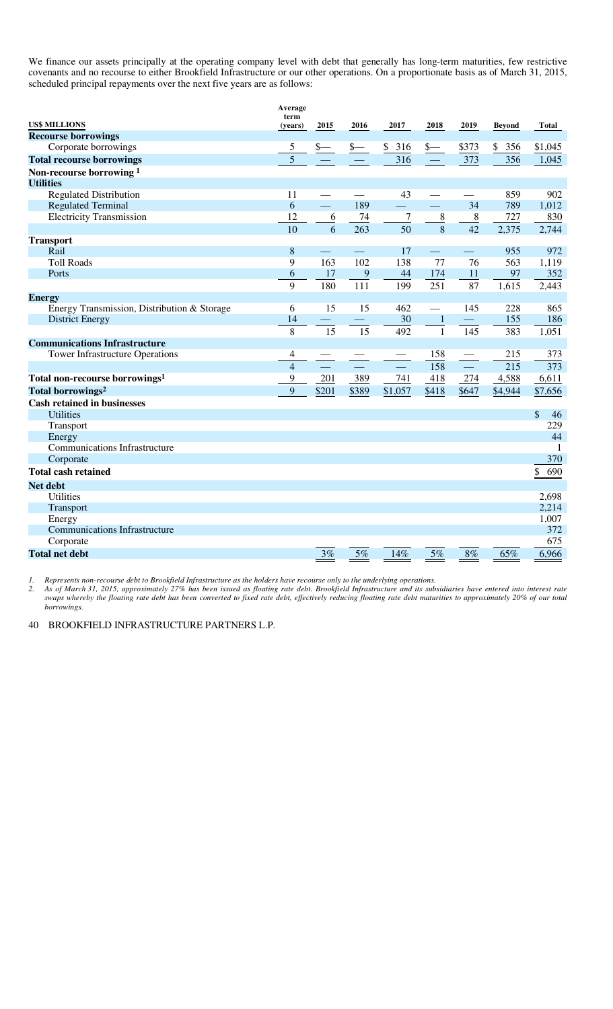We finance our assets principally at the operating company level with debt that generally has long-term maturities, few restrictive covenants and no recourse to either Brookfield Infrastructure or our other operations. On a proportionate basis as of March 31, 2015, scheduled principal repayments over the next five years are as follows:

|                                             | Average         |                          |                          |         |                |                   |               |           |
|---------------------------------------------|-----------------|--------------------------|--------------------------|---------|----------------|-------------------|---------------|-----------|
| <b>US\$ MILLIONS</b>                        | term<br>(years) | 2015                     | 2016                     | 2017    | 2018           | 2019              | <b>Beyond</b> | Total     |
| <b>Recourse borrowings</b>                  |                 |                          |                          |         |                |                   |               |           |
| Corporate borrowings                        | 5               | $s-$                     | $s-$                     | \$316   | $s-$           | \$373             | \$<br>356     | \$1,045   |
| <b>Total recourse borrowings</b>            | 5               |                          |                          | 316     |                | 373               | 356           | 1,045     |
| Non-recourse borrowing <sup>1</sup>         |                 |                          |                          |         |                |                   |               |           |
| <b>Utilities</b>                            |                 |                          |                          |         |                |                   |               |           |
| <b>Regulated Distribution</b>               | 11              |                          |                          | 43      |                |                   | 859           | 902       |
| <b>Regulated Terminal</b>                   | 6               | $\equiv$                 | 189                      |         | $\equiv$       | 34                | 789           | 1,012     |
| <b>Electricity Transmission</b>             | 12              | 6                        | 74                       | 7       | 8              | 8                 | 727           | 830       |
|                                             | 10              | 6                        | 263                      | 50      | $\overline{8}$ | $\overline{42}$   | 2,375         | 2,744     |
| <b>Transport</b>                            |                 |                          |                          |         |                |                   |               |           |
| Rail                                        | $8\,$           |                          | $\overline{\phantom{0}}$ | 17      |                | $\equiv$          | 955           | 972       |
| <b>Toll Roads</b>                           | 9               | 163                      | 102                      | 138     | 77             | 76                | 563           | 1,119     |
| Ports                                       | 6               | 17                       | $\overline{9}$           | 44      | 174            | 11                | 97            | 352       |
|                                             | 9               | 180                      | 111                      | 199     | 251            | 87                | 1,615         | 2,443     |
| <b>Energy</b>                               |                 |                          |                          |         |                |                   |               |           |
| Energy Transmission, Distribution & Storage | 6               | 15                       | 15                       | 462     |                | 145               | 228           | 865       |
| <b>District Energy</b>                      | 14              | $\overline{\phantom{0}}$ |                          | 30      | $\mathbf{1}$   | $\longrightarrow$ | 155           | 186       |
|                                             | 8               | 15                       | 15                       | 492     | $\mathbf{1}$   | 145               | 383           | 1,051     |
| <b>Communications Infrastructure</b>        |                 |                          |                          |         |                |                   |               |           |
| <b>Tower Infrastructure Operations</b>      | 4               |                          |                          |         | 158            |                   | 215           | 373       |
|                                             | $\overline{4}$  |                          |                          |         | 158            | $\equiv$          | 215           | 373       |
| Total non-recourse borrowings <sup>1</sup>  | 9               | 201                      | 389                      | 741     | 418            | 274               | 4,588         | 6,611     |
| Total borrowings <sup>2</sup>               | 9               | \$201                    | \$389                    | \$1,057 | \$418          | \$647             | \$4,944       | \$7,656   |
| <b>Cash retained in businesses</b>          |                 |                          |                          |         |                |                   |               |           |
| <b>Utilities</b>                            |                 |                          |                          |         |                |                   |               | \$<br>46  |
| Transport                                   |                 |                          |                          |         |                |                   |               | 229       |
| Energy                                      |                 |                          |                          |         |                |                   |               | 44        |
| Communications Infrastructure               |                 |                          |                          |         |                |                   |               | 1         |
| Corporate                                   |                 |                          |                          |         |                |                   |               | 370       |
| <b>Total cash retained</b>                  |                 |                          |                          |         |                |                   |               | 690<br>\$ |
| <b>Net debt</b>                             |                 |                          |                          |         |                |                   |               |           |
| <b>Utilities</b>                            |                 |                          |                          |         |                |                   |               | 2,698     |
| Transport                                   |                 |                          |                          |         |                |                   |               | 2,214     |
| Energy                                      |                 |                          |                          |         |                |                   |               | 1,007     |
| <b>Communications Infrastructure</b>        |                 |                          |                          |         |                |                   |               | 372       |
| Corporate                                   |                 |                          |                          |         |                |                   |               | 675       |
| <b>Total net debt</b>                       |                 | 3%                       | 5%                       | 14%     | 5%             | 8%                | 65%           | 6,966     |

*1. Represents non-recourse debt to Brookfield Infrastructure as the holders have recourse only to the underlying operations.* 

*2. As of March 31, 2015, approximately 27% has been issued as floating rate debt. Brookfield Infrastructure and its subsidiaries have entered into interest rate swaps whereby the floating rate debt has been converted to fixed rate debt, effectively reducing floating rate debt maturities to approximately 20% of our total borrowings.*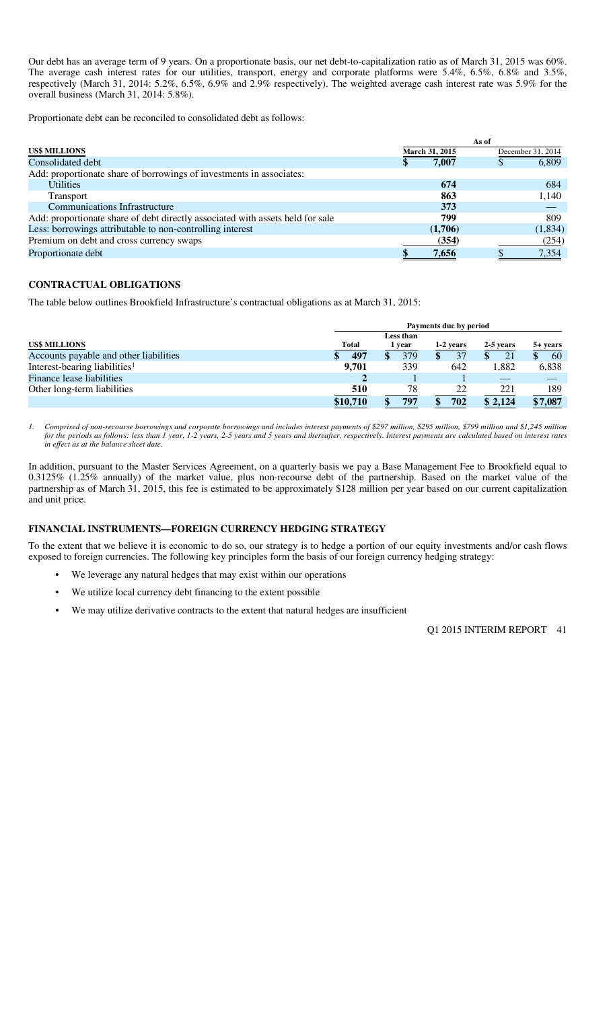Our debt has an average term of 9 years. On a proportionate basis, our net debt-to-capitalization ratio as of March 31, 2015 was 60%. The average cash interest rates for our utilities, transport, energy and corporate platforms were 5.4%, 6.5%, 6.8% and 3.5%, respectively (March 31, 2014: 5.2%, 6.5%, 6.9% and 2.9% respectively). The weighted average cash interest rate was 5.9% for the overall business (March 31, 2014: 5.8%).

Proportionate debt can be reconciled to consolidated debt as follows:

|                                                                                | As of |                |  |                   |
|--------------------------------------------------------------------------------|-------|----------------|--|-------------------|
| <b>US\$ MILLIONS</b>                                                           |       | March 31, 2015 |  | December 31, 2014 |
| Consolidated debt                                                              | \$    | 7,007          |  | 6,809             |
| Add: proportionate share of borrowings of investments in associates:           |       |                |  |                   |
| <b>Utilities</b>                                                               |       | 674            |  | 684               |
| Transport                                                                      |       | 863            |  | 1,140             |
| <b>Communications Infrastructure</b>                                           |       | 373            |  |                   |
| Add: proportionate share of debt directly associated with assets held for sale |       | 799            |  | 809               |
| Less: borrowings attributable to non-controlling interest                      |       | (1,706)        |  | (1,834)           |
| Premium on debt and cross currency swaps                                       |       | (354)          |  | (254)             |
| Proportionate debt                                                             |       | 7.656          |  | 7.354             |

#### **CONTRACTUAL OBLIGATIONS**

The table below outlines Brookfield Infrastructure's contractual obligations as at March 31, 2015:

|                                           |              | Payments due by period |           |           |          |  |  |
|-------------------------------------------|--------------|------------------------|-----------|-----------|----------|--|--|
|                                           |              | Less than              |           |           |          |  |  |
| <b>US\$ MILLIONS</b>                      | <b>Total</b> | year                   | 1-2 years | 2-5 years | 5+ years |  |  |
| Accounts payable and other liabilities    | 497          | 379                    | 37        | 21        | 60       |  |  |
| Interest-bearing liabilities <sup>1</sup> | 9.701        | 339                    | 642       | 1,882     | 6,838    |  |  |
| Finance lease liabilities                 |              |                        |           |           |          |  |  |
| Other long-term liabilities               | 510          | 78                     | 22        | 221       | 189      |  |  |
|                                           | \$10,710     | 797                    | 702       | \$2.124   | \$7,087  |  |  |

1. Comprised of non-recourse borrowings and corporate borrowings and includes interest payments of \$297 million, \$295 million, \$799 million and \$1,245 million *for the periods as follows: less than 1 year, 1-2 years, 2-5 years and 5 years and thereafter, respectively. Interest payments are calculated based on interest rates in effect as at the balance sheet date.* 

In addition, pursuant to the Master Services Agreement, on a quarterly basis we pay a Base Management Fee to Brookfield equal to 0.3125% (1.25% annually) of the market value, plus non-recourse debt of the partnership. Based on the market value of the partnership as of March 31, 2015, this fee is estimated to be approximately \$128 million per year based on our current capitalization and unit price.

### **FINANCIAL INSTRUMENTS—FOREIGN CURRENCY HEDGING STRATEGY**

To the extent that we believe it is economic to do so, our strategy is to hedge a portion of our equity investments and/or cash flows exposed to foreign currencies. The following key principles form the basis of our foreign currency hedging strategy:

- We leverage any natural hedges that may exist within our operations
- We utilize local currency debt financing to the extent possible
- We may utilize derivative contracts to the extent that natural hedges are insufficient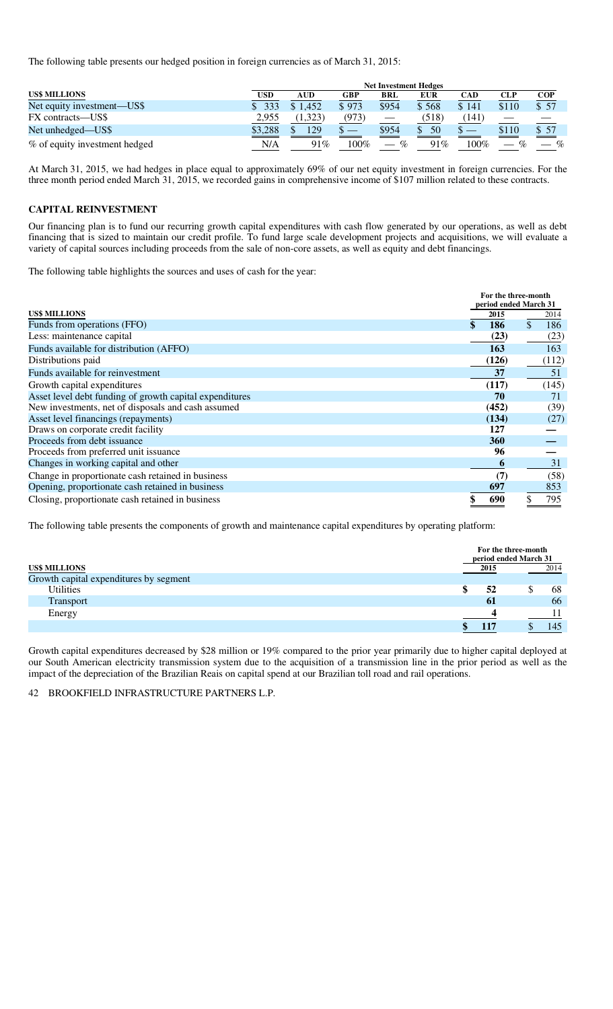The following table presents our hedged position in foreign currencies as of March 31, 2015:

|                               | <b>Net Investment Hedges</b> |            |       |                               |         |            |                        |       |
|-------------------------------|------------------------------|------------|-------|-------------------------------|---------|------------|------------------------|-------|
| <b>US\$ MILLIONS</b>          | <b>USD</b>                   | <b>AUD</b> | GBP   | <b>BRL</b>                    | EUR     | <b>CAD</b> | <b>CLP</b>             | COP   |
| Net equity investment—US\$    | 333                          | \$1.452    | \$973 | \$954                         | \$568   | \$141      | \$110                  | \$57  |
| FX contracts—US\$             | 2,955                        | 1.323)     | (973) | $\overbrace{\phantom{12333}}$ | (518)   | [141]      |                        |       |
| Net unhedged—US\$             | \$3.288                      | 129        |       | \$954                         | 50<br>S |            | \$110                  | \$ 57 |
| % of equity investment hedged | N/A                          | 91%        | 100%  | $\%$                          | 91%     | 100%       | $\mathcal{O}_0$<br>$-$ | %     |

At March 31, 2015, we had hedges in place equal to approximately 69% of our net equity investment in foreign currencies. For the three month period ended March 31, 2015, we recorded gains in comprehensive income of \$107 million related to these contracts.

# **CAPITAL REINVESTMENT**

Our financing plan is to fund our recurring growth capital expenditures with cash flow generated by our operations, as well as debt financing that is sized to maintain our credit profile. To fund large scale development projects and acquisitions, we will evaluate a variety of capital sources including proceeds from the sale of non-core assets, as well as equity and debt financings.

The following table highlights the sources and uses of cash for the year:

|                                                         | For the three-month<br>period ended March 31 |       |  |       |
|---------------------------------------------------------|----------------------------------------------|-------|--|-------|
| <b>US\$ MILLIONS</b>                                    |                                              | 2015  |  | 2014  |
| Funds from operations (FFO)                             |                                              | 186   |  | 186   |
| Less: maintenance capital                               |                                              | (23)  |  | (23)  |
| Funds available for distribution (AFFO)                 |                                              | 163   |  | 163   |
| Distributions paid                                      |                                              | (126) |  | (112) |
| Funds available for reinvestment                        |                                              | 37    |  | 51    |
| Growth capital expenditures                             |                                              | (117) |  | (145) |
| Asset level debt funding of growth capital expenditures |                                              | 70    |  | 71    |
| New investments, net of disposals and cash assumed      |                                              | (452) |  | (39)  |
| Asset level financings (repayments)                     |                                              | (134) |  | (27)  |
| Draws on corporate credit facility                      |                                              | 127   |  |       |
| Proceeds from debt issuance                             |                                              | 360   |  |       |
| Proceeds from preferred unit issuance                   |                                              | 96    |  |       |
| Changes in working capital and other                    |                                              | O     |  | 31    |
| Change in proportionate cash retained in business       |                                              | (7)   |  | (58)  |
| Opening, proportionate cash retained in business        |                                              | 697   |  | 853   |
| Closing, proportionate cash retained in business        |                                              | 690   |  | 795   |

The following table presents the components of growth and maintenance capital expenditures by operating platform:

|                                        |          | For the three-month<br>period ended March 31 |
|----------------------------------------|----------|----------------------------------------------|
| <b>US\$ MILLIONS</b>                   | 2015     | 2014                                         |
| Growth capital expenditures by segment |          |                                              |
| <b>Utilities</b>                       | 52<br>٠D | 68                                           |
| <b>Transport</b>                       | 61       | 66                                           |
| Energy                                 |          |                                              |
|                                        | 117      | 145                                          |

Growth capital expenditures decreased by \$28 million or 19% compared to the prior year primarily due to higher capital deployed at our South American electricity transmission system due to the acquisition of a transmission line in the prior period as well as the impact of the depreciation of the Brazilian Reais on capital spend at our Brazilian toll road and rail operations.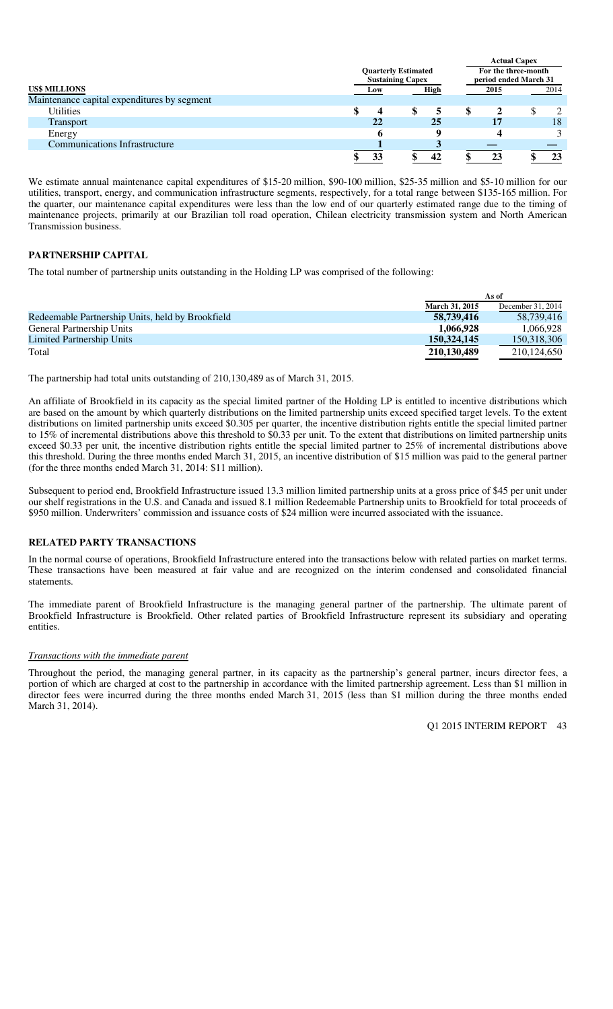|                                             |                         |                            |                       | <b>Actual Capex</b> |
|---------------------------------------------|-------------------------|----------------------------|-----------------------|---------------------|
|                                             |                         | <b>Quarterly Estimated</b> |                       | For the three-month |
|                                             | <b>Sustaining Capex</b> |                            | period ended March 31 |                     |
| <b>US\$ MILLIONS</b>                        | Low                     | High                       | 2015                  | 2014                |
| Maintenance capital expenditures by segment |                         |                            |                       |                     |
| <b>Utilities</b>                            | 4                       |                            |                       |                     |
| <b>Transport</b>                            | 22                      | 25                         | 17                    | 18                  |
| Energy                                      |                         |                            |                       |                     |
| <b>Communications Infrastructure</b>        |                         |                            |                       |                     |
|                                             |                         |                            |                       | 23                  |

We estimate annual maintenance capital expenditures of \$15-20 million, \$90-100 million, \$25-35 million and \$5-10 million for our utilities, transport, energy, and communication infrastructure segments, respectively, for a total range between \$135-165 million. For the quarter, our maintenance capital expenditures were less than the low end of our quarterly estimated range due to the timing of maintenance projects, primarily at our Brazilian toll road operation, Chilean electricity transmission system and North American Transmission business.

# **PARTNERSHIP CAPITAL**

The total number of partnership units outstanding in the Holding LP was comprised of the following:

|                                                  | As of                 |                   |  |
|--------------------------------------------------|-----------------------|-------------------|--|
|                                                  | <b>March 31, 2015</b> | December 31, 2014 |  |
| Redeemable Partnership Units, held by Brookfield | 58,739,416            | 58.739.416        |  |
| General Partnership Units                        | 1.066.928             | 1.066.928         |  |
| Limited Partnership Units                        | 150.324,145           | 150,318,306       |  |
| Total                                            | 210,130,489           | 210.124.650       |  |

The partnership had total units outstanding of 210,130,489 as of March 31, 2015.

An affiliate of Brookfield in its capacity as the special limited partner of the Holding LP is entitled to incentive distributions which are based on the amount by which quarterly distributions on the limited partnership units exceed specified target levels. To the extent distributions on limited partnership units exceed \$0.305 per quarter, the incentive distribution rights entitle the special limited partner to 15% of incremental distributions above this threshold to \$0.33 per unit. To the extent that distributions on limited partnership units exceed \$0.33 per unit, the incentive distribution rights entitle the special limited partner to 25% of incremental distributions above this threshold. During the three months ended March 31, 2015, an incentive distribution of \$15 million was paid to the general partner (for the three months ended March 31, 2014: \$11 million).

Subsequent to period end, Brookfield Infrastructure issued 13.3 million limited partnership units at a gross price of \$45 per unit under our shelf registrations in the U.S. and Canada and issued 8.1 million Redeemable Partnership units to Brookfield for total proceeds of \$950 million. Underwriters' commission and issuance costs of \$24 million were incurred associated with the issuance.

### **RELATED PARTY TRANSACTIONS**

In the normal course of operations, Brookfield Infrastructure entered into the transactions below with related parties on market terms. These transactions have been measured at fair value and are recognized on the interim condensed and consolidated financial statements.

The immediate parent of Brookfield Infrastructure is the managing general partner of the partnership. The ultimate parent of Brookfield Infrastructure is Brookfield. Other related parties of Brookfield Infrastructure represent its subsidiary and operating entities.

#### *Transactions with the immediate parent*

Throughout the period, the managing general partner, in its capacity as the partnership's general partner, incurs director fees, a portion of which are charged at cost to the partnership in accordance with the limited partnership agreement. Less than \$1 million in director fees were incurred during the three months ended March 31, 2015 (less than \$1 million during the three months ended March 31, 2014).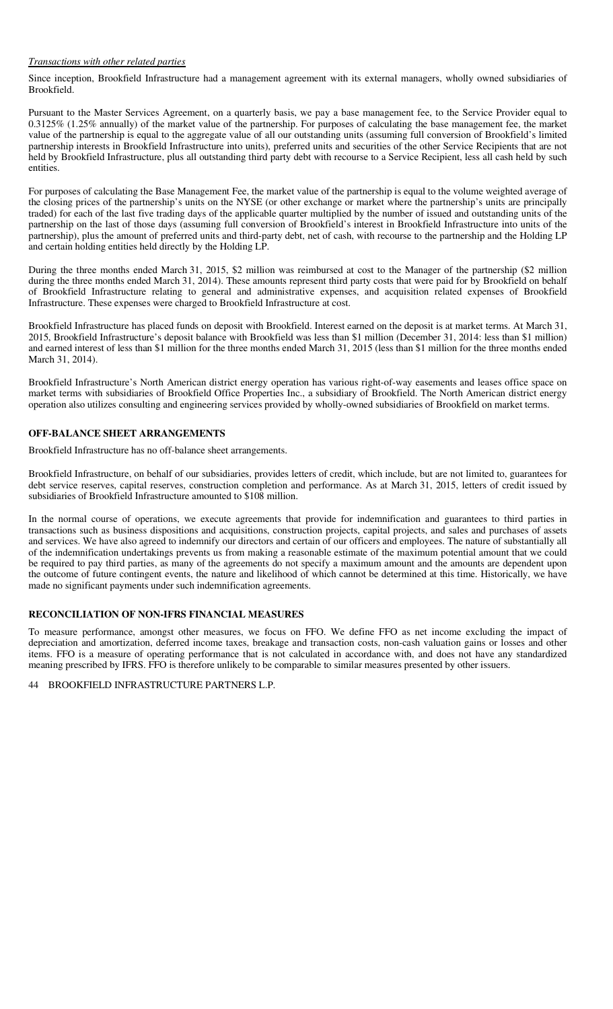# *Transactions with other related parties*

Since inception, Brookfield Infrastructure had a management agreement with its external managers, wholly owned subsidiaries of Brookfield.

Pursuant to the Master Services Agreement, on a quarterly basis, we pay a base management fee, to the Service Provider equal to 0.3125% (1.25% annually) of the market value of the partnership. For purposes of calculating the base management fee, the market value of the partnership is equal to the aggregate value of all our outstanding units (assuming full conversion of Brookfield's limited partnership interests in Brookfield Infrastructure into units), preferred units and securities of the other Service Recipients that are not held by Brookfield Infrastructure, plus all outstanding third party debt with recourse to a Service Recipient, less all cash held by such entities.

For purposes of calculating the Base Management Fee, the market value of the partnership is equal to the volume weighted average of the closing prices of the partnership's units on the NYSE (or other exchange or market where the partnership's units are principally traded) for each of the last five trading days of the applicable quarter multiplied by the number of issued and outstanding units of the partnership on the last of those days (assuming full conversion of Brookfield's interest in Brookfield Infrastructure into units of the partnership), plus the amount of preferred units and third-party debt, net of cash, with recourse to the partnership and the Holding LP and certain holding entities held directly by the Holding LP.

During the three months ended March 31, 2015, \$2 million was reimbursed at cost to the Manager of the partnership (\$2 million during the three months ended March 31, 2014). These amounts represent third party costs that were paid for by Brookfield on behalf of Brookfield Infrastructure relating to general and administrative expenses, and acquisition related expenses of Brookfield Infrastructure. These expenses were charged to Brookfield Infrastructure at cost.

Brookfield Infrastructure has placed funds on deposit with Brookfield. Interest earned on the deposit is at market terms. At March 31, 2015, Brookfield Infrastructure's deposit balance with Brookfield was less than \$1 million (December 31, 2014: less than \$1 million) and earned interest of less than \$1 million for the three months ended March 31, 2015 (less than \$1 million for the three months ended March 31, 2014).

Brookfield Infrastructure's North American district energy operation has various right-of-way easements and leases office space on market terms with subsidiaries of Brookfield Office Properties Inc., a subsidiary of Brookfield. The North American district energy operation also utilizes consulting and engineering services provided by wholly-owned subsidiaries of Brookfield on market terms.

#### **OFF-BALANCE SHEET ARRANGEMENTS**

Brookfield Infrastructure has no off-balance sheet arrangements.

Brookfield Infrastructure, on behalf of our subsidiaries, provides letters of credit, which include, but are not limited to, guarantees for debt service reserves, capital reserves, construction completion and performance. As at March 31, 2015, letters of credit issued by subsidiaries of Brookfield Infrastructure amounted to \$108 million.

In the normal course of operations, we execute agreements that provide for indemnification and guarantees to third parties in transactions such as business dispositions and acquisitions, construction projects, capital projects, and sales and purchases of assets and services. We have also agreed to indemnify our directors and certain of our officers and employees. The nature of substantially all of the indemnification undertakings prevents us from making a reasonable estimate of the maximum potential amount that we could be required to pay third parties, as many of the agreements do not specify a maximum amount and the amounts are dependent upon the outcome of future contingent events, the nature and likelihood of which cannot be determined at this time. Historically, we have made no significant payments under such indemnification agreements.

#### **RECONCILIATION OF NON-IFRS FINANCIAL MEASURES**

To measure performance, amongst other measures, we focus on FFO. We define FFO as net income excluding the impact of depreciation and amortization, deferred income taxes, breakage and transaction costs, non-cash valuation gains or losses and other items. FFO is a measure of operating performance that is not calculated in accordance with, and does not have any standardized meaning prescribed by IFRS. FFO is therefore unlikely to be comparable to similar measures presented by other issuers.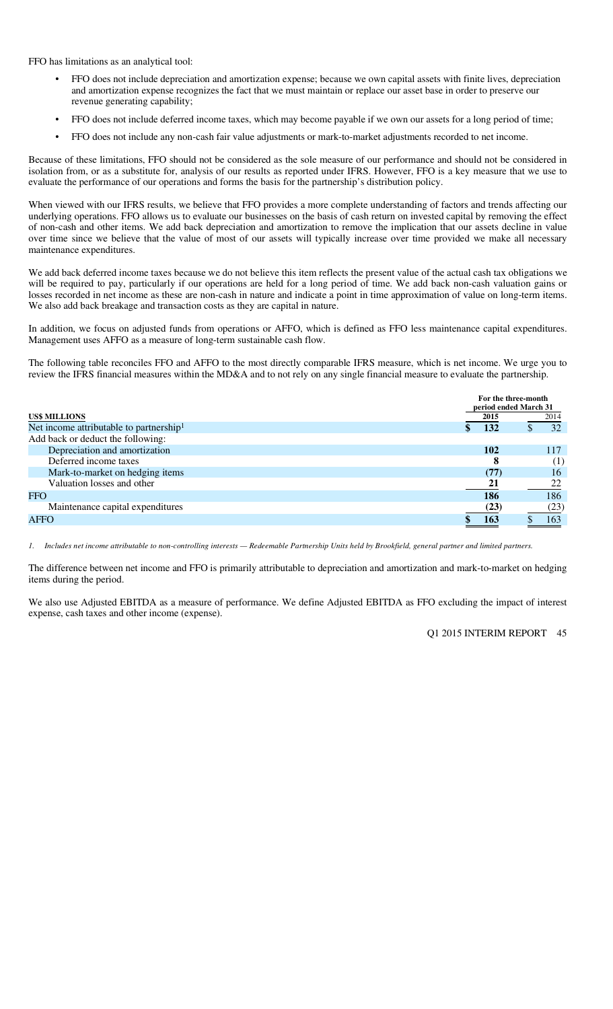FFO has limitations as an analytical tool:

- FFO does not include depreciation and amortization expense; because we own capital assets with finite lives, depreciation and amortization expense recognizes the fact that we must maintain or replace our asset base in order to preserve our revenue generating capability;
- FFO does not include deferred income taxes, which may become payable if we own our assets for a long period of time;
- FFO does not include any non-cash fair value adjustments or mark-to-market adjustments recorded to net income.

Because of these limitations, FFO should not be considered as the sole measure of our performance and should not be considered in isolation from, or as a substitute for, analysis of our results as reported under IFRS. However, FFO is a key measure that we use to evaluate the performance of our operations and forms the basis for the partnership's distribution policy.

When viewed with our IFRS results, we believe that FFO provides a more complete understanding of factors and trends affecting our underlying operations. FFO allows us to evaluate our businesses on the basis of cash return on invested capital by removing the effect of non-cash and other items. We add back depreciation and amortization to remove the implication that our assets decline in value over time since we believe that the value of most of our assets will typically increase over time provided we make all necessary maintenance expenditures.

We add back deferred income taxes because we do not believe this item reflects the present value of the actual cash tax obligations we will be required to pay, particularly if our operations are held for a long period of time. We add back non-cash valuation gains or losses recorded in net income as these are non-cash in nature and indicate a point in time approximation of value on long-term items. We also add back breakage and transaction costs as they are capital in nature.

In addition, we focus on adjusted funds from operations or AFFO, which is defined as FFO less maintenance capital expenditures. Management uses AFFO as a measure of long-term sustainable cash flow.

The following table reconciles FFO and AFFO to the most directly comparable IFRS measure, which is net income. We urge you to review the IFRS financial measures within the MD&A and to not rely on any single financial measure to evaluate the partnership.

|                                                     | For the three-month<br>period ended March 31 |      |
|-----------------------------------------------------|----------------------------------------------|------|
| <b>US\$ MILLIONS</b>                                | 2015                                         | 2014 |
| Net income attributable to partnership <sup>1</sup> | 132                                          | 32   |
| Add back or deduct the following:                   |                                              |      |
| Depreciation and amortization                       | 102                                          | 117  |
| Deferred income taxes                               | 8                                            | (1)  |
| Mark-to-market on hedging items                     | (77)                                         | 16   |
| Valuation losses and other                          | 21                                           | 22   |
| <b>FFO</b>                                          | 186                                          | 186  |
| Maintenance capital expenditures                    | (23)                                         | (23) |
| AFFO                                                | 163                                          | 163  |

*1. Includes net income attributable to non-controlling interests — Redeemable Partnership Units held by Brookfield, general partner and limited partners.* 

The difference between net income and FFO is primarily attributable to depreciation and amortization and mark-to-market on hedging items during the period.

We also use Adjusted EBITDA as a measure of performance. We define Adjusted EBITDA as FFO excluding the impact of interest expense, cash taxes and other income (expense).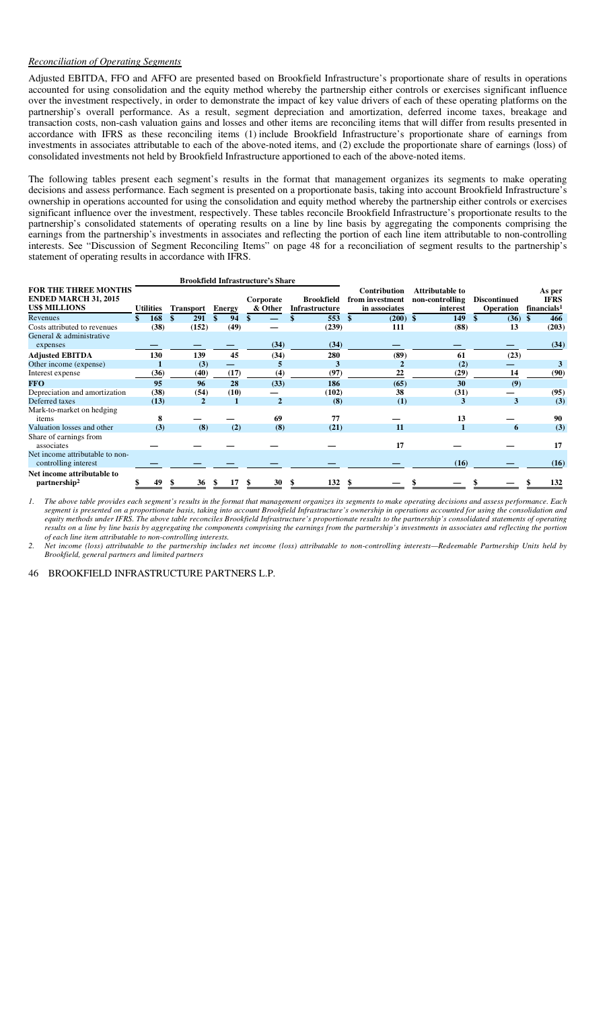# *Reconciliation of Operating Segments*

Adjusted EBITDA, FFO and AFFO are presented based on Brookfield Infrastructure's proportionate share of results in operations accounted for using consolidation and the equity method whereby the partnership either controls or exercises significant influence over the investment respectively, in order to demonstrate the impact of key value drivers of each of these operating platforms on the partnership's overall performance. As a result, segment depreciation and amortization, deferred income taxes, breakage and transaction costs, non-cash valuation gains and losses and other items are reconciling items that will differ from results presented in accordance with IFRS as these reconciling items (1) include Brookfield Infrastructure's proportionate share of earnings from investments in associates attributable to each of the above-noted items, and (2) exclude the proportionate share of earnings (loss) of consolidated investments not held by Brookfield Infrastructure apportioned to each of the above-noted items.

The following tables present each segment's results in the format that management organizes its segments to make operating decisions and assess performance. Each segment is presented on a proportionate basis, taking into account Brookfield Infrastructure's ownership in operations accounted for using the consolidation and equity method whereby the partnership either controls or exercises significant influence over the investment, respectively. These tables reconcile Brookfield Infrastructure's proportionate results to the partnership's consolidated statements of operating results on a line by line basis by aggregating the components comprising the earnings from the partnership's investments in associates and reflecting the portion of each line item attributable to non-controlling interests. See "Discussion of Segment Reconciling Items" on page 48 for a reconciliation of segment results to the partnership's statement of operating results in accordance with IFRS.

|                                                                                    | <b>Brookfield Infrastructure's Share</b> |      |                  |    |               |                      |                                            |     |                                                         |                                                |                                         |                                                  |
|------------------------------------------------------------------------------------|------------------------------------------|------|------------------|----|---------------|----------------------|--------------------------------------------|-----|---------------------------------------------------------|------------------------------------------------|-----------------------------------------|--------------------------------------------------|
| <b>FOR THE THREE MONTHS</b><br><b>ENDED MARCH 31, 2015</b><br><b>US\$ MILLIONS</b> | <b>Utilities</b>                         |      | <b>Transport</b> |    | <b>Energy</b> | Corporate<br>& Other | <b>Brookfield</b><br><b>Infrastructure</b> |     | <b>Contribution</b><br>from investment<br>in associates | Attributable to<br>non-controlling<br>interest | <b>Discontinued</b><br><b>Operation</b> | As per<br><b>IFRS</b><br>financials <sup>1</sup> |
| Revenues                                                                           | S.                                       | 168  | 291              | \$ | 94            | - \$                 | 553                                        | -\$ | $(200)$ \$                                              | 149                                            | $(36)$ \$                               | 466                                              |
| Costs attributed to revenues                                                       |                                          | (38) | (152)            |    | (49)          |                      | (239)                                      |     | 111                                                     | (88)                                           | 13                                      | (203)                                            |
| General & administrative                                                           |                                          |      |                  |    |               |                      |                                            |     |                                                         |                                                |                                         |                                                  |
| expenses                                                                           |                                          |      |                  |    |               | (34)                 | (34)                                       |     |                                                         |                                                |                                         | (34)                                             |
| <b>Adjusted EBITDA</b>                                                             |                                          | 130  | 139              |    | 45            | (34)                 | 280                                        |     | (89)                                                    | 61                                             | (23)                                    |                                                  |
| Other income (expense)                                                             |                                          |      | (3)              |    | -             |                      | 3                                          |     |                                                         | (2)                                            |                                         | 3                                                |
| Interest expense                                                                   |                                          | (36) | (40)             |    | (17)          | (4)                  | (97)                                       |     | 22                                                      | (29)                                           | 14                                      | (90)                                             |
| <b>FFO</b>                                                                         |                                          | 95   | 96               |    | 28            | (33)                 | 186                                        |     | (65)                                                    | 30                                             | (9)                                     |                                                  |
| Depreciation and amortization                                                      |                                          | (38) | (54)             |    | (10)          |                      | (102)                                      |     | 38                                                      | (31)                                           |                                         | (95)                                             |
| Deferred taxes                                                                     |                                          | (13) | $\mathbf{2}$     |    |               | $\mathbf{2}$         | (8)                                        |     | (1)                                                     | 3                                              | 3                                       | (3)                                              |
| Mark-to-market on hedging<br>items                                                 |                                          | 8    |                  |    |               | 69                   | 77                                         |     |                                                         | 13                                             |                                         | 90                                               |
| Valuation losses and other                                                         |                                          | (3)  | (8)              |    | (2)           | (8)                  | (21)                                       |     | 11                                                      |                                                | 6                                       | (3)                                              |
| Share of earnings from<br>associates                                               |                                          |      |                  |    |               |                      |                                            |     | 17                                                      |                                                |                                         | 17                                               |
| Net income attributable to non-<br>controlling interest                            |                                          |      |                  |    |               |                      |                                            |     |                                                         | (16)                                           |                                         | (16)                                             |
| Net income attributable to<br>partnership <sup>2</sup>                             |                                          | 49   | \$<br>36         |    | 17            | 30<br>\$             | 132<br>-S                                  |     |                                                         |                                                |                                         | 132                                              |

 *1. The above table provides each segment's results in the format that management organizes its segments to make operating decisions and assess performance. Each segment is presented on a proportionate basis, taking into account Brookfield Infrastructure's ownership in operations accounted for using the consolidation and equity methods under IFRS. The above table reconciles Brookfield Infrastructure's proportionate results to the partnership's consolidated statements of operating results on a line by line basis by aggregating the components comprising the earnings from the partnership's investments in associates and reflecting the portion of each line item attributable to non-controlling interests.* 

*2. Net income (loss) attributable to the partnership includes net income (loss) attributable to non-controlling interests—Redeemable Partnership Units held by Brookfield, general partners and limited partners*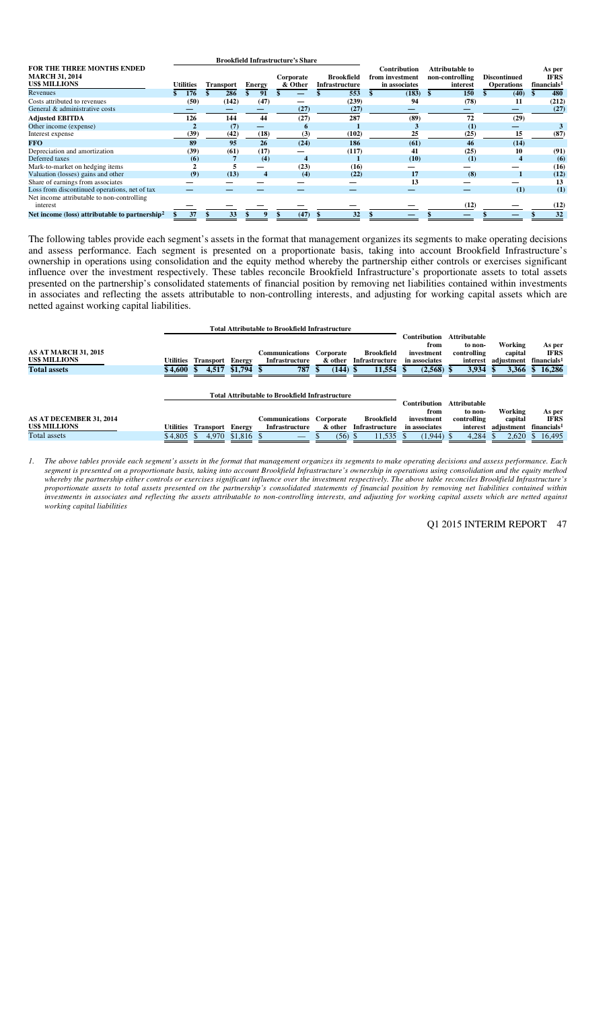| FOR THE THREE MONTHS ENDED<br><b>MARCH 31, 2014</b><br><b>US\$ MILLIONS</b> | <b>Utilities</b> | <b>Transport</b> |       | Energy | Corporate<br>& Other | <b>Brookfield</b><br><b>Infrastructure</b> | Contribution<br>from investment<br>in associates | Attributable to<br>non-controlling<br>interest | <b>Discontinued</b><br><b>Operations</b> | As per<br><b>IFRS</b><br>financials <sup>1</sup> |
|-----------------------------------------------------------------------------|------------------|------------------|-------|--------|----------------------|--------------------------------------------|--------------------------------------------------|------------------------------------------------|------------------------------------------|--------------------------------------------------|
| Revenues                                                                    | 176              |                  | 286   | 91     |                      | 553                                        | (183)                                            | 150<br>-8                                      | (40)                                     | 480                                              |
| Costs attributed to revenues                                                | (50)             |                  | (142) | (47)   |                      | (239)                                      | 94                                               | (78)                                           | 11                                       | (212)                                            |
| General & administrative costs                                              |                  |                  |       |        | (27)                 | (27)                                       |                                                  |                                                |                                          | (27)                                             |
| <b>Adjusted EBITDA</b>                                                      | 126              |                  | 144   | 44     | (27)                 | 287                                        | (89)                                             | 72                                             | (29)                                     |                                                  |
| Other income (expense)                                                      |                  |                  | (7)   | —      | 6                    |                                            |                                                  | (1)                                            |                                          |                                                  |
| Interest expense                                                            | (39)             |                  | (42)  | (18)   | (3)                  | (102)                                      | 25                                               | (25)                                           | 15                                       | (87)                                             |
| <b>FFO</b>                                                                  | 89               |                  | 95    | 26     | (24)                 | 186                                        | (61)                                             | 46                                             | (14)                                     |                                                  |
| Depreciation and amortization                                               | (39)             |                  | (61)  | (17)   |                      | (117)                                      | 41                                               | (25)                                           | 10                                       | (91)                                             |
| Deferred taxes                                                              | (6)              |                  |       | (4)    | 4                    |                                            | (10)                                             | (1)                                            | 4                                        | (6)                                              |
| Mark-to-market on hedging items                                             |                  |                  | ÷.    |        | (23)                 | (16)                                       |                                                  |                                                |                                          | (16)                                             |
| Valuation (losses) gains and other                                          | (9)              |                  | (13)  | 4      | (4)                  | (22)                                       | 17                                               | (8)                                            |                                          | (12)                                             |
| Share of earnings from associates                                           |                  |                  |       |        |                      |                                            | 13                                               |                                                |                                          | 13                                               |
| Loss from discontinued operations, net of tax                               |                  |                  |       |        |                      |                                            |                                                  |                                                | (1)                                      | (1)                                              |
| Net income attributable to non-controlling                                  |                  |                  |       |        |                      |                                            |                                                  |                                                |                                          |                                                  |
| interest                                                                    |                  |                  |       |        |                      |                                            |                                                  | (12)                                           |                                          | (12)                                             |
| Net income (loss) attributable to partnership <sup>2</sup>                  | 37               |                  | 33    |        | (47)                 | 32                                         |                                                  |                                                |                                          | 32                                               |

The following tables provide each segment's assets in the format that management organizes its segments to make operating decisions and assess performance. Each segment is presented on a proportionate basis, taking into account Brookfield Infrastructure's ownership in operations using consolidation and the equity method whereby the partnership either controls or exercises significant influence over the investment respectively. These tables reconcile Brookfield Infrastructure's proportionate assets to total assets presented on the partnership's consolidated statements of financial position by removing net liabilities contained within investments in associates and reflecting the assets attributable to non-controlling interests, and adjusting for working capital assets which are netted against working capital liabilities.

| <b>Total Attributable to Brookfield Infrastructure</b> |                  |                  |             |                                                        |            |                   |               |                     |            |                         |
|--------------------------------------------------------|------------------|------------------|-------------|--------------------------------------------------------|------------|-------------------|---------------|---------------------|------------|-------------------------|
|                                                        |                  |                  |             |                                                        |            |                   | Contribution  | <b>Attributable</b> |            |                         |
|                                                        |                  |                  |             |                                                        |            |                   | from          | to non-             | Working    | As per                  |
| <b>AS AT MARCH 31, 2015</b>                            |                  |                  |             | Communications Corporate                               |            | <b>Brookfield</b> | investment    | controlling         | capital    | <b>IFRS</b>             |
| <b>US\$ MILLIONS</b>                                   | <b>Utilities</b> | <b>Transport</b> | Energy      | <b>Infrastructure</b>                                  | & other    | Infrastructure    | in associates | interest            | adiustment | financials <sup>1</sup> |
| <b>Total assets</b>                                    | \$4,600          | 4,517<br>- \$    | $$1,794$ \$ | 787                                                    | $(144)$ \$ | 11,554            | $(2,568)$ \$  | 3,934               | 3,366      | \$16,286                |
|                                                        |                  |                  |             |                                                        |            |                   |               |                     |            |                         |
|                                                        |                  |                  |             |                                                        |            |                   |               |                     |            |                         |
|                                                        |                  |                  |             | <b>Total Attributable to Brookfield Infrastructure</b> |            |                   |               |                     |            |                         |
|                                                        |                  |                  |             |                                                        |            |                   | Contribution  | <b>Attributable</b> |            |                         |
|                                                        |                  |                  |             |                                                        |            |                   | from          | to non-             | Working    | As per                  |
| AS AT DECEMBER 31, 2014                                |                  |                  |             | Communications                                         | Corporate  | <b>Brookfield</b> | investment    | controlling         | capital    | <b>IFRS</b>             |
| US\$ MILLIONS                                          | <b>Utilities</b> | <b>Transport</b> | Energy      | <b>Infrastructure</b>                                  | & other    | Infrastructure    | in associates | interest            | adjustment | financials <sup>1</sup> |
| Total assets                                           | \$4,805          | 4.970            | $$1.816$ \$ | _                                                      | $(56)$ \$  | 11.535            | $(1,944)$ \$  | 4.284               | 2.620      | 16.495                  |

*1. The above tables provide each segment's assets in the format that management organizes its segments to make operating decisions and assess performance. Each segment is presented on a proportionate basis, taking into account Brookfield Infrastructure's ownership in operations using consolidation and the equity method whereby the partnership either controls or exercises significant influence over the investment respectively. The above table reconciles Brookfield Infrastructure's proportionate assets to total assets presented on the partnership's consolidated statements of financial position by removing net liabilities contained within investments in associates and reflecting the assets attributable to non-controlling interests, and adjusting for working capital assets which are netted against working capital liabilities*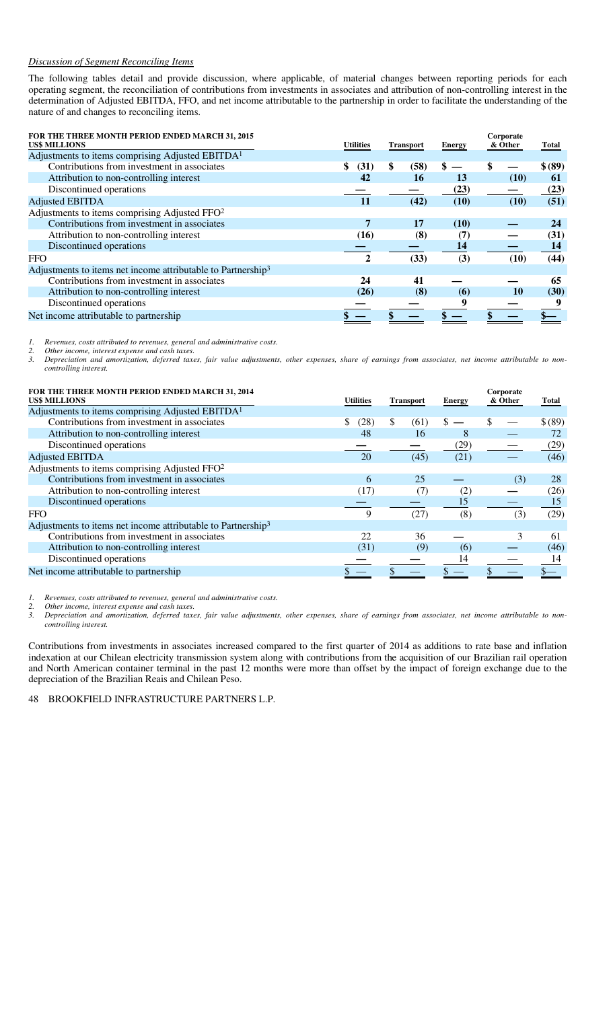# *Discussion of Segment Reconciling Items*

The following tables detail and provide discussion, where applicable, of material changes between reporting periods for each operating segment, the reconciliation of contributions from investments in associates and attribution of non-controlling interest in the determination of Adjusted EBITDA, FFO, and net income attributable to the partnership in order to facilitate the understanding of the nature of and changes to reconciling items.

| FOR THE THREE MONTH PERIOD ENDED MARCH 31, 2015<br><b>US\$ MILLIONS</b>  | <b>Utilities</b> | <b>Transport</b> | <b>Energy</b> | Corporate<br>& Other | Total   |
|--------------------------------------------------------------------------|------------------|------------------|---------------|----------------------|---------|
| Adjustments to items comprising Adjusted EBITDA <sup>1</sup>             |                  |                  |               |                      |         |
| Contributions from investment in associates                              | (31)             | \$<br>(58)       | \$            | \$                   | \$ (89) |
| Attribution to non-controlling interest                                  | 42               | 16               | 13            | (10)                 | 61      |
| Discontinued operations                                                  |                  |                  | (23)          |                      | (23)    |
| <b>Adjusted EBITDA</b>                                                   | <b>11</b>        | (42)             | (10)          | (10)                 | (51)    |
| Adjustments to items comprising Adjusted FFO <sup>2</sup>                |                  |                  |               |                      |         |
| Contributions from investment in associates                              | 7                | 17               | (10)          |                      | 24      |
| Attribution to non-controlling interest                                  | (16)             | (8)              | (7)           |                      | (31)    |
| Discontinued operations                                                  |                  |                  | 14            |                      | 14      |
| <b>FFO</b>                                                               | $\mathbf 2$      | (33)             | (3)           | (10)                 | (44)    |
| Adjustments to items net income attributable to Partnership <sup>3</sup> |                  |                  |               |                      |         |
| Contributions from investment in associates                              | 24               | 41               |               |                      | 65      |
| Attribution to non-controlling interest                                  | (26)             | (8)              | (6)           | 10                   | (30)    |
| Discontinued operations                                                  |                  |                  | 9             |                      |         |
| Net income attributable to partnership                                   |                  |                  |               |                      |         |

*1. Revenues, costs attributed to revenues, general and administrative costs.* 

*2. Other income, interest expense and cash taxes.* 

*3. Depreciation and amortization, deferred taxes, fair value adjustments, other expenses, share of earnings from associates, net income attributable to noncontrolling interest.* 

| FOR THE THREE MONTH PERIOD ENDED MARCH 31, 2014<br><b>US\$ MILLIONS</b>  | <b>Utilities</b> | <b>Transport</b>     | <b>Energy</b> | Corporate<br>& Other | Total   |
|--------------------------------------------------------------------------|------------------|----------------------|---------------|----------------------|---------|
| Adjustments to items comprising Adjusted EBITDA <sup>1</sup>             |                  |                      |               |                      |         |
| Contributions from investment in associates                              | \$<br>(28)       | $\mathbb{S}$<br>(61) | \$.           |                      | \$ (89) |
| Attribution to non-controlling interest                                  | 48               | 16                   | 8             |                      |         |
| Discontinued operations                                                  |                  |                      | (29)          |                      | (29)    |
| <b>Adjusted EBITDA</b>                                                   | 20               | (45)                 | (21)          |                      | (46)    |
| Adjustments to items comprising Adjusted FFO <sup>2</sup>                |                  |                      |               |                      |         |
| Contributions from investment in associates                              | 6                | 25                   |               | (3)                  | 28      |
| Attribution to non-controlling interest                                  | (17)             | (7)                  | (2)           |                      | (26)    |
| Discontinued operations                                                  |                  |                      | 15            |                      | 15      |
| <b>FFO</b>                                                               | Q                | (27)                 | (8)           | (3)                  | (29)    |
| Adjustments to items net income attributable to Partnership <sup>3</sup> |                  |                      |               |                      |         |
| Contributions from investment in associates                              | 22               | 36                   |               | 3                    | 61      |
| Attribution to non-controlling interest                                  | (31)             | (9)                  | (6)           |                      | (46)    |
| Discontinued operations                                                  |                  |                      | 14            |                      | 14      |
| Net income attributable to partnership                                   |                  |                      |               |                      |         |

*1. Revenues, costs attributed to revenues, general and administrative costs.* 

*2. Other income, interest expense and cash taxes.* 

*3. Depreciation and amortization, deferred taxes, fair value adjustments, other expenses, share of earnings from associates, net income attributable to noncontrolling interest.* 

Contributions from investments in associates increased compared to the first quarter of 2014 as additions to rate base and inflation indexation at our Chilean electricity transmission system along with contributions from the acquisition of our Brazilian rail operation and North American container terminal in the past 12 months were more than offset by the impact of foreign exchange due to the depreciation of the Brazilian Reais and Chilean Peso.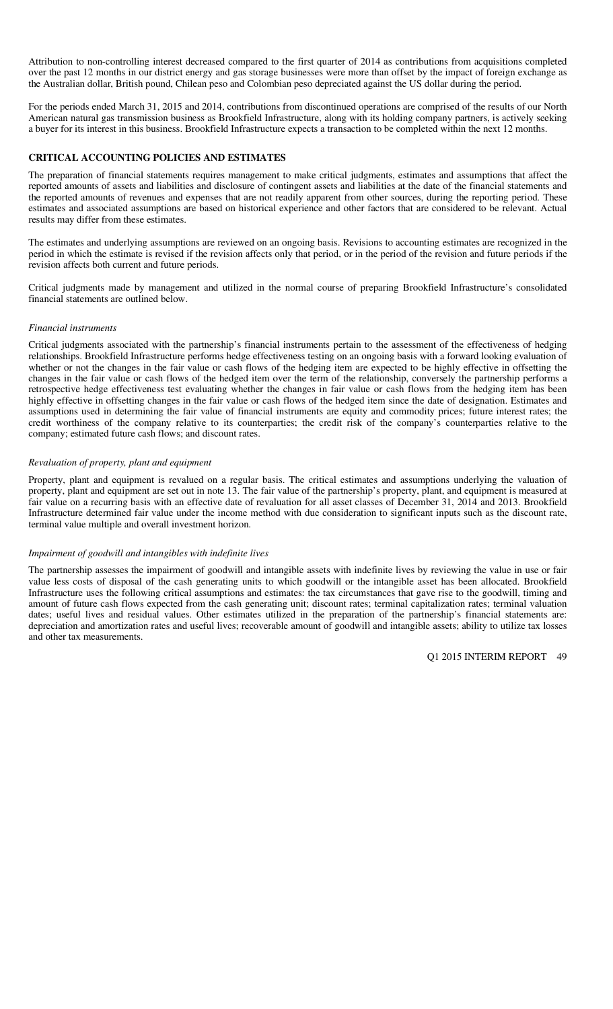Attribution to non-controlling interest decreased compared to the first quarter of 2014 as contributions from acquisitions completed over the past 12 months in our district energy and gas storage businesses were more than offset by the impact of foreign exchange as the Australian dollar, British pound, Chilean peso and Colombian peso depreciated against the US dollar during the period.

For the periods ended March 31, 2015 and 2014, contributions from discontinued operations are comprised of the results of our North American natural gas transmission business as Brookfield Infrastructure, along with its holding company partners, is actively seeking a buyer for its interest in this business. Brookfield Infrastructure expects a transaction to be completed within the next 12 months.

#### **CRITICAL ACCOUNTING POLICIES AND ESTIMATES**

The preparation of financial statements requires management to make critical judgments, estimates and assumptions that affect the reported amounts of assets and liabilities and disclosure of contingent assets and liabilities at the date of the financial statements and the reported amounts of revenues and expenses that are not readily apparent from other sources, during the reporting period. These estimates and associated assumptions are based on historical experience and other factors that are considered to be relevant. Actual results may differ from these estimates.

The estimates and underlying assumptions are reviewed on an ongoing basis. Revisions to accounting estimates are recognized in the period in which the estimate is revised if the revision affects only that period, or in the period of the revision and future periods if the revision affects both current and future periods.

Critical judgments made by management and utilized in the normal course of preparing Brookfield Infrastructure's consolidated financial statements are outlined below.

#### *Financial instruments*

Critical judgments associated with the partnership's financial instruments pertain to the assessment of the effectiveness of hedging relationships. Brookfield Infrastructure performs hedge effectiveness testing on an ongoing basis with a forward looking evaluation of whether or not the changes in the fair value or cash flows of the hedging item are expected to be highly effective in offsetting the changes in the fair value or cash flows of the hedged item over the term of the relationship, conversely the partnership performs a retrospective hedge effectiveness test evaluating whether the changes in fair value or cash flows from the hedging item has been highly effective in offsetting changes in the fair value or cash flows of the hedged item since the date of designation. Estimates and assumptions used in determining the fair value of financial instruments are equity and commodity prices; future interest rates; the credit worthiness of the company relative to its counterparties; the credit risk of the company's counterparties relative to the company; estimated future cash flows; and discount rates.

#### *Revaluation of property, plant and equipment*

Property, plant and equipment is revalued on a regular basis. The critical estimates and assumptions underlying the valuation of property, plant and equipment are set out in note 13. The fair value of the partnership's property, plant, and equipment is measured at fair value on a recurring basis with an effective date of revaluation for all asset classes of December 31, 2014 and 2013. Brookfield Infrastructure determined fair value under the income method with due consideration to significant inputs such as the discount rate, terminal value multiple and overall investment horizon.

#### *Impairment of goodwill and intangibles with indefinite lives*

The partnership assesses the impairment of goodwill and intangible assets with indefinite lives by reviewing the value in use or fair value less costs of disposal of the cash generating units to which goodwill or the intangible asset has been allocated. Brookfield Infrastructure uses the following critical assumptions and estimates: the tax circumstances that gave rise to the goodwill, timing and amount of future cash flows expected from the cash generating unit; discount rates; terminal capitalization rates; terminal valuation dates; useful lives and residual values. Other estimates utilized in the preparation of the partnership's financial statements are: depreciation and amortization rates and useful lives; recoverable amount of goodwill and intangible assets; ability to utilize tax losses and other tax measurements.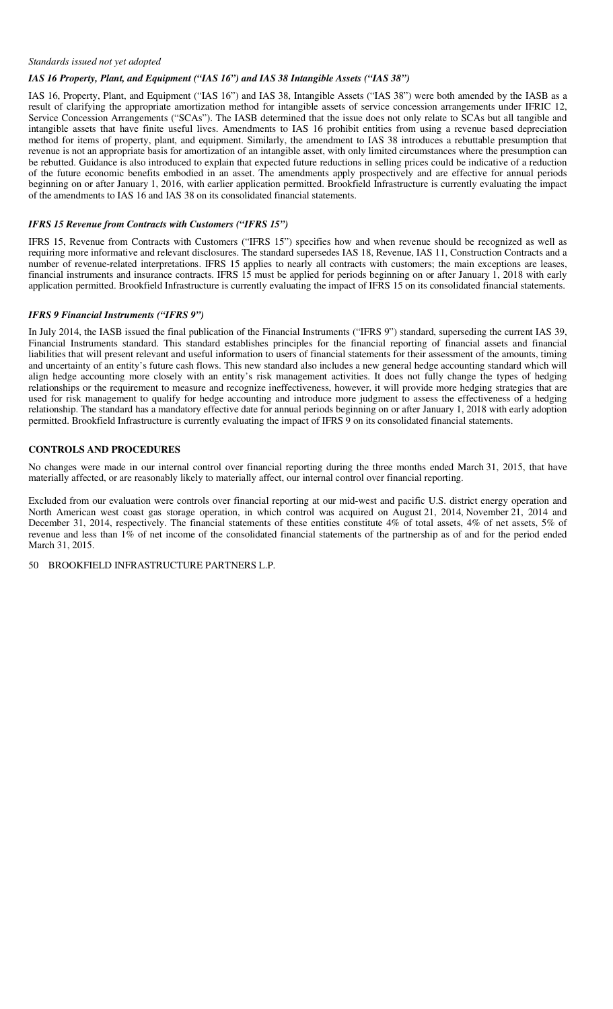#### *Standards issued not yet adopted*

# *IAS 16 Property, Plant, and Equipment ("IAS 16") and IAS 38 Intangible Assets ("IAS 38")*

IAS 16, Property, Plant, and Equipment ("IAS 16") and IAS 38, Intangible Assets ("IAS 38") were both amended by the IASB as a result of clarifying the appropriate amortization method for intangible assets of service concession arrangements under IFRIC 12, Service Concession Arrangements ("SCAs"). The IASB determined that the issue does not only relate to SCAs but all tangible and intangible assets that have finite useful lives. Amendments to IAS 16 prohibit entities from using a revenue based depreciation method for items of property, plant, and equipment. Similarly, the amendment to IAS 38 introduces a rebuttable presumption that revenue is not an appropriate basis for amortization of an intangible asset, with only limited circumstances where the presumption can be rebutted. Guidance is also introduced to explain that expected future reductions in selling prices could be indicative of a reduction of the future economic benefits embodied in an asset. The amendments apply prospectively and are effective for annual periods beginning on or after January 1, 2016, with earlier application permitted. Brookfield Infrastructure is currently evaluating the impact of the amendments to IAS 16 and IAS 38 on its consolidated financial statements.

#### *IFRS 15 Revenue from Contracts with Customers ("IFRS 15")*

IFRS 15, Revenue from Contracts with Customers ("IFRS 15") specifies how and when revenue should be recognized as well as requiring more informative and relevant disclosures. The standard supersedes IAS 18, Revenue, IAS 11, Construction Contracts and a number of revenue-related interpretations. IFRS 15 applies to nearly all contracts with customers; the main exceptions are leases, financial instruments and insurance contracts. IFRS 15 must be applied for periods beginning on or after January 1, 2018 with early application permitted. Brookfield Infrastructure is currently evaluating the impact of IFRS 15 on its consolidated financial statements.

#### *IFRS 9 Financial Instruments ("IFRS 9")*

In July 2014, the IASB issued the final publication of the Financial Instruments ("IFRS 9") standard, superseding the current IAS 39, Financial Instruments standard. This standard establishes principles for the financial reporting of financial assets and financial liabilities that will present relevant and useful information to users of financial statements for their assessment of the amounts, timing and uncertainty of an entity's future cash flows. This new standard also includes a new general hedge accounting standard which will align hedge accounting more closely with an entity's risk management activities. It does not fully change the types of hedging relationships or the requirement to measure and recognize ineffectiveness, however, it will provide more hedging strategies that are used for risk management to qualify for hedge accounting and introduce more judgment to assess the effectiveness of a hedging relationship. The standard has a mandatory effective date for annual periods beginning on or after January 1, 2018 with early adoption permitted. Brookfield Infrastructure is currently evaluating the impact of IFRS 9 on its consolidated financial statements.

#### **CONTROLS AND PROCEDURES**

No changes were made in our internal control over financial reporting during the three months ended March 31, 2015, that have materially affected, or are reasonably likely to materially affect, our internal control over financial reporting.

Excluded from our evaluation were controls over financial reporting at our mid-west and pacific U.S. district energy operation and North American west coast gas storage operation, in which control was acquired on August 21, 2014, November 21, 2014 and December 31, 2014, respectively. The financial statements of these entities constitute 4% of total assets, 4% of net assets, 5% of revenue and less than 1% of net income of the consolidated financial statements of the partnership as of and for the period ended March 31, 2015.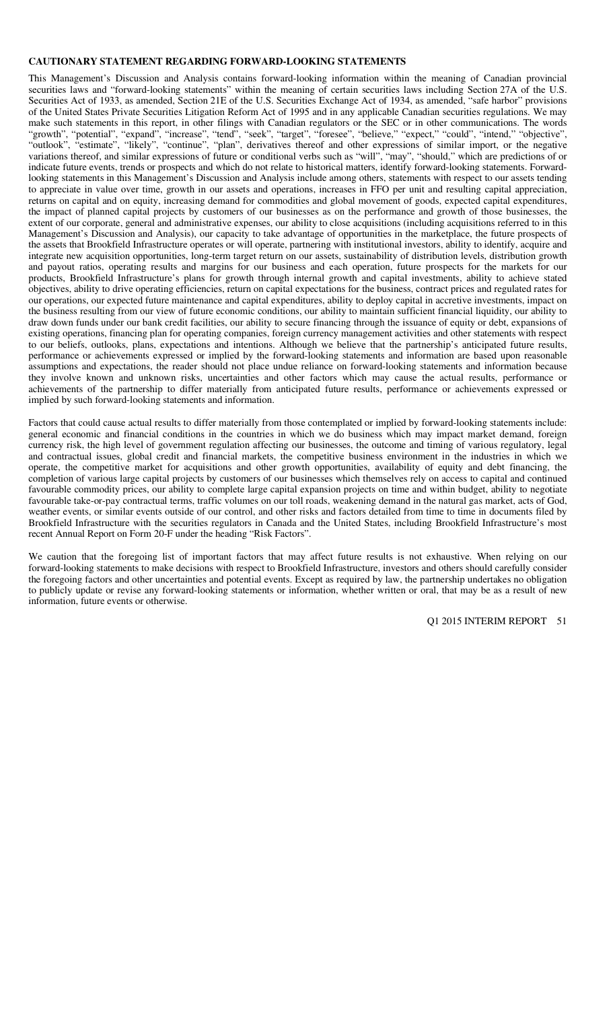#### **CAUTIONARY STATEMENT REGARDING FORWARD-LOOKING STATEMENTS**

This Management's Discussion and Analysis contains forward-looking information within the meaning of Canadian provincial securities laws and "forward-looking statements" within the meaning of certain securities laws including Section 27A of the U.S. Securities Act of 1933, as amended, Section 21E of the U.S. Securities Exchange Act of 1934, as amended, "safe harbor" provisions of the United States Private Securities Litigation Reform Act of 1995 and in any applicable Canadian securities regulations. We may make such statements in this report, in other filings with Canadian regulators or the SEC or in other communications. The words "growth", "potential", "expand", "increase", "tend", "seek", "target", "foresee", "believe," "expect," "could", "intend," "objective", "outlook", "estimate", "likely", "continue", "plan", derivatives thereof and other expressions of similar import, or the negative variations thereof, and similar expressions of future or conditional verbs such as "will", "may", "should," which are predictions of or indicate future events, trends or prospects and which do not relate to historical matters, identify forward-looking statements. Forwardlooking statements in this Management's Discussion and Analysis include among others, statements with respect to our assets tending to appreciate in value over time, growth in our assets and operations, increases in FFO per unit and resulting capital appreciation, returns on capital and on equity, increasing demand for commodities and global movement of goods, expected capital expenditures, the impact of planned capital projects by customers of our businesses as on the performance and growth of those businesses, the extent of our corporate, general and administrative expenses, our ability to close acquisitions (including acquisitions referred to in this Management's Discussion and Analysis), our capacity to take advantage of opportunities in the marketplace, the future prospects of the assets that Brookfield Infrastructure operates or will operate, partnering with institutional investors, ability to identify, acquire and integrate new acquisition opportunities, long-term target return on our assets, sustainability of distribution levels, distribution growth and payout ratios, operating results and margins for our business and each operation, future prospects for the markets for our products, Brookfield Infrastructure's plans for growth through internal growth and capital investments, ability to achieve stated objectives, ability to drive operating efficiencies, return on capital expectations for the business, contract prices and regulated rates for our operations, our expected future maintenance and capital expenditures, ability to deploy capital in accretive investments, impact on the business resulting from our view of future economic conditions, our ability to maintain sufficient financial liquidity, our ability to draw down funds under our bank credit facilities, our ability to secure financing through the issuance of equity or debt, expansions of existing operations, financing plan for operating companies, foreign currency management activities and other statements with respect to our beliefs, outlooks, plans, expectations and intentions. Although we believe that the partnership's anticipated future results, performance or achievements expressed or implied by the forward-looking statements and information are based upon reasonable assumptions and expectations, the reader should not place undue reliance on forward-looking statements and information because they involve known and unknown risks, uncertainties and other factors which may cause the actual results, performance or achievements of the partnership to differ materially from anticipated future results, performance or achievements expressed or implied by such forward-looking statements and information.

Factors that could cause actual results to differ materially from those contemplated or implied by forward-looking statements include: general economic and financial conditions in the countries in which we do business which may impact market demand, foreign currency risk, the high level of government regulation affecting our businesses, the outcome and timing of various regulatory, legal and contractual issues, global credit and financial markets, the competitive business environment in the industries in which we operate, the competitive market for acquisitions and other growth opportunities, availability of equity and debt financing, the completion of various large capital projects by customers of our businesses which themselves rely on access to capital and continued favourable commodity prices, our ability to complete large capital expansion projects on time and within budget, ability to negotiate favourable take-or-pay contractual terms, traffic volumes on our toll roads, weakening demand in the natural gas market, acts of God, weather events, or similar events outside of our control, and other risks and factors detailed from time to time in documents filed by Brookfield Infrastructure with the securities regulators in Canada and the United States, including Brookfield Infrastructure's most recent Annual Report on Form 20-F under the heading "Risk Factors".

We caution that the foregoing list of important factors that may affect future results is not exhaustive. When relying on our forward-looking statements to make decisions with respect to Brookfield Infrastructure, investors and others should carefully consider the foregoing factors and other uncertainties and potential events. Except as required by law, the partnership undertakes no obligation to publicly update or revise any forward-looking statements or information, whether written or oral, that may be as a result of new information, future events or otherwise.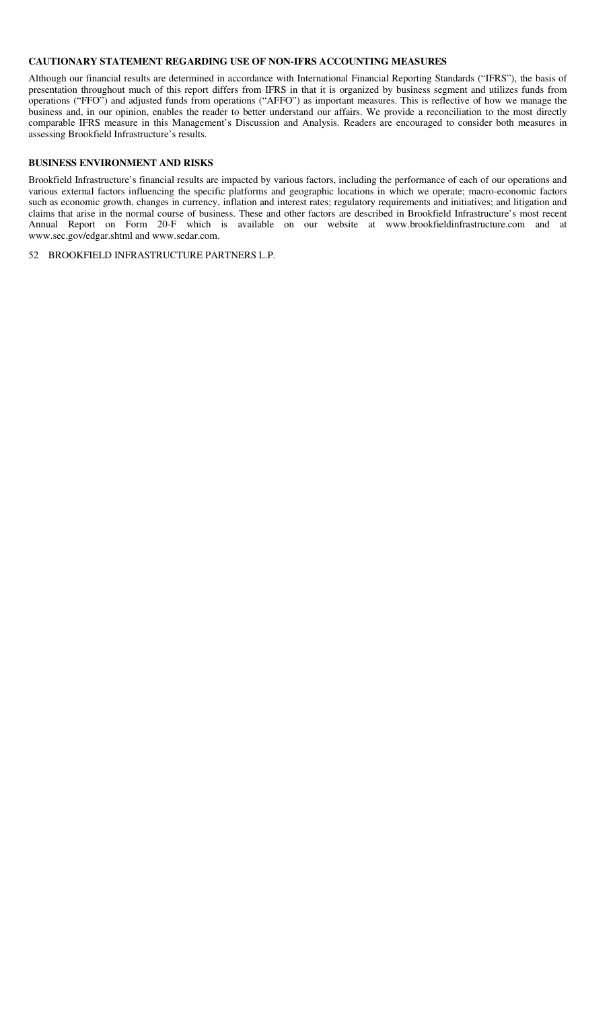#### **CAUTIONARY STATEMENT REGARDING USE OF NON-IFRS ACCOUNTING MEASURES**

Although our financial results are determined in accordance with International Financial Reporting Standards ("IFRS"), the basis of presentation throughout much of this report differs from IFRS in that it is organized by business segment and utilizes funds from operations ("FFO") and adjusted funds from operations ("AFFO") as important measures. This is reflective of how we manage the business and, in our opinion, enables the reader to better understand our affairs. We provide a reconciliation to the most directly comparable IFRS measure in this Management's Discussion and Analysis. Readers are encouraged to consider both measures in assessing Brookfield Infrastructure's results.

#### **BUSINESS ENVIRONMENT AND RISKS**

Brookfield Infrastructure's financial results are impacted by various factors, including the performance of each of our operations and various external factors influencing the specific platforms and geographic locations in which we operate; macro-economic factors such as economic growth, changes in currency, inflation and interest rates; regulatory requirements and initiatives; and litigation and claims that arise in the normal course of business. These and other factors are described in Brookfield Infrastructure's most recent Annual Report on Form 20-F which is available on our website at www.brookfieldinfrastructure.com and at www.sec.gov/edgar.shtml and www.sedar.com.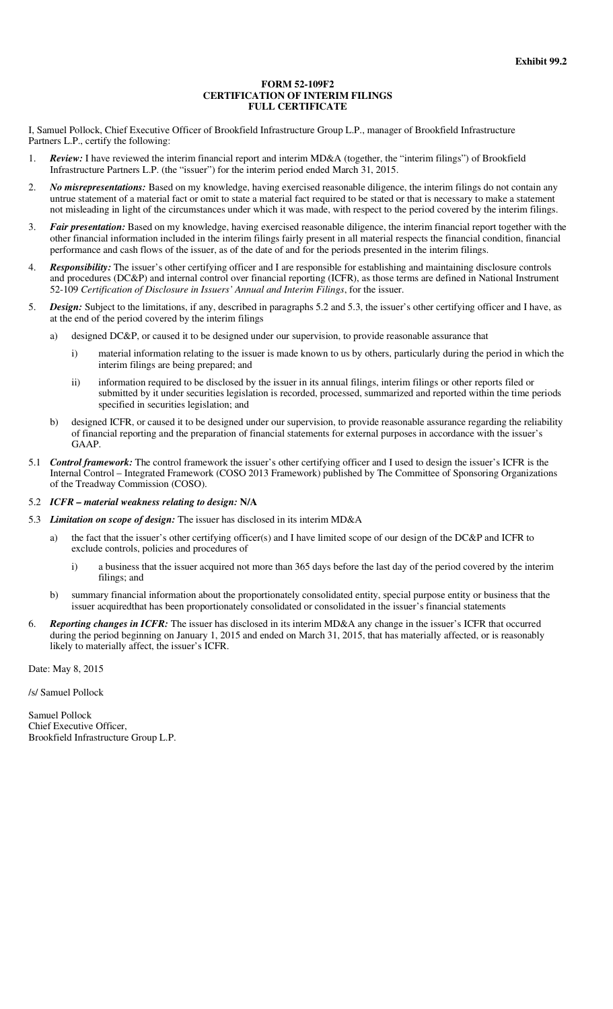#### **FORM 52-109F2 CERTIFICATION OF INTERIM FILINGS FULL CERTIFICATE**

I, Samuel Pollock, Chief Executive Officer of Brookfield Infrastructure Group L.P., manager of Brookfield Infrastructure Partners L.P., certify the following:

- 1. *Review:* I have reviewed the interim financial report and interim MD&A (together, the "interim filings") of Brookfield Infrastructure Partners L.P. (the "issuer") for the interim period ended March 31, 2015.
- 2. *No misrepresentations:* Based on my knowledge, having exercised reasonable diligence, the interim filings do not contain any untrue statement of a material fact or omit to state a material fact required to be stated or that is necessary to make a statement not misleading in light of the circumstances under which it was made, with respect to the period covered by the interim filings.
- 3. *Fair presentation:* Based on my knowledge, having exercised reasonable diligence, the interim financial report together with the other financial information included in the interim filings fairly present in all material respects the financial condition, financial performance and cash flows of the issuer, as of the date of and for the periods presented in the interim filings.
- 4. *Responsibility:* The issuer's other certifying officer and I are responsible for establishing and maintaining disclosure controls and procedures (DC&P) and internal control over financial reporting (ICFR), as those terms are defined in National Instrument 52-109 *Certification of Disclosure in Issuers' Annual and Interim Filings*, for the issuer.
- 5. *Design:* Subject to the limitations, if any, described in paragraphs 5.2 and 5.3, the issuer's other certifying officer and I have, as at the end of the period covered by the interim filings
	- a) designed DC&P, or caused it to be designed under our supervision, to provide reasonable assurance that
		- i) material information relating to the issuer is made known to us by others, particularly during the period in which the interim filings are being prepared; and
		- ii) information required to be disclosed by the issuer in its annual filings, interim filings or other reports filed or submitted by it under securities legislation is recorded, processed, summarized and reported within the time periods specified in securities legislation; and
	- b) designed ICFR, or caused it to be designed under our supervision, to provide reasonable assurance regarding the reliability of financial reporting and the preparation of financial statements for external purposes in accordance with the issuer's GAAP.
- 5.1 *Control framework:* The control framework the issuer's other certifying officer and I used to design the issuer's ICFR is the Internal Control – Integrated Framework (COSO 2013 Framework) published by The Committee of Sponsoring Organizations of the Treadway Commission (COSO).
- 5.2 *ICFR – material weakness relating to design:* **N/A**
- 5.3 *Limitation on scope of design:* The issuer has disclosed in its interim MD&A
	- a) the fact that the issuer's other certifying officer(s) and I have limited scope of our design of the DC&P and ICFR to exclude controls, policies and procedures of
		- i) a business that the issuer acquired not more than 365 days before the last day of the period covered by the interim filings; and
	- b) summary financial information about the proportionately consolidated entity, special purpose entity or business that the issuer acquiredthat has been proportionately consolidated or consolidated in the issuer's financial statements
- 6. *Reporting changes in ICFR:* The issuer has disclosed in its interim MD&A any change in the issuer's ICFR that occurred during the period beginning on January 1, 2015 and ended on March 31, 2015, that has materially affected, or is reasonably likely to materially affect, the issuer's ICFR.

Date: May 8, 2015

/s/ Samuel Pollock

Samuel Pollock Chief Executive Officer, Brookfield Infrastructure Group L.P.